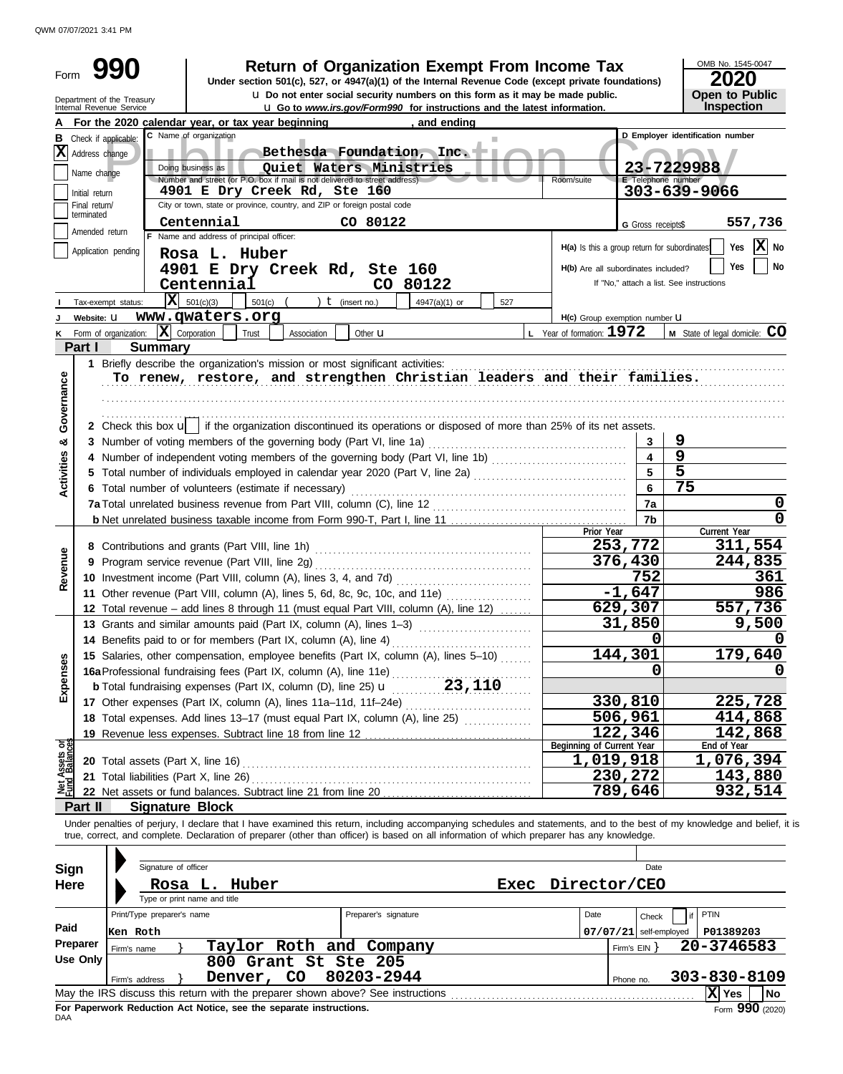QWM 07/07/2021 3:41 PM

| Form                    |                                                                                 | 99l<br>Department of the Treasury<br>Internal Revenue Service | Return of Organization Exempt From Income Tax<br>Under section 501(c), 527, or 4947(a)(1) of the Internal Revenue Code (except private foundations)                                                                                                                                                                                                                       | <b>u</b> Do not enter social security numbers on this form as it may be made public.<br>u Go to www.irs.gov/Form990 for instructions and the latest information. |               |             |                                                                                     |                                       | OMB No. 1545-0047<br>2020<br>Open to Public<br>Inspection            |
|-------------------------|---------------------------------------------------------------------------------|---------------------------------------------------------------|---------------------------------------------------------------------------------------------------------------------------------------------------------------------------------------------------------------------------------------------------------------------------------------------------------------------------------------------------------------------------|------------------------------------------------------------------------------------------------------------------------------------------------------------------|---------------|-------------|-------------------------------------------------------------------------------------|---------------------------------------|----------------------------------------------------------------------|
|                         |                                                                                 |                                                               | For the 2020 calendar year, or tax year beginning                                                                                                                                                                                                                                                                                                                         |                                                                                                                                                                  | , and ending  |             |                                                                                     |                                       |                                                                      |
| В                       | $ \mathbf{X} $ Address change<br>Name change<br>Initial return<br>Final return/ | Check if applicable:                                          | C Name of organization<br>Doing business as<br>Number and street (or P.O. box if mail is not delivered to street address).<br>4901 E Dry Creek Rd, Ste 160<br>City or town, state or province, country, and ZIP or foreign postal code                                                                                                                                    | Bethesda Foundation, Inc. -<br>Quiet Waters Ministries                                                                                                           |               |             | Room/suite                                                                          | E Telephone number                    | D Employer identification number<br>23-7229988<br>303-639-9066       |
|                         | terminated                                                                      |                                                               | Centennial                                                                                                                                                                                                                                                                                                                                                                | CO 80122                                                                                                                                                         |               |             |                                                                                     | G Gross receipts\$                    | 557,736                                                              |
|                         | Amended return                                                                  |                                                               | F Name and address of principal officer:                                                                                                                                                                                                                                                                                                                                  |                                                                                                                                                                  |               |             |                                                                                     |                                       |                                                                      |
|                         |                                                                                 | Application pending<br>Tax-exempt status:                     | Rosa L. Huber<br>4901 E Dry Creek Rd, Ste 160<br>Centennial<br>$ \mathbf{X} $ 501(c)(3)<br>501(c) $($ $)$ $($ $)$ $($ insert no.)                                                                                                                                                                                                                                         | CO 80122                                                                                                                                                         | 4947(a)(1) or | 527         | H(a) Is this a group return for subordinates<br>H(b) Are all subordinates included? |                                       | X No<br>Yes<br>Yes<br>No<br>If "No," attach a list. See instructions |
|                         | Website: U                                                                      |                                                               | www.qwaters.org                                                                                                                                                                                                                                                                                                                                                           |                                                                                                                                                                  |               |             | H(c) Group exemption number <b>U</b>                                                |                                       |                                                                      |
|                         |                                                                                 | K Form of organization:                                       | $ \mathbf{X} $ Corporation<br>Trust<br>Association                                                                                                                                                                                                                                                                                                                        | Other <b>u</b>                                                                                                                                                   |               |             | L Year of formation: $1972$                                                         |                                       | M State of legal domicile: CO                                        |
|                         | Part I                                                                          | <b>Summary</b>                                                |                                                                                                                                                                                                                                                                                                                                                                           |                                                                                                                                                                  |               |             |                                                                                     |                                       |                                                                      |
| Governance<br>න්        |                                                                                 |                                                               | 1 Briefly describe the organization's mission or most significant activities:<br>To renew, restore, and strengthen Christian leaders and their families.<br>2 Check this box u   if the organization discontinued its operations or disposed of more than 25% of its net assets.                                                                                          |                                                                                                                                                                  |               |             |                                                                                     | 3                                     | 9<br>9                                                               |
|                         |                                                                                 |                                                               |                                                                                                                                                                                                                                                                                                                                                                           | 5                                                                                                                                                                |               |             |                                                                                     |                                       |                                                                      |
| <b>Activities</b>       |                                                                                 | 6 Total number of volunteers (estimate if necessary)          |                                                                                                                                                                                                                                                                                                                                                                           |                                                                                                                                                                  | 75            |             |                                                                                     |                                       |                                                                      |
|                         |                                                                                 |                                                               |                                                                                                                                                                                                                                                                                                                                                                           |                                                                                                                                                                  |               |             |                                                                                     | 7a                                    | 0                                                                    |
|                         |                                                                                 |                                                               |                                                                                                                                                                                                                                                                                                                                                                           |                                                                                                                                                                  |               |             |                                                                                     | 7b                                    | $\mathbf 0$                                                          |
| Revenue                 |                                                                                 |                                                               | 9 Program service revenue (Part VIII, line 2g)<br>11 Other revenue (Part VIII, column (A), lines 5, 6d, 8c, 9c, 10c, and 11e)                                                                                                                                                                                                                                             |                                                                                                                                                                  |               |             | Prior Year                                                                          | 253,772<br>376,430<br>752<br>$-1,647$ | Current Year<br>311,554<br>244,835<br>361<br>986                     |
|                         |                                                                                 |                                                               | 12 Total revenue - add lines 8 through 11 (must equal Part VIII, column (A), line 12)                                                                                                                                                                                                                                                                                     |                                                                                                                                                                  |               |             |                                                                                     | 629,307                               | 557,736                                                              |
|                         |                                                                                 |                                                               | 13 Grants and similar amounts paid (Part IX, column (A), lines 1-3)                                                                                                                                                                                                                                                                                                       |                                                                                                                                                                  |               |             |                                                                                     | 31,850                                | 9,500                                                                |
|                         |                                                                                 |                                                               | 14 Benefits paid to or for members (Part IX, column (A), line 4)                                                                                                                                                                                                                                                                                                          |                                                                                                                                                                  |               |             |                                                                                     | O                                     | O                                                                    |
| Expenses                |                                                                                 |                                                               | 15 Salaries, other compensation, employee benefits (Part IX, column (A), lines 5-10)<br>15 Salaries, other compensation, one property column (A), line 11e)<br>16a Professional fundraising fees (Part IX, column (A), line 25) $\mathbf{u}$ (23, 110                                                                                                                     |                                                                                                                                                                  |               |             |                                                                                     | 144,301                               | 179,640                                                              |
|                         |                                                                                 |                                                               |                                                                                                                                                                                                                                                                                                                                                                           |                                                                                                                                                                  |               |             |                                                                                     | 0                                     |                                                                      |
|                         |                                                                                 |                                                               |                                                                                                                                                                                                                                                                                                                                                                           |                                                                                                                                                                  |               |             |                                                                                     | 330,810                               | 225,728                                                              |
|                         |                                                                                 |                                                               | 17 Other expenses (Part IX, column (A), lines 11a-11d, 11f-24e)                                                                                                                                                                                                                                                                                                           |                                                                                                                                                                  |               |             |                                                                                     | 506,961                               | 414,868                                                              |
|                         |                                                                                 |                                                               | 19 Revenue less expenses. Subtract line 18 from line 12                                                                                                                                                                                                                                                                                                                   |                                                                                                                                                                  |               |             |                                                                                     | 122,346                               | 142,868                                                              |
|                         |                                                                                 |                                                               |                                                                                                                                                                                                                                                                                                                                                                           |                                                                                                                                                                  |               |             | Beginning of Current Year                                                           |                                       | End of Year                                                          |
| Assets or<br>d Balances |                                                                                 | 20 Total assets (Part X, line 16)                             |                                                                                                                                                                                                                                                                                                                                                                           |                                                                                                                                                                  |               |             | 1,019,918                                                                           |                                       | 1,076,394                                                            |
|                         |                                                                                 | 21 Total liabilities (Part X, line 26)                        |                                                                                                                                                                                                                                                                                                                                                                           |                                                                                                                                                                  |               |             |                                                                                     | 230,272                               | 143,880                                                              |
| 홍                       |                                                                                 |                                                               |                                                                                                                                                                                                                                                                                                                                                                           |                                                                                                                                                                  |               |             |                                                                                     | 789,646                               | 932,514                                                              |
|                         | Part II                                                                         | <b>Signature Block</b>                                        |                                                                                                                                                                                                                                                                                                                                                                           |                                                                                                                                                                  |               |             |                                                                                     |                                       |                                                                      |
| Sign<br><b>Here</b>     |                                                                                 | Signature of officer                                          | Under penalties of perjury, I declare that I have examined this return, including accompanying schedules and statements, and to the best of my knowledge and belief, it is<br>true, correct, and complete. Declaration of preparer (other than officer) is based on all information of which preparer has any knowledge.<br>Rosa L. Huber<br>Type or print name and title |                                                                                                                                                                  |               | <b>Exec</b> | Director/CEO                                                                        | Date                                  |                                                                      |
|                         |                                                                                 | Print/Type preparer's name                                    |                                                                                                                                                                                                                                                                                                                                                                           | Preparer's signature                                                                                                                                             |               |             | Date                                                                                |                                       | PTIN                                                                 |
| Paid                    |                                                                                 |                                                               |                                                                                                                                                                                                                                                                                                                                                                           |                                                                                                                                                                  |               |             |                                                                                     | Check                                 |                                                                      |
|                         | Preparer                                                                        | Ken Roth                                                      |                                                                                                                                                                                                                                                                                                                                                                           |                                                                                                                                                                  |               |             |                                                                                     | $07/07/21$ self-employed              | P01389203                                                            |
|                         | Use Only                                                                        | Firm's name                                                   | Taylor Roth and Company<br>800 Grant St Ste 205                                                                                                                                                                                                                                                                                                                           |                                                                                                                                                                  |               |             |                                                                                     | Firm's $EIN$ }                        | 20-3746583                                                           |
|                         |                                                                                 |                                                               | Denver, CO                                                                                                                                                                                                                                                                                                                                                                | 80203-2944                                                                                                                                                       |               |             |                                                                                     |                                       | 303-830-8109                                                         |
|                         |                                                                                 | Firm's address                                                |                                                                                                                                                                                                                                                                                                                                                                           |                                                                                                                                                                  |               |             |                                                                                     | Phone no.                             | X Yes<br>No                                                          |

| Use Only                                                                                       | 800 Grant St Ste 205                                                                                 |           |              |  |  |  |  |  |  |  |
|------------------------------------------------------------------------------------------------|------------------------------------------------------------------------------------------------------|-----------|--------------|--|--|--|--|--|--|--|
|                                                                                                | Denver, CO 80203-2944<br>Firm's address                                                              | Phone no. | 303-830-8109 |  |  |  |  |  |  |  |
|                                                                                                | May the IRS discuss this return with the preparer shown above? See instructions<br><b>No</b><br>Yes. |           |              |  |  |  |  |  |  |  |
| Form $990$ (2020)<br>For Paperwork Reduction Act Notice, see the separate instructions.<br>DAA |                                                                                                      |           |              |  |  |  |  |  |  |  |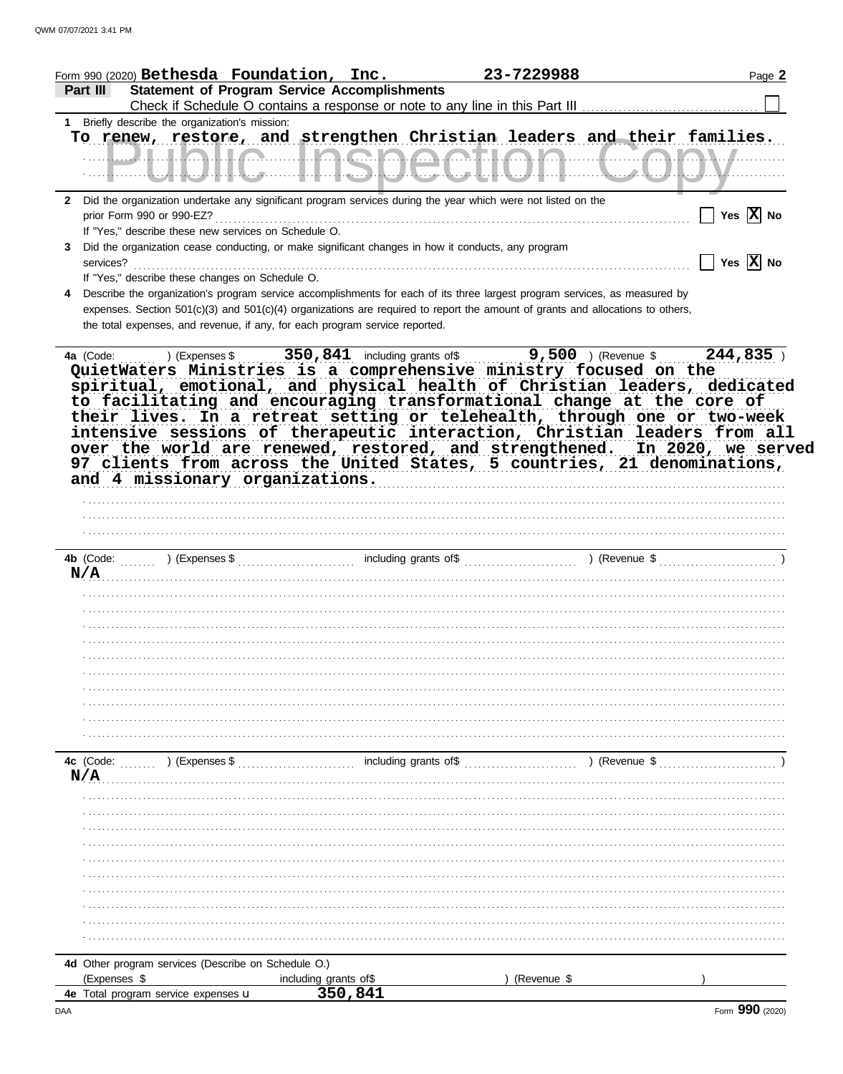| <b>Statement of Program Service Accomplishments</b><br>Part III<br>1 Briefly describe the organization's mission:<br>To renew, restore, and strengthen Christian leaders and their families.<br><u> LLLLALLA LLA QLA A ATLALA LLLLA ANVILLE</u><br>2 Did the organization undertake any significant program services during the year which were not listed on the<br>$\prod$ Yes $\boxed{\mathbf{X}}$ No<br>prior Form 990 or 990-EZ?<br>If "Yes," describe these new services on Schedule O.<br>Did the organization cease conducting, or make significant changes in how it conducts, any program<br>3<br>$\overline{\phantom{a}}$ Yes $\overline{\mathrm{X}}$ No<br>If "Yes," describe these changes on Schedule O.<br>Describe the organization's program service accomplishments for each of its three largest program services, as measured by<br>expenses. Section 501(c)(3) and 501(c)(4) organizations are required to report the amount of grants and allocations to others,<br>the total expenses, and revenue, if any, for each program service reported.<br>QuietWaters Ministries is a comprehensive ministry focused on the<br>spiritual, emotional, and physical health of Christian leaders, dedicated<br>to facilitating and encouraging transformational change at the core of<br>their lives. In a retreat setting or telehealth, through one or two-week<br>intensive sessions of therapeutic interaction, Christian leaders from all<br>over the world are renewed, restored, and strengthened. In 2020, we served<br>97 clients from across the United States, 5 countries, 21 denominations,<br>and 4 missionary organizations.<br>N/A<br>4c (Code: (2001) (Expenses \$ (2003) (Expenses \$ (2006) including grants of \$ (2009) (2008) including grants of \$<br>) (Revenue \$<br>N/A<br>4d Other program services (Describe on Schedule O.)<br>(Expenses \$<br>(Revenue \$<br>including grants of\$<br>350,841<br>4e Total program service expenses u<br>Form 990 (2020) | Form 990 (2020) $\texttt{Bethesda}$ $\texttt{Foundation, Inc.}$ | 23-7229988 | Page 2 |
|----------------------------------------------------------------------------------------------------------------------------------------------------------------------------------------------------------------------------------------------------------------------------------------------------------------------------------------------------------------------------------------------------------------------------------------------------------------------------------------------------------------------------------------------------------------------------------------------------------------------------------------------------------------------------------------------------------------------------------------------------------------------------------------------------------------------------------------------------------------------------------------------------------------------------------------------------------------------------------------------------------------------------------------------------------------------------------------------------------------------------------------------------------------------------------------------------------------------------------------------------------------------------------------------------------------------------------------------------------------------------------------------------------------------------------------------------------------------------------------------------------------------------------------------------------------------------------------------------------------------------------------------------------------------------------------------------------------------------------------------------------------------------------------------------------------------------------------------------------------------------------------------------------------------------------------------------------------------------------------------------|-----------------------------------------------------------------|------------|--------|
|                                                                                                                                                                                                                                                                                                                                                                                                                                                                                                                                                                                                                                                                                                                                                                                                                                                                                                                                                                                                                                                                                                                                                                                                                                                                                                                                                                                                                                                                                                                                                                                                                                                                                                                                                                                                                                                                                                                                                                                                    |                                                                 |            |        |
|                                                                                                                                                                                                                                                                                                                                                                                                                                                                                                                                                                                                                                                                                                                                                                                                                                                                                                                                                                                                                                                                                                                                                                                                                                                                                                                                                                                                                                                                                                                                                                                                                                                                                                                                                                                                                                                                                                                                                                                                    |                                                                 |            |        |
|                                                                                                                                                                                                                                                                                                                                                                                                                                                                                                                                                                                                                                                                                                                                                                                                                                                                                                                                                                                                                                                                                                                                                                                                                                                                                                                                                                                                                                                                                                                                                                                                                                                                                                                                                                                                                                                                                                                                                                                                    |                                                                 |            |        |
|                                                                                                                                                                                                                                                                                                                                                                                                                                                                                                                                                                                                                                                                                                                                                                                                                                                                                                                                                                                                                                                                                                                                                                                                                                                                                                                                                                                                                                                                                                                                                                                                                                                                                                                                                                                                                                                                                                                                                                                                    |                                                                 |            |        |
|                                                                                                                                                                                                                                                                                                                                                                                                                                                                                                                                                                                                                                                                                                                                                                                                                                                                                                                                                                                                                                                                                                                                                                                                                                                                                                                                                                                                                                                                                                                                                                                                                                                                                                                                                                                                                                                                                                                                                                                                    |                                                                 |            |        |
|                                                                                                                                                                                                                                                                                                                                                                                                                                                                                                                                                                                                                                                                                                                                                                                                                                                                                                                                                                                                                                                                                                                                                                                                                                                                                                                                                                                                                                                                                                                                                                                                                                                                                                                                                                                                                                                                                                                                                                                                    |                                                                 |            |        |
|                                                                                                                                                                                                                                                                                                                                                                                                                                                                                                                                                                                                                                                                                                                                                                                                                                                                                                                                                                                                                                                                                                                                                                                                                                                                                                                                                                                                                                                                                                                                                                                                                                                                                                                                                                                                                                                                                                                                                                                                    |                                                                 |            |        |
|                                                                                                                                                                                                                                                                                                                                                                                                                                                                                                                                                                                                                                                                                                                                                                                                                                                                                                                                                                                                                                                                                                                                                                                                                                                                                                                                                                                                                                                                                                                                                                                                                                                                                                                                                                                                                                                                                                                                                                                                    |                                                                 |            |        |
|                                                                                                                                                                                                                                                                                                                                                                                                                                                                                                                                                                                                                                                                                                                                                                                                                                                                                                                                                                                                                                                                                                                                                                                                                                                                                                                                                                                                                                                                                                                                                                                                                                                                                                                                                                                                                                                                                                                                                                                                    |                                                                 |            |        |
|                                                                                                                                                                                                                                                                                                                                                                                                                                                                                                                                                                                                                                                                                                                                                                                                                                                                                                                                                                                                                                                                                                                                                                                                                                                                                                                                                                                                                                                                                                                                                                                                                                                                                                                                                                                                                                                                                                                                                                                                    |                                                                 |            |        |
|                                                                                                                                                                                                                                                                                                                                                                                                                                                                                                                                                                                                                                                                                                                                                                                                                                                                                                                                                                                                                                                                                                                                                                                                                                                                                                                                                                                                                                                                                                                                                                                                                                                                                                                                                                                                                                                                                                                                                                                                    |                                                                 |            |        |
|                                                                                                                                                                                                                                                                                                                                                                                                                                                                                                                                                                                                                                                                                                                                                                                                                                                                                                                                                                                                                                                                                                                                                                                                                                                                                                                                                                                                                                                                                                                                                                                                                                                                                                                                                                                                                                                                                                                                                                                                    |                                                                 |            |        |
|                                                                                                                                                                                                                                                                                                                                                                                                                                                                                                                                                                                                                                                                                                                                                                                                                                                                                                                                                                                                                                                                                                                                                                                                                                                                                                                                                                                                                                                                                                                                                                                                                                                                                                                                                                                                                                                                                                                                                                                                    |                                                                 |            |        |
|                                                                                                                                                                                                                                                                                                                                                                                                                                                                                                                                                                                                                                                                                                                                                                                                                                                                                                                                                                                                                                                                                                                                                                                                                                                                                                                                                                                                                                                                                                                                                                                                                                                                                                                                                                                                                                                                                                                                                                                                    |                                                                 |            |        |
|                                                                                                                                                                                                                                                                                                                                                                                                                                                                                                                                                                                                                                                                                                                                                                                                                                                                                                                                                                                                                                                                                                                                                                                                                                                                                                                                                                                                                                                                                                                                                                                                                                                                                                                                                                                                                                                                                                                                                                                                    |                                                                 |            |        |
|                                                                                                                                                                                                                                                                                                                                                                                                                                                                                                                                                                                                                                                                                                                                                                                                                                                                                                                                                                                                                                                                                                                                                                                                                                                                                                                                                                                                                                                                                                                                                                                                                                                                                                                                                                                                                                                                                                                                                                                                    |                                                                 |            |        |
|                                                                                                                                                                                                                                                                                                                                                                                                                                                                                                                                                                                                                                                                                                                                                                                                                                                                                                                                                                                                                                                                                                                                                                                                                                                                                                                                                                                                                                                                                                                                                                                                                                                                                                                                                                                                                                                                                                                                                                                                    |                                                                 |            |        |
|                                                                                                                                                                                                                                                                                                                                                                                                                                                                                                                                                                                                                                                                                                                                                                                                                                                                                                                                                                                                                                                                                                                                                                                                                                                                                                                                                                                                                                                                                                                                                                                                                                                                                                                                                                                                                                                                                                                                                                                                    |                                                                 |            |        |
|                                                                                                                                                                                                                                                                                                                                                                                                                                                                                                                                                                                                                                                                                                                                                                                                                                                                                                                                                                                                                                                                                                                                                                                                                                                                                                                                                                                                                                                                                                                                                                                                                                                                                                                                                                                                                                                                                                                                                                                                    |                                                                 |            |        |
|                                                                                                                                                                                                                                                                                                                                                                                                                                                                                                                                                                                                                                                                                                                                                                                                                                                                                                                                                                                                                                                                                                                                                                                                                                                                                                                                                                                                                                                                                                                                                                                                                                                                                                                                                                                                                                                                                                                                                                                                    |                                                                 |            |        |
|                                                                                                                                                                                                                                                                                                                                                                                                                                                                                                                                                                                                                                                                                                                                                                                                                                                                                                                                                                                                                                                                                                                                                                                                                                                                                                                                                                                                                                                                                                                                                                                                                                                                                                                                                                                                                                                                                                                                                                                                    |                                                                 |            |        |
|                                                                                                                                                                                                                                                                                                                                                                                                                                                                                                                                                                                                                                                                                                                                                                                                                                                                                                                                                                                                                                                                                                                                                                                                                                                                                                                                                                                                                                                                                                                                                                                                                                                                                                                                                                                                                                                                                                                                                                                                    |                                                                 |            |        |
|                                                                                                                                                                                                                                                                                                                                                                                                                                                                                                                                                                                                                                                                                                                                                                                                                                                                                                                                                                                                                                                                                                                                                                                                                                                                                                                                                                                                                                                                                                                                                                                                                                                                                                                                                                                                                                                                                                                                                                                                    |                                                                 |            |        |
|                                                                                                                                                                                                                                                                                                                                                                                                                                                                                                                                                                                                                                                                                                                                                                                                                                                                                                                                                                                                                                                                                                                                                                                                                                                                                                                                                                                                                                                                                                                                                                                                                                                                                                                                                                                                                                                                                                                                                                                                    |                                                                 |            |        |
|                                                                                                                                                                                                                                                                                                                                                                                                                                                                                                                                                                                                                                                                                                                                                                                                                                                                                                                                                                                                                                                                                                                                                                                                                                                                                                                                                                                                                                                                                                                                                                                                                                                                                                                                                                                                                                                                                                                                                                                                    |                                                                 |            |        |
|                                                                                                                                                                                                                                                                                                                                                                                                                                                                                                                                                                                                                                                                                                                                                                                                                                                                                                                                                                                                                                                                                                                                                                                                                                                                                                                                                                                                                                                                                                                                                                                                                                                                                                                                                                                                                                                                                                                                                                                                    |                                                                 |            |        |
|                                                                                                                                                                                                                                                                                                                                                                                                                                                                                                                                                                                                                                                                                                                                                                                                                                                                                                                                                                                                                                                                                                                                                                                                                                                                                                                                                                                                                                                                                                                                                                                                                                                                                                                                                                                                                                                                                                                                                                                                    |                                                                 |            |        |
|                                                                                                                                                                                                                                                                                                                                                                                                                                                                                                                                                                                                                                                                                                                                                                                                                                                                                                                                                                                                                                                                                                                                                                                                                                                                                                                                                                                                                                                                                                                                                                                                                                                                                                                                                                                                                                                                                                                                                                                                    |                                                                 |            |        |
|                                                                                                                                                                                                                                                                                                                                                                                                                                                                                                                                                                                                                                                                                                                                                                                                                                                                                                                                                                                                                                                                                                                                                                                                                                                                                                                                                                                                                                                                                                                                                                                                                                                                                                                                                                                                                                                                                                                                                                                                    |                                                                 |            |        |
|                                                                                                                                                                                                                                                                                                                                                                                                                                                                                                                                                                                                                                                                                                                                                                                                                                                                                                                                                                                                                                                                                                                                                                                                                                                                                                                                                                                                                                                                                                                                                                                                                                                                                                                                                                                                                                                                                                                                                                                                    |                                                                 |            |        |
|                                                                                                                                                                                                                                                                                                                                                                                                                                                                                                                                                                                                                                                                                                                                                                                                                                                                                                                                                                                                                                                                                                                                                                                                                                                                                                                                                                                                                                                                                                                                                                                                                                                                                                                                                                                                                                                                                                                                                                                                    |                                                                 |            |        |
|                                                                                                                                                                                                                                                                                                                                                                                                                                                                                                                                                                                                                                                                                                                                                                                                                                                                                                                                                                                                                                                                                                                                                                                                                                                                                                                                                                                                                                                                                                                                                                                                                                                                                                                                                                                                                                                                                                                                                                                                    |                                                                 |            |        |
|                                                                                                                                                                                                                                                                                                                                                                                                                                                                                                                                                                                                                                                                                                                                                                                                                                                                                                                                                                                                                                                                                                                                                                                                                                                                                                                                                                                                                                                                                                                                                                                                                                                                                                                                                                                                                                                                                                                                                                                                    |                                                                 |            |        |
|                                                                                                                                                                                                                                                                                                                                                                                                                                                                                                                                                                                                                                                                                                                                                                                                                                                                                                                                                                                                                                                                                                                                                                                                                                                                                                                                                                                                                                                                                                                                                                                                                                                                                                                                                                                                                                                                                                                                                                                                    |                                                                 |            |        |
|                                                                                                                                                                                                                                                                                                                                                                                                                                                                                                                                                                                                                                                                                                                                                                                                                                                                                                                                                                                                                                                                                                                                                                                                                                                                                                                                                                                                                                                                                                                                                                                                                                                                                                                                                                                                                                                                                                                                                                                                    |                                                                 |            |        |
|                                                                                                                                                                                                                                                                                                                                                                                                                                                                                                                                                                                                                                                                                                                                                                                                                                                                                                                                                                                                                                                                                                                                                                                                                                                                                                                                                                                                                                                                                                                                                                                                                                                                                                                                                                                                                                                                                                                                                                                                    |                                                                 |            |        |
|                                                                                                                                                                                                                                                                                                                                                                                                                                                                                                                                                                                                                                                                                                                                                                                                                                                                                                                                                                                                                                                                                                                                                                                                                                                                                                                                                                                                                                                                                                                                                                                                                                                                                                                                                                                                                                                                                                                                                                                                    |                                                                 |            |        |
|                                                                                                                                                                                                                                                                                                                                                                                                                                                                                                                                                                                                                                                                                                                                                                                                                                                                                                                                                                                                                                                                                                                                                                                                                                                                                                                                                                                                                                                                                                                                                                                                                                                                                                                                                                                                                                                                                                                                                                                                    |                                                                 |            |        |
|                                                                                                                                                                                                                                                                                                                                                                                                                                                                                                                                                                                                                                                                                                                                                                                                                                                                                                                                                                                                                                                                                                                                                                                                                                                                                                                                                                                                                                                                                                                                                                                                                                                                                                                                                                                                                                                                                                                                                                                                    |                                                                 |            |        |
|                                                                                                                                                                                                                                                                                                                                                                                                                                                                                                                                                                                                                                                                                                                                                                                                                                                                                                                                                                                                                                                                                                                                                                                                                                                                                                                                                                                                                                                                                                                                                                                                                                                                                                                                                                                                                                                                                                                                                                                                    |                                                                 |            |        |
|                                                                                                                                                                                                                                                                                                                                                                                                                                                                                                                                                                                                                                                                                                                                                                                                                                                                                                                                                                                                                                                                                                                                                                                                                                                                                                                                                                                                                                                                                                                                                                                                                                                                                                                                                                                                                                                                                                                                                                                                    | DAA                                                             |            |        |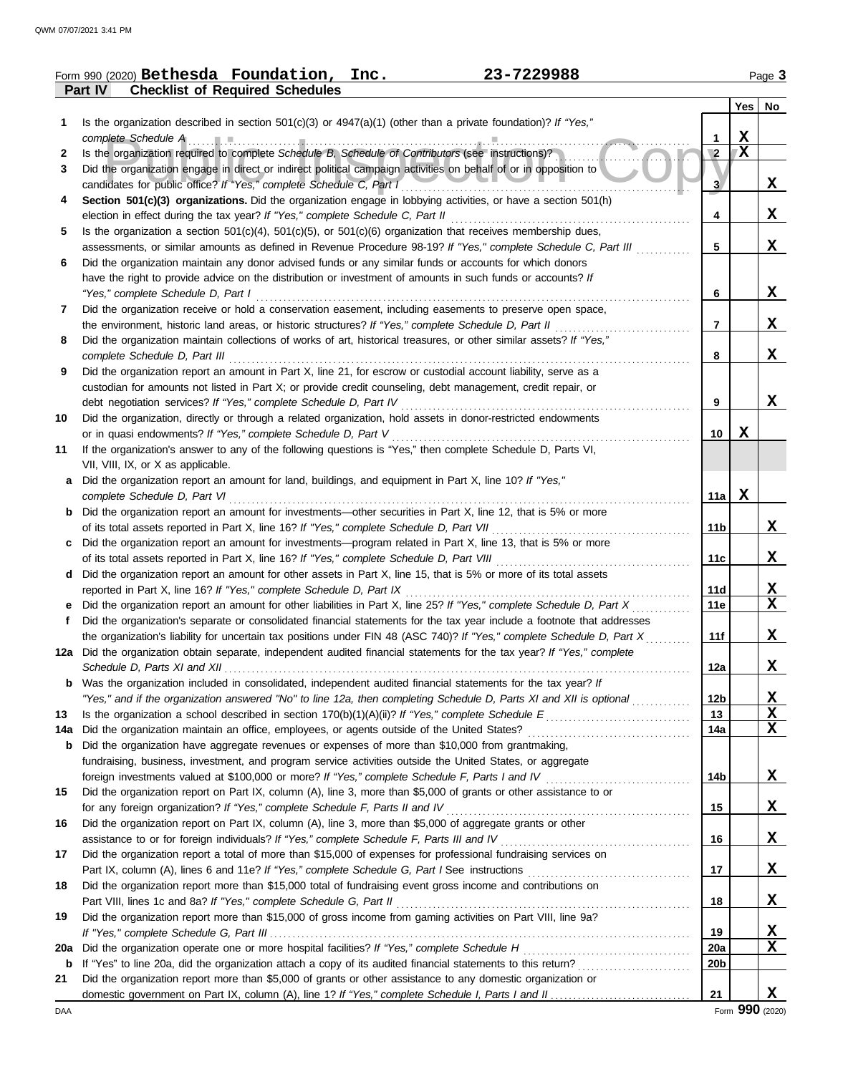|        | Form 990 (2020) Bethesda Foundation, Inc.<br>23-7229988                                                                                                                                           |                 |     | Page 3                  |
|--------|---------------------------------------------------------------------------------------------------------------------------------------------------------------------------------------------------|-----------------|-----|-------------------------|
|        | <b>Checklist of Required Schedules</b><br>Part IV                                                                                                                                                 |                 |     |                         |
|        |                                                                                                                                                                                                   |                 | Yes | No                      |
| 1      | Is the organization described in section $501(c)(3)$ or $4947(a)(1)$ (other than a private foundation)? If "Yes,"                                                                                 |                 |     |                         |
|        | complete Schedule A Processor Complete Schedule A Processor Complete Schedule A Processor Complete Schedule A                                                                                     | 1               | X   |                         |
| 2      | Is the organization required to complete Schedule B, Schedule of Contributors (see instructions)?                                                                                                 | $\sqrt{2}$      | X   |                         |
| 3      | Did the organization engage in direct or indirect political campaign activities on behalf of or in opposition to                                                                                  |                 |     |                         |
|        | candidates for public office? If "Yes," complete Schedule C, Part I<br>Section 501(c)(3) organizations. Did the organization engage in lobbying activities, or have a section 501(h)              | 3               |     | X,                      |
| 4      |                                                                                                                                                                                                   | 4               |     | X,                      |
| 5      | Is the organization a section $501(c)(4)$ , $501(c)(5)$ , or $501(c)(6)$ organization that receives membership dues,                                                                              |                 |     |                         |
|        | assessments, or similar amounts as defined in Revenue Procedure 98-19? If "Yes," complete Schedule C, Part III                                                                                    | 5               |     | X,                      |
| 6      | Did the organization maintain any donor advised funds or any similar funds or accounts for which donors                                                                                           |                 |     |                         |
|        | have the right to provide advice on the distribution or investment of amounts in such funds or accounts? If                                                                                       |                 |     |                         |
|        | "Yes," complete Schedule D, Part I                                                                                                                                                                | 6               |     | X                       |
| 7      | Did the organization receive or hold a conservation easement, including easements to preserve open space,                                                                                         |                 |     |                         |
|        | the environment, historic land areas, or historic structures? If "Yes," complete Schedule D, Part II                                                                                              | $\overline{7}$  |     | X.                      |
| 8      | Did the organization maintain collections of works of art, historical treasures, or other similar assets? If "Yes,"                                                                               |                 |     |                         |
|        |                                                                                                                                                                                                   | 8               |     | X                       |
| 9      | Did the organization report an amount in Part X, line 21, for escrow or custodial account liability, serve as a                                                                                   |                 |     |                         |
|        | custodian for amounts not listed in Part X; or provide credit counseling, debt management, credit repair, or                                                                                      | 9               |     | X                       |
| 10     | Did the organization, directly or through a related organization, hold assets in donor-restricted endowments                                                                                      |                 |     |                         |
|        | or in quasi endowments? If "Yes," complete Schedule D, Part V                                                                                                                                     | 10              | X   |                         |
| 11     | If the organization's answer to any of the following questions is "Yes," then complete Schedule D, Parts VI,                                                                                      |                 |     |                         |
|        | VII, VIII, IX, or X as applicable.                                                                                                                                                                |                 |     |                         |
| a      | Did the organization report an amount for land, buildings, and equipment in Part X, line 10? If "Yes,"                                                                                            |                 |     |                         |
|        | complete Schedule D, Part VI                                                                                                                                                                      | 11a l           | X   |                         |
| b      | Did the organization report an amount for investments—other securities in Part X, line 12, that is 5% or more                                                                                     |                 |     |                         |
|        |                                                                                                                                                                                                   | 11b             |     | X                       |
| c      | Did the organization report an amount for investments—program related in Part X, line 13, that is 5% or more                                                                                      |                 |     |                         |
|        |                                                                                                                                                                                                   | 11c             |     | X                       |
| d      | Did the organization report an amount for other assets in Part X, line 15, that is 5% or more of its total assets                                                                                 |                 |     |                         |
|        | Did the organization report an amount for other liabilities in Part X, line 25? If "Yes," complete Schedule D, Part X                                                                             | 11d             |     | <u>x</u><br>$\mathbf x$ |
| е<br>f | Did the organization's separate or consolidated financial statements for the tax year include a footnote that addresses                                                                           | 11e             |     |                         |
|        | the organization's liability for uncertain tax positions under FIN 48 (ASC 740)? If "Yes," complete Schedule D, Part X                                                                            | 11f             |     | X                       |
|        | 12a Did the organization obtain separate, independent audited financial statements for the tax year? If "Yes," complete                                                                           |                 |     |                         |
|        |                                                                                                                                                                                                   | 12a             |     | X                       |
| b      | Was the organization included in consolidated, independent audited financial statements for the tax year? If                                                                                      |                 |     |                         |
|        | "Yes," and if the organization answered "No" to line 12a, then completing Schedule D, Parts XI and XII is optional                                                                                | 12 <sub>b</sub> |     | <u>x</u>                |
| 13     |                                                                                                                                                                                                   | 13              |     | $\overline{\mathbf{X}}$ |
| 14a    |                                                                                                                                                                                                   | 14a             |     | X                       |
| b      | Did the organization have aggregate revenues or expenses of more than \$10,000 from grantmaking,                                                                                                  |                 |     |                         |
|        | fundraising, business, investment, and program service activities outside the United States, or aggregate                                                                                         |                 |     |                         |
|        |                                                                                                                                                                                                   | 14b             |     | X                       |
| 15     | Did the organization report on Part IX, column (A), line 3, more than \$5,000 of grants or other assistance to or<br>for any foreign organization? If "Yes," complete Schedule F, Parts II and IV | 15              |     | X                       |
| 16     | Did the organization report on Part IX, column (A), line 3, more than \$5,000 of aggregate grants or other                                                                                        |                 |     |                         |
|        |                                                                                                                                                                                                   | 16              |     | X                       |
| 17     | Did the organization report a total of more than \$15,000 of expenses for professional fundraising services on                                                                                    |                 |     |                         |
|        |                                                                                                                                                                                                   | 17              |     | X                       |
| 18     | Did the organization report more than \$15,000 total of fundraising event gross income and contributions on                                                                                       |                 |     |                         |
|        |                                                                                                                                                                                                   | 18              |     | $\mathbf x$             |
| 19     | Did the organization report more than \$15,000 of gross income from gaming activities on Part VIII, line 9a?                                                                                      |                 |     |                         |
|        |                                                                                                                                                                                                   | 19              |     | X                       |
| 20a    |                                                                                                                                                                                                   | 20a             |     | $\mathbf x$             |
| b      | If "Yes" to line 20a, did the organization attach a copy of its audited financial statements to this return?                                                                                      | 20 <sub>b</sub> |     |                         |
| 21     | Did the organization report more than \$5,000 of grants or other assistance to any domestic organization or                                                                                       | 21              |     | X                       |
|        |                                                                                                                                                                                                   |                 |     |                         |

DAA Form **990** (2020)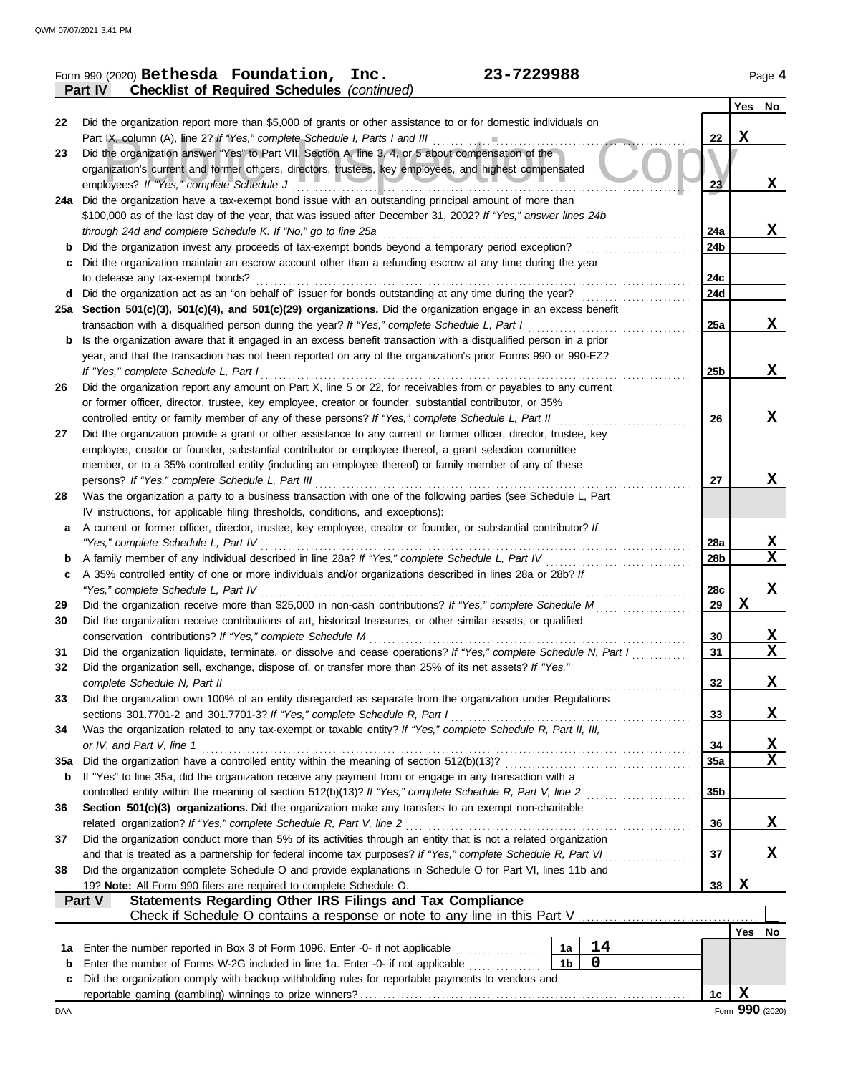|     | 23-7229988<br>Form 990 (2020) Bethesda Foundation,<br>Inc.                                                                                            |            |                  | Page 4                  |  |  |  |
|-----|-------------------------------------------------------------------------------------------------------------------------------------------------------|------------|------------------|-------------------------|--|--|--|
|     | Part IV<br><b>Checklist of Required Schedules (continued)</b>                                                                                         |            |                  |                         |  |  |  |
|     |                                                                                                                                                       |            | Yes              | No                      |  |  |  |
| 22  | Did the organization report more than \$5,000 of grants or other assistance to or for domestic individuals on                                         |            |                  |                         |  |  |  |
|     | Part IX, column (A), line 2? If "Yes," complete Schedule I, Parts I and III                                                                           | 22         | $\mathbf X$      |                         |  |  |  |
| 23  | Did the organization answer "Yes" to Part VII, Section A, line 3, 4, or 5 about compensation of the                                                   |            |                  |                         |  |  |  |
|     | organization's current and former officers, directors, trustees, key employees, and highest compensated                                               |            |                  |                         |  |  |  |
|     | employees? If "Yes," complete Schedule J                                                                                                              | 23         |                  | X                       |  |  |  |
|     | 24a Did the organization have a tax-exempt bond issue with an outstanding principal amount of more than                                               |            |                  |                         |  |  |  |
|     | \$100,000 as of the last day of the year, that was issued after December 31, 2002? If "Yes," answer lines 24b                                         |            |                  |                         |  |  |  |
|     | through 24d and complete Schedule K. If "No," go to line 25a                                                                                          | 24a        |                  | X                       |  |  |  |
| b   | Did the organization invest any proceeds of tax-exempt bonds beyond a temporary period exception?                                                     | 24b        |                  |                         |  |  |  |
| с   | Did the organization maintain an escrow account other than a refunding escrow at any time during the year                                             |            |                  |                         |  |  |  |
|     | to defease any tax-exempt bonds?                                                                                                                      | 24c<br>24d |                  |                         |  |  |  |
|     | d Did the organization act as an "on behalf of" issuer for bonds outstanding at any time during the year?                                             |            |                  |                         |  |  |  |
|     | 25a Section 501(c)(3), 501(c)(4), and 501(c)(29) organizations. Did the organization engage in an excess benefit                                      |            |                  | X                       |  |  |  |
|     | transaction with a disqualified person during the year? If "Yes," complete Schedule L, Part I                                                         | 25a        |                  |                         |  |  |  |
| b   | Is the organization aware that it engaged in an excess benefit transaction with a disqualified person in a prior                                      |            |                  |                         |  |  |  |
|     | year, and that the transaction has not been reported on any of the organization's prior Forms 990 or 990-EZ?<br>If "Yes," complete Schedule L, Part I | 25b        |                  | X                       |  |  |  |
| 26  | Did the organization report any amount on Part X, line 5 or 22, for receivables from or payables to any current                                       |            |                  |                         |  |  |  |
|     | or former officer, director, trustee, key employee, creator or founder, substantial contributor, or 35%                                               |            |                  |                         |  |  |  |
|     | controlled entity or family member of any of these persons? If "Yes," complete Schedule L, Part II                                                    | 26         |                  | X                       |  |  |  |
| 27  | Did the organization provide a grant or other assistance to any current or former officer, director, trustee, key                                     |            |                  |                         |  |  |  |
|     | employee, creator or founder, substantial contributor or employee thereof, a grant selection committee                                                |            |                  |                         |  |  |  |
|     | member, or to a 35% controlled entity (including an employee thereof) or family member of any of these                                                |            |                  |                         |  |  |  |
|     | persons? If "Yes," complete Schedule L, Part III                                                                                                      | 27         |                  | X                       |  |  |  |
| 28  | Was the organization a party to a business transaction with one of the following parties (see Schedule L, Part                                        |            |                  |                         |  |  |  |
|     | IV instructions, for applicable filing thresholds, conditions, and exceptions):                                                                       |            |                  |                         |  |  |  |
| а   | A current or former officer, director, trustee, key employee, creator or founder, or substantial contributor? If                                      |            |                  |                         |  |  |  |
|     | "Yes," complete Schedule L, Part IV                                                                                                                   | 28a        |                  | X                       |  |  |  |
| b   | A family member of any individual described in line 28a? If "Yes," complete Schedule L, Part IV                                                       | 28b        |                  | $\mathbf x$             |  |  |  |
| c   | A 35% controlled entity of one or more individuals and/or organizations described in lines 28a or 28b? If                                             |            |                  |                         |  |  |  |
|     | "Yes," complete Schedule L, Part IV                                                                                                                   | 28c        |                  | X                       |  |  |  |
| 29  | Did the organization receive more than \$25,000 in non-cash contributions? If "Yes," complete Schedule M                                              | 29         | $\mathbf X$      |                         |  |  |  |
| 30  | Did the organization receive contributions of art, historical treasures, or other similar assets, or qualified                                        |            |                  |                         |  |  |  |
|     | conservation contributions? If "Yes," complete Schedule M                                                                                             | 30         |                  | X                       |  |  |  |
| 31  | Did the organization liquidate, terminate, or dissolve and cease operations? If "Yes," complete Schedule N, Part I                                    | 31         |                  | $\overline{\mathbf{X}}$ |  |  |  |
| 32  | Did the organization sell, exchange, dispose of, or transfer more than 25% of its net assets? If "Yes,"                                               |            |                  |                         |  |  |  |
|     | complete Schedule N, Part II                                                                                                                          | 32         |                  | X                       |  |  |  |
| 33  | Did the organization own 100% of an entity disregarded as separate from the organization under Regulations                                            |            |                  |                         |  |  |  |
|     | sections 301.7701-2 and 301.7701-3? If "Yes," complete Schedule R, Part I                                                                             | 33         |                  | X                       |  |  |  |
| 34  | Was the organization related to any tax-exempt or taxable entity? If "Yes," complete Schedule R, Part II, III,                                        |            |                  |                         |  |  |  |
|     | or IV, and Part V, line 1                                                                                                                             | 34         |                  | X                       |  |  |  |
| 35а | Did the organization have a controlled entity within the meaning of section 512(b)(13)?                                                               | 35a        |                  | X                       |  |  |  |
| b   | If "Yes" to line 35a, did the organization receive any payment from or engage in any transaction with a                                               |            |                  |                         |  |  |  |
|     | controlled entity within the meaning of section 512(b)(13)? If "Yes," complete Schedule R, Part V, line 2                                             | 35b        |                  |                         |  |  |  |
| 36  | Section 501(c)(3) organizations. Did the organization make any transfers to an exempt non-charitable                                                  |            |                  |                         |  |  |  |
|     | related organization? If "Yes," complete Schedule R, Part V, line 2                                                                                   | 36         |                  | X                       |  |  |  |
| 37  | Did the organization conduct more than 5% of its activities through an entity that is not a related organization                                      |            |                  |                         |  |  |  |
|     | and that is treated as a partnership for federal income tax purposes? If "Yes," complete Schedule R, Part VI                                          | 37         |                  | X                       |  |  |  |
| 38  | Did the organization complete Schedule O and provide explanations in Schedule O for Part VI, lines 11b and                                            |            |                  |                         |  |  |  |
|     | 19? Note: All Form 990 filers are required to complete Schedule O.                                                                                    | 38         | X                |                         |  |  |  |
|     | <b>Statements Regarding Other IRS Filings and Tax Compliance</b><br>Part V                                                                            |            |                  |                         |  |  |  |
|     | Check if Schedule O contains a response or note to any line in this Part V                                                                            |            |                  |                         |  |  |  |
|     |                                                                                                                                                       |            | Yes <sub>1</sub> | No                      |  |  |  |
| 1a  | 14<br>Enter the number reported in Box 3 of Form 1096. Enter -0- if not applicable <i>minimizoralism</i><br>1a                                        |            |                  |                         |  |  |  |
| b   | $\mathbf 0$<br>1 <sub>b</sub><br>Enter the number of Forms W-2G included in line 1a. Enter -0- if not applicable                                      |            |                  |                         |  |  |  |
| c   | Did the organization comply with backup withholding rules for reportable payments to vendors and                                                      |            |                  |                         |  |  |  |
|     |                                                                                                                                                       | 1c         | X                |                         |  |  |  |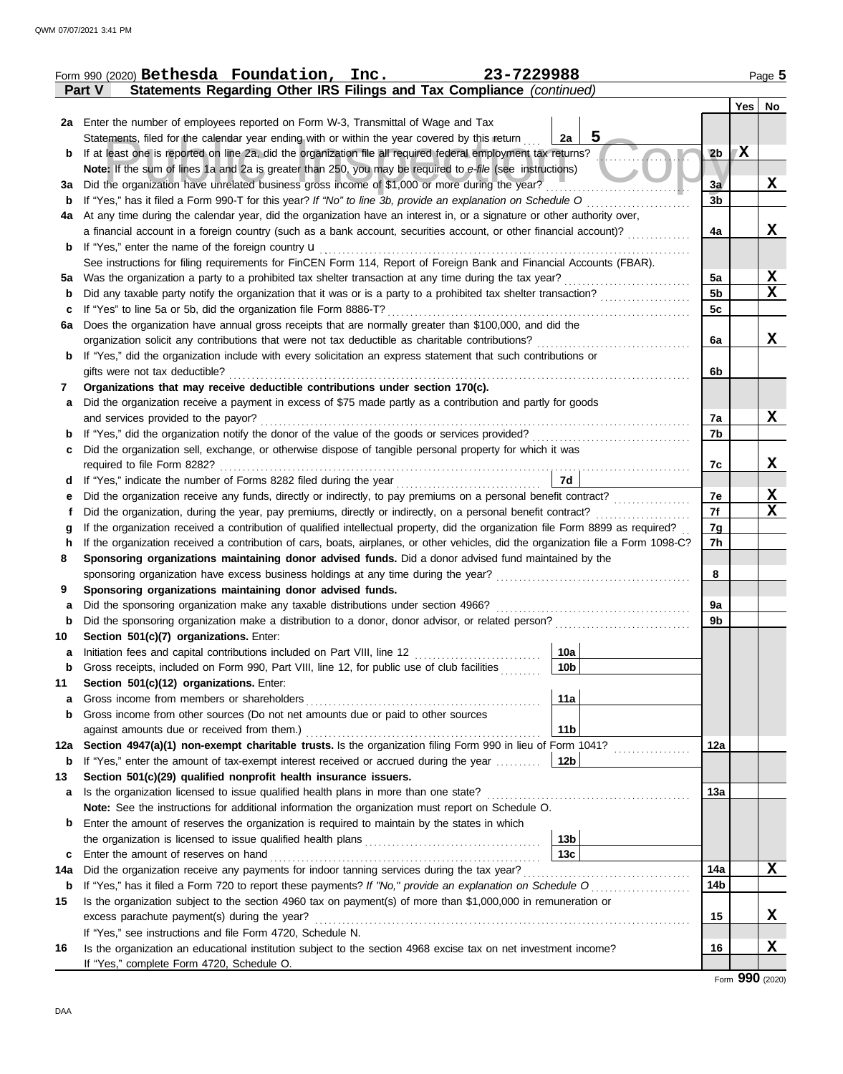|        | Form 990 (2020) Bethesda Foundation, Inc.<br>23-7229988                                                                            |                |     | Page 5 |
|--------|------------------------------------------------------------------------------------------------------------------------------------|----------------|-----|--------|
|        | Statements Regarding Other IRS Filings and Tax Compliance (continued)<br>Part V                                                    |                |     |        |
|        |                                                                                                                                    |                | Yes | No     |
| 2a     | Enter the number of employees reported on Form W-3, Transmittal of Wage and Tax                                                    |                |     |        |
|        | 5<br>Statements, filed for the calendar year ending with or within the year covered by this return<br>2a                           |                |     |        |
| b      | If at least one is reported on line 2a, did the organization file all required federal employment tax returns?                     | 2 <sub>b</sub> | X   |        |
|        | Note: If the sum of lines 1a and 2a is greater than 250, you may be required to e-file (see instructions)                          |                |     |        |
| За     | Did the organization have unrelated business gross income of \$1,000 or more during the year?                                      | 3a             |     | x      |
| b      | If "Yes," has it filed a Form 990-T for this year? If "No" to line 3b, provide an explanation on Schedule O                        | 3 <sub>b</sub> |     |        |
| 4a     | At any time during the calendar year, did the organization have an interest in, or a signature or other authority over,            |                |     |        |
|        | a financial account in a foreign country (such as a bank account, securities account, or other financial account)?                 | 4a             |     | X      |
| b      | If "Yes," enter the name of the foreign country <b>u</b>                                                                           |                |     |        |
|        | See instructions for filing requirements for FinCEN Form 114, Report of Foreign Bank and Financial Accounts (FBAR).                |                |     |        |
| 5а     | Was the organization a party to a prohibited tax shelter transaction at any time during the tax year?                              | 5a             |     | X      |
| b      | Did any taxable party notify the organization that it was or is a party to a prohibited tax shelter transaction?                   | 5 <sub>b</sub> |     | X      |
| с      | If "Yes" to line 5a or 5b, did the organization file Form 8886-T?                                                                  | 5 <sub>c</sub> |     |        |
| 6a     | Does the organization have annual gross receipts that are normally greater than \$100,000, and did the                             |                |     |        |
|        | organization solicit any contributions that were not tax deductible as charitable contributions?                                   | 6a             |     | X      |
| b      | If "Yes," did the organization include with every solicitation an express statement that such contributions or                     |                |     |        |
|        | gifts were not tax deductible?                                                                                                     | 6b             |     |        |
| 7      | Organizations that may receive deductible contributions under section 170(c).                                                      |                |     |        |
| a      | Did the organization receive a payment in excess of \$75 made partly as a contribution and partly for goods                        |                |     |        |
|        | and services provided to the payor?                                                                                                | 7a             |     | X      |
| b      | If "Yes," did the organization notify the donor of the value of the goods or services provided?                                    | 7b             |     |        |
| c      | Did the organization sell, exchange, or otherwise dispose of tangible personal property for which it was                           |                |     |        |
|        | required to file Form 8282?                                                                                                        | 7c             |     | X      |
| d      | 7d<br>If "Yes," indicate the number of Forms 8282 filed during the year                                                            |                |     |        |
| е      | Did the organization receive any funds, directly or indirectly, to pay premiums on a personal benefit contract?                    | 7e             |     | X      |
| t      | Did the organization, during the year, pay premiums, directly or indirectly, on a personal benefit contract?                       | 7f             |     | X      |
|        | If the organization received a contribution of qualified intellectual property, did the organization file Form 8899 as required?   | 7g             |     |        |
| g<br>h | If the organization received a contribution of cars, boats, airplanes, or other vehicles, did the organization file a Form 1098-C? | 7h             |     |        |
| 8      | Sponsoring organizations maintaining donor advised funds. Did a donor advised fund maintained by the                               |                |     |        |
|        | sponsoring organization have excess business holdings at any time during the year?                                                 | 8              |     |        |
| 9      | Sponsoring organizations maintaining donor advised funds.                                                                          |                |     |        |
| a      | Did the sponsoring organization make any taxable distributions under section 4966?                                                 | 9а             |     |        |
| b      | Did the sponsoring organization make a distribution to a donor, donor advisor, or related person?                                  | 9b             |     |        |
| 10     | Section 501(c)(7) organizations. Enter:                                                                                            |                |     |        |
|        | 10a <br>Initiation fees and capital contributions included on Part VIII, line 12 [11][11][11][11][11][11][11][11][11]              |                |     |        |
| b      | Gross receipts, included on Form 990, Part VIII, line 12, for public use of club facilities<br>10b                                 |                |     |        |
| 11     | Section 501(c)(12) organizations. Enter:                                                                                           |                |     |        |
|        | 11a<br>Gross income from members or shareholders                                                                                   |                |     |        |
| а<br>b | Gross income from other sources (Do not net amounts due or paid to other sources                                                   |                |     |        |
|        | 11 <sub>b</sub><br>against amounts due or received from them.)                                                                     |                |     |        |
|        | Section 4947(a)(1) non-exempt charitable trusts. Is the organization filing Form 990 in lieu of Form 1041?                         | 12a            |     |        |
| 12a    |                                                                                                                                    |                |     |        |
| b      | If "Yes," enter the amount of tax-exempt interest received or accrued during the year<br>12b                                       |                |     |        |
| 13     | Section 501(c)(29) qualified nonprofit health insurance issuers.                                                                   | 13a            |     |        |
| a      | Is the organization licensed to issue qualified health plans in more than one state?                                               |                |     |        |
|        | Note: See the instructions for additional information the organization must report on Schedule O.                                  |                |     |        |
| b      | Enter the amount of reserves the organization is required to maintain by the states in which                                       |                |     |        |
|        | 13 <sub>b</sub><br>13 <sub>c</sub>                                                                                                 |                |     |        |
| c      | Enter the amount of reserves on hand                                                                                               | 14a            |     |        |
| 14a    | Did the organization receive any payments for indoor tanning services during the tax year?                                         |                |     | x      |
| b      | If "Yes," has it filed a Form 720 to report these payments? If "No," provide an explanation on Schedule O                          | 14b            |     |        |
| 15     | Is the organization subject to the section 4960 tax on payment(s) of more than \$1,000,000 in remuneration or                      |                |     |        |
|        | excess parachute payment(s) during the year?                                                                                       | 15             |     | X      |
|        | If "Yes," see instructions and file Form 4720, Schedule N.                                                                         |                |     |        |
| 16     | Is the organization an educational institution subject to the section 4968 excise tax on net investment income?                    | 16             |     | X      |
|        | If "Yes," complete Form 4720, Schedule O.                                                                                          |                |     |        |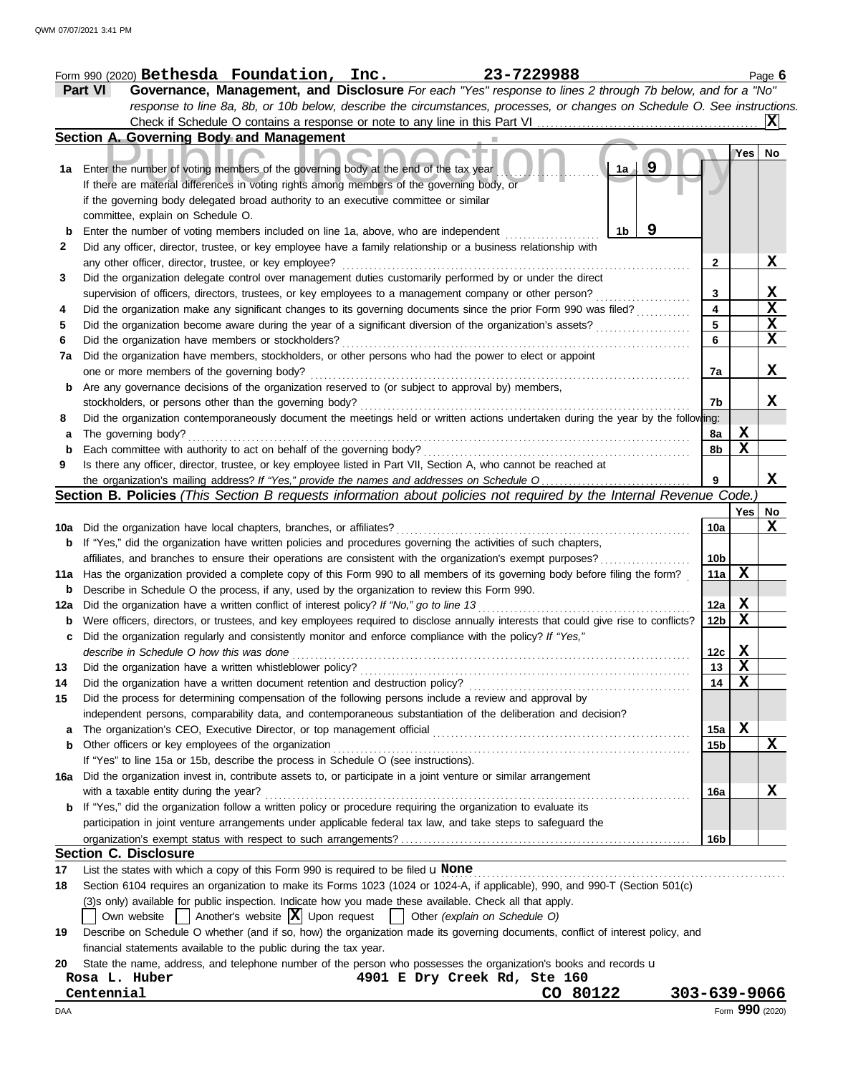|                                                                                                             | 23-7229988<br>Form 990 (2020) $\texttt{Bethesda}$ $\texttt{Foundation, Inc.}$                                                                |                 |     | Page $6$     |  |  |  |  |  |
|-------------------------------------------------------------------------------------------------------------|----------------------------------------------------------------------------------------------------------------------------------------------|-----------------|-----|--------------|--|--|--|--|--|
|                                                                                                             | Part VI<br>Governance, Management, and Disclosure For each "Yes" response to lines 2 through 7b below, and for a "No"                        |                 |     |              |  |  |  |  |  |
|                                                                                                             | response to line 8a, 8b, or 10b below, describe the circumstances, processes, or changes on Schedule O. See instructions.                    |                 |     |              |  |  |  |  |  |
|                                                                                                             | Check if Schedule O contains a response or note to any line in this Part VI.                                                                 |                 |     |              |  |  |  |  |  |
|                                                                                                             | Section A. Governing Body and Management                                                                                                     |                 |     |              |  |  |  |  |  |
|                                                                                                             |                                                                                                                                              |                 | Yes | No           |  |  |  |  |  |
| 1a                                                                                                          | 9<br>1a<br>Enter the number of voting members of the governing body at the end of the tax year                                               |                 |     |              |  |  |  |  |  |
|                                                                                                             | If there are material differences in voting rights among members of the governing body, or                                                   |                 |     |              |  |  |  |  |  |
|                                                                                                             | if the governing body delegated broad authority to an executive committee or similar                                                         |                 |     |              |  |  |  |  |  |
|                                                                                                             | committee, explain on Schedule O.                                                                                                            |                 |     |              |  |  |  |  |  |
| b                                                                                                           | 9<br>Enter the number of voting members included on line 1a, above, who are independent<br>1b                                                |                 |     |              |  |  |  |  |  |
| 2                                                                                                           | Did any officer, director, trustee, or key employee have a family relationship or a business relationship with                               |                 |     |              |  |  |  |  |  |
|                                                                                                             | any other officer, director, trustee, or key employee?                                                                                       | 2               |     | $\mathbf x$  |  |  |  |  |  |
| 3                                                                                                           | Did the organization delegate control over management duties customarily performed by or under the direct                                    |                 |     |              |  |  |  |  |  |
|                                                                                                             | supervision of officers, directors, trustees, or key employees to a management company or other person?                                      | 3               |     | $\mathbf{x}$ |  |  |  |  |  |
| 4                                                                                                           | Did the organization make any significant changes to its governing documents since the prior Form 990 was filed?                             | 4               |     | X            |  |  |  |  |  |
| 5                                                                                                           | Did the organization become aware during the year of a significant diversion of the organization's assets?                                   | 5               |     | X            |  |  |  |  |  |
| 6                                                                                                           | Did the organization have members or stockholders?                                                                                           | 6               |     | X            |  |  |  |  |  |
|                                                                                                             |                                                                                                                                              |                 |     |              |  |  |  |  |  |
| 7a                                                                                                          | Did the organization have members, stockholders, or other persons who had the power to elect or appoint                                      |                 |     | X            |  |  |  |  |  |
|                                                                                                             | one or more members of the governing body?                                                                                                   | 7a              |     |              |  |  |  |  |  |
| b                                                                                                           | Are any governance decisions of the organization reserved to (or subject to approval by) members,                                            |                 |     |              |  |  |  |  |  |
|                                                                                                             | stockholders, or persons other than the governing body?                                                                                      | 7b              |     | X            |  |  |  |  |  |
| 8                                                                                                           | Did the organization contemporaneously document the meetings held or written actions undertaken during the year by the following:            |                 |     |              |  |  |  |  |  |
| а                                                                                                           | The governing body?                                                                                                                          | 8a              | Х   |              |  |  |  |  |  |
| b                                                                                                           | Each committee with authority to act on behalf of the governing body?                                                                        | 8b              | X   |              |  |  |  |  |  |
| 9                                                                                                           | Is there any officer, director, trustee, or key employee listed in Part VII, Section A, who cannot be reached at                             |                 |     |              |  |  |  |  |  |
|                                                                                                             |                                                                                                                                              | 9               |     | X            |  |  |  |  |  |
|                                                                                                             | Section B. Policies (This Section B requests information about policies not required by the Internal Revenue Code.                           |                 |     |              |  |  |  |  |  |
|                                                                                                             |                                                                                                                                              |                 | Yes | No           |  |  |  |  |  |
|                                                                                                             | <b>10a</b> Did the organization have local chapters, branches, or affiliates?                                                                | 10a             |     | X            |  |  |  |  |  |
|                                                                                                             | <b>b</b> If "Yes," did the organization have written policies and procedures governing the activities of such chapters,                      |                 |     |              |  |  |  |  |  |
| affiliates, and branches to ensure their operations are consistent with the organization's exempt purposes? |                                                                                                                                              |                 |     |              |  |  |  |  |  |
|                                                                                                             | 11a Has the organization provided a complete copy of this Form 990 to all members of its governing body before filing the form?              |                 |     |              |  |  |  |  |  |
|                                                                                                             | <b>b</b> Describe in Schedule O the process, if any, used by the organization to review this Form 990.                                       |                 |     |              |  |  |  |  |  |
|                                                                                                             | 12a Did the organization have a written conflict of interest policy? If "No," go to line 13                                                  | 12a             | X   |              |  |  |  |  |  |
|                                                                                                             | <b>b</b> Were officers, directors, or trustees, and key employees required to disclose annually interests that could give rise to conflicts? | 12 <sub>b</sub> | X   |              |  |  |  |  |  |
| c                                                                                                           | Did the organization regularly and consistently monitor and enforce compliance with the policy? If "Yes,"                                    |                 |     |              |  |  |  |  |  |
|                                                                                                             | describe in Schedule O how this was done                                                                                                     | 12c             | X   |              |  |  |  |  |  |
| 13                                                                                                          | Did the organization have a written whistleblower policy?                                                                                    | 13              | X   |              |  |  |  |  |  |
| 14                                                                                                          | Did the organization have a written document retention and destruction policy?                                                               | 14              | X   |              |  |  |  |  |  |
| 15                                                                                                          | Did the process for determining compensation of the following persons include a review and approval by                                       |                 |     |              |  |  |  |  |  |
|                                                                                                             | independent persons, comparability data, and contemporaneous substantiation of the deliberation and decision?                                |                 |     |              |  |  |  |  |  |
| a                                                                                                           | The organization's CEO, Executive Director, or top management official                                                                       | 15a             | X   |              |  |  |  |  |  |
|                                                                                                             | <b>b</b> Other officers or key employees of the organization                                                                                 | 15b             |     | $\mathbf X$  |  |  |  |  |  |
|                                                                                                             | If "Yes" to line 15a or 15b, describe the process in Schedule O (see instructions).                                                          |                 |     |              |  |  |  |  |  |
|                                                                                                             | 16a Did the organization invest in, contribute assets to, or participate in a joint venture or similar arrangement                           |                 |     |              |  |  |  |  |  |
|                                                                                                             | with a taxable entity during the year?                                                                                                       | 16a             |     | Х            |  |  |  |  |  |
|                                                                                                             | <b>b</b> If "Yes," did the organization follow a written policy or procedure requiring the organization to evaluate its                      |                 |     |              |  |  |  |  |  |
|                                                                                                             | participation in joint venture arrangements under applicable federal tax law, and take steps to safeguard the                                |                 |     |              |  |  |  |  |  |
|                                                                                                             |                                                                                                                                              | 16b             |     |              |  |  |  |  |  |
|                                                                                                             | Section C. Disclosure                                                                                                                        |                 |     |              |  |  |  |  |  |
| 17                                                                                                          | List the states with which a copy of this Form 990 is required to be filed $\mathbf u$ None                                                  |                 |     |              |  |  |  |  |  |
| 18                                                                                                          | Section 6104 requires an organization to make its Forms 1023 (1024 or 1024-A, if applicable), 990, and 990-T (Section 501(c)                 |                 |     |              |  |  |  |  |  |
|                                                                                                             | (3)s only) available for public inspection. Indicate how you made these available. Check all that apply.                                     |                 |     |              |  |  |  |  |  |
|                                                                                                             | Other (explain on Schedule O)                                                                                                                |                 |     |              |  |  |  |  |  |
| 19                                                                                                          | Describe on Schedule O whether (and if so, how) the organization made its governing documents, conflict of interest policy, and              |                 |     |              |  |  |  |  |  |
|                                                                                                             | financial statements available to the public during the tax year.                                                                            |                 |     |              |  |  |  |  |  |
| 20                                                                                                          | State the name, address, and telephone number of the person who possesses the organization's books and records u                             |                 |     |              |  |  |  |  |  |
|                                                                                                             | 4901 E Dry Creek Rd, Ste 160<br>Rosa L. Huber                                                                                                |                 |     |              |  |  |  |  |  |
|                                                                                                             |                                                                                                                                              |                 |     |              |  |  |  |  |  |

| Centennial |  |
|------------|--|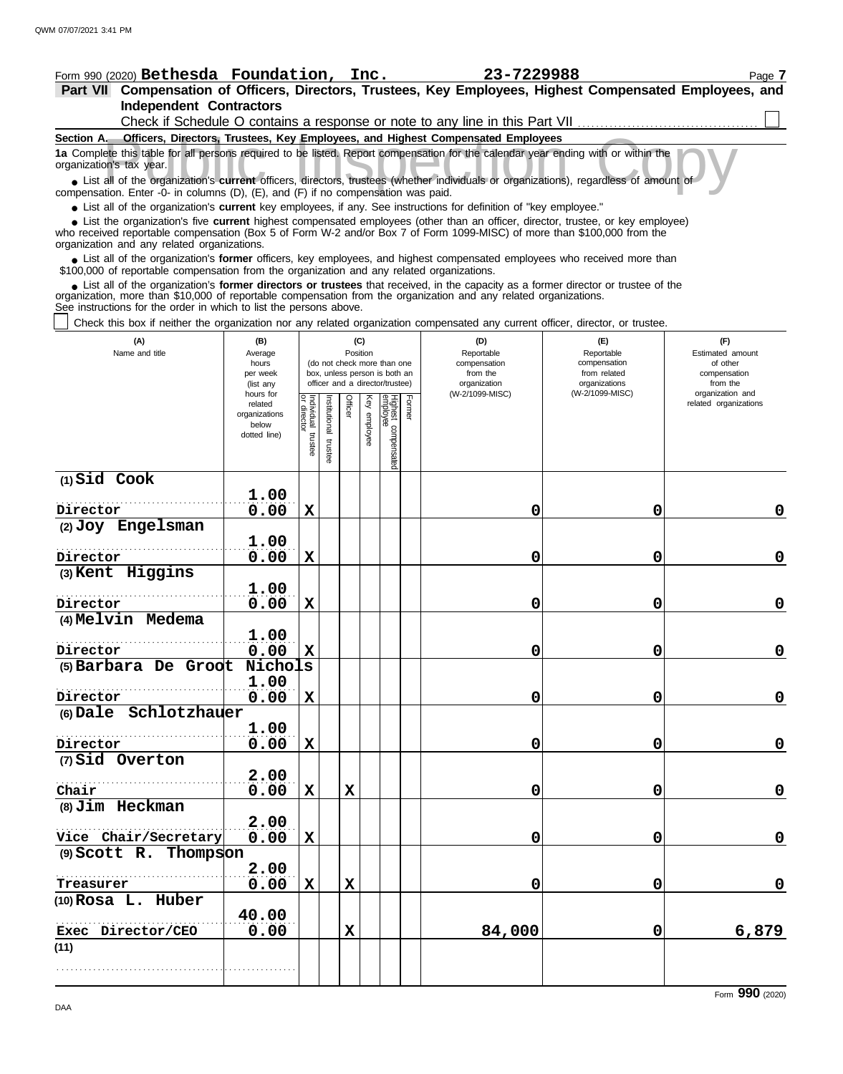| Form 990 (2020) Bethesda Foundation, Inc. $23-7229988$                                                                                                                                                                                                                                                                        |                      |                           |              |         |              |                                                              |        |                                                                              |                              | Page 7                                    |  |  |
|-------------------------------------------------------------------------------------------------------------------------------------------------------------------------------------------------------------------------------------------------------------------------------------------------------------------------------|----------------------|---------------------------|--------------|---------|--------------|--------------------------------------------------------------|--------|------------------------------------------------------------------------------|------------------------------|-------------------------------------------|--|--|
| Part VII Compensation of Officers, Directors, Trustees, Key Employees, Highest Compensated Employees, and                                                                                                                                                                                                                     |                      |                           |              |         |              |                                                              |        |                                                                              |                              |                                           |  |  |
| <b>Independent Contractors</b>                                                                                                                                                                                                                                                                                                |                      |                           |              |         |              |                                                              |        |                                                                              |                              |                                           |  |  |
|                                                                                                                                                                                                                                                                                                                               |                      |                           |              |         |              |                                                              |        | Check if Schedule O contains a response or note to any line in this Part VII |                              |                                           |  |  |
| Section A. Officers, Directors, Trustees, Key Employees, and Highest Compensated Employees                                                                                                                                                                                                                                    |                      |                           |              |         |              |                                                              |        |                                                                              |                              |                                           |  |  |
| 1a Complete this table for all persons required to be listed. Report compensation for the calendar year ending with or within the<br>organization's tax year.                                                                                                                                                                 |                      |                           |              |         |              |                                                              |        |                                                                              |                              |                                           |  |  |
| • List all of the organization's current officers, directors, trustees (whether individuals or organizations), regardless of amount of<br>compensation. Enter -0- in columns (D), (E), and (F) if no compensation was paid.                                                                                                   |                      |                           |              |         |              |                                                              |        |                                                                              |                              |                                           |  |  |
| • List all of the organization's current key employees, if any. See instructions for definition of "key employee."                                                                                                                                                                                                            |                      |                           |              |         |              |                                                              |        |                                                                              |                              |                                           |  |  |
| • List the organization's five current highest compensated employees (other than an officer, director, trustee, or key employee)<br>who received reportable compensation (Box 5 of Form W-2 and/or Box 7 of Form 1099-MISC) of more than \$100,000 from the<br>organization and any related organizations.                    |                      |                           |              |         |              |                                                              |        |                                                                              |                              |                                           |  |  |
| • List all of the organization's former officers, key employees, and highest compensated employees who received more than<br>\$100,000 of reportable compensation from the organization and any related organizations.                                                                                                        |                      |                           |              |         |              |                                                              |        |                                                                              |                              |                                           |  |  |
| • List all of the organization's former directors or trustees that received, in the capacity as a former director or trustee of the<br>organization, more than \$10,000 of reportable compensation from the organization and any related organizations.<br>See instructions for the order in which to list the persons above. |                      |                           |              |         |              |                                                              |        |                                                                              |                              |                                           |  |  |
| Check this box if neither the organization nor any related organization compensated any current officer, director, or trustee.                                                                                                                                                                                                |                      |                           |              |         |              |                                                              |        |                                                                              |                              |                                           |  |  |
| (A)                                                                                                                                                                                                                                                                                                                           | (B)                  |                           |              |         | (C)          |                                                              |        | (D)                                                                          | (E)                          | (F)                                       |  |  |
| Name and title                                                                                                                                                                                                                                                                                                                | Average              |                           |              |         | Position     |                                                              |        | Reportable                                                                   | Reportable                   | Estimated amount                          |  |  |
|                                                                                                                                                                                                                                                                                                                               | hours<br>per week    |                           |              |         |              | (do not check more than one<br>box, unless person is both an |        | compensation<br>from the                                                     | compensation<br>from related | of other<br>compensation                  |  |  |
|                                                                                                                                                                                                                                                                                                                               | (list any            |                           |              |         |              | officer and a director/trustee)                              |        | organization                                                                 | organizations                | from the                                  |  |  |
|                                                                                                                                                                                                                                                                                                                               | hours for<br>related |                           |              |         |              |                                                              |        | (W-2/1099-MISC)                                                              | (W-2/1099-MISC)              | organization and<br>related organizations |  |  |
|                                                                                                                                                                                                                                                                                                                               | organizations        | Individual<br>or director | nstitutional | Officer | Key employee |                                                              | Former |                                                                              |                              |                                           |  |  |
|                                                                                                                                                                                                                                                                                                                               | below                |                           |              |         |              |                                                              |        |                                                                              |                              |                                           |  |  |
|                                                                                                                                                                                                                                                                                                                               | dotted line)         | trustee                   |              |         |              |                                                              |        |                                                                              |                              |                                           |  |  |
|                                                                                                                                                                                                                                                                                                                               |                      |                           | trustee      |         |              | Highest compensated<br>employee                              |        |                                                                              |                              |                                           |  |  |
| $(1)$ Sid Cook                                                                                                                                                                                                                                                                                                                |                      |                           |              |         |              |                                                              |        |                                                                              |                              |                                           |  |  |
|                                                                                                                                                                                                                                                                                                                               | 1.00                 |                           |              |         |              |                                                              |        |                                                                              |                              |                                           |  |  |
|                                                                                                                                                                                                                                                                                                                               |                      |                           |              |         |              |                                                              |        |                                                                              |                              |                                           |  |  |
| Director                                                                                                                                                                                                                                                                                                                      | 0.00                 | $\mathbf x$               |              |         |              |                                                              |        | 0                                                                            | 0                            | 0                                         |  |  |
| (2) Joy Engelsman                                                                                                                                                                                                                                                                                                             |                      |                           |              |         |              |                                                              |        |                                                                              |                              |                                           |  |  |
|                                                                                                                                                                                                                                                                                                                               | 1.00                 |                           |              |         |              |                                                              |        |                                                                              |                              |                                           |  |  |
| Director                                                                                                                                                                                                                                                                                                                      | 0.00                 | $\mathbf x$               |              |         |              |                                                              |        | 0                                                                            | 0                            | $\mathbf 0$                               |  |  |
| (3) Kent Higgins                                                                                                                                                                                                                                                                                                              | 1.00                 |                           |              |         |              |                                                              |        |                                                                              |                              |                                           |  |  |
| Director                                                                                                                                                                                                                                                                                                                      | 0.00                 | X                         |              |         |              |                                                              |        | 0                                                                            | 0                            | $\mathbf 0$                               |  |  |
| $(4)$ Melvin<br>Medema                                                                                                                                                                                                                                                                                                        |                      |                           |              |         |              |                                                              |        |                                                                              |                              |                                           |  |  |
|                                                                                                                                                                                                                                                                                                                               | 1.00                 |                           |              |         |              |                                                              |        |                                                                              |                              |                                           |  |  |
| Director                                                                                                                                                                                                                                                                                                                      | 0.00                 | X                         |              |         |              |                                                              |        | 0                                                                            | 0                            | $\mathbf 0$                               |  |  |
| (5) Barbara De Groot                                                                                                                                                                                                                                                                                                          | Nichols              |                           |              |         |              |                                                              |        |                                                                              |                              |                                           |  |  |
|                                                                                                                                                                                                                                                                                                                               | 1.00                 |                           |              |         |              |                                                              |        |                                                                              |                              |                                           |  |  |
| Director                                                                                                                                                                                                                                                                                                                      | 0.00                 | X                         |              |         |              |                                                              |        | 0                                                                            | 0                            | 0                                         |  |  |
| (6) Dale Schlotzhauer                                                                                                                                                                                                                                                                                                         |                      |                           |              |         |              |                                                              |        |                                                                              |                              |                                           |  |  |
|                                                                                                                                                                                                                                                                                                                               | 1.00                 |                           |              |         |              |                                                              |        |                                                                              |                              |                                           |  |  |
| Director                                                                                                                                                                                                                                                                                                                      | 0.00                 | $\mathbf X$               |              |         |              |                                                              |        | 0                                                                            | 0                            | 0                                         |  |  |
| (7) Sid Overton                                                                                                                                                                                                                                                                                                               |                      |                           |              |         |              |                                                              |        |                                                                              |                              |                                           |  |  |
|                                                                                                                                                                                                                                                                                                                               | 2.00                 |                           |              |         |              |                                                              |        |                                                                              |                              |                                           |  |  |
| Chair                                                                                                                                                                                                                                                                                                                         |                      |                           |              | X       |              |                                                              |        | 0                                                                            | 0                            |                                           |  |  |
|                                                                                                                                                                                                                                                                                                                               | 0.00                 | X                         |              |         |              |                                                              |        |                                                                              |                              | 0                                         |  |  |
| (8) Jim Heckman                                                                                                                                                                                                                                                                                                               |                      |                           |              |         |              |                                                              |        |                                                                              |                              |                                           |  |  |
|                                                                                                                                                                                                                                                                                                                               | 2.00                 |                           |              |         |              |                                                              |        |                                                                              |                              |                                           |  |  |
| Vice Chair/Secretary                                                                                                                                                                                                                                                                                                          | 0.00                 | X                         |              |         |              |                                                              |        | 0                                                                            | $\mathbf 0$                  | 0                                         |  |  |
| (9) Scott R. Thompson                                                                                                                                                                                                                                                                                                         |                      |                           |              |         |              |                                                              |        |                                                                              |                              |                                           |  |  |

**0.00 X X 0 0 0**

**0.00 X 84,000 0 6,879**

**(11)**

**(10) Rosa L. Huber**

. . . . . . . . . . . . . . . . . . . . . . . . . . . . . . . . . . . . . . . . . . . . . . . . . . . . .

. . . . . . . . . . . . . . . . . . . . . . . . . . . . . . . . . . . . . . . . . . . . . . . . . . . . . **Treasurer**

**2.00**

**40.00**

**Exec Director/CEO**  $10.00$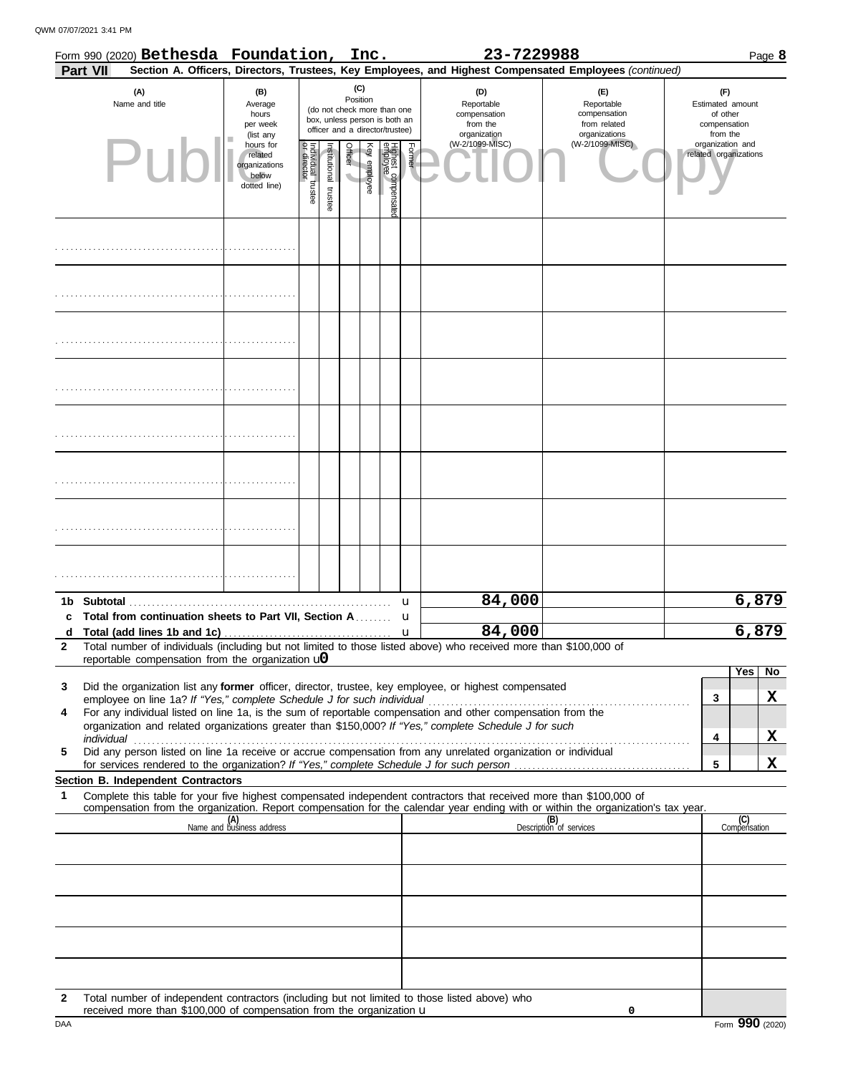QWM 07/07/2021 3:41 PM

|              | Form 990 (2020) Bethesda Foundation, Inc.<br>Section A. Officers, Directors, Trustees, Key Employees, and Highest Compensated Employees (continued)<br><b>Part VII</b>                 |                                                                |                                                                                                                    |                      |                                     |              |                                |        | 23-7229988                                                    |                                                                    | Page 8                                                          |                                           |       |  |  |
|--------------|----------------------------------------------------------------------------------------------------------------------------------------------------------------------------------------|----------------------------------------------------------------|--------------------------------------------------------------------------------------------------------------------|----------------------|-------------------------------------|--------------|--------------------------------|--------|---------------------------------------------------------------|--------------------------------------------------------------------|-----------------------------------------------------------------|-------------------------------------------|-------|--|--|
|              | (A)<br>Name and title                                                                                                                                                                  | (B)<br>Average<br>hours<br>per week<br>(list any               | (C)<br>Position<br>(do not check more than one<br>box, unless person is both an<br>officer and a director/trustee) |                      |                                     |              |                                |        | (D)<br>Reportable<br>compensation<br>from the<br>organization | (E)<br>Reportable<br>compensation<br>from related<br>organizations | (F)<br>Estimated amount<br>of other<br>compensation<br>from the |                                           |       |  |  |
| Pur          |                                                                                                                                                                                        | hours for<br>related<br>organizations<br>below<br>dotted line) | ndividual trustee<br>or director                                                                                   | nstitutional trustee | Officer<br>$\overline{\phantom{a}}$ | Key employee | Highest compensate<br>employee | Former | (W-2/1099-MISC)                                               | (W-2/1099-MISC)                                                    |                                                                 | organization and<br>related organizations |       |  |  |
|              |                                                                                                                                                                                        |                                                                |                                                                                                                    |                      |                                     |              |                                |        |                                                               |                                                                    |                                                                 |                                           |       |  |  |
|              |                                                                                                                                                                                        |                                                                |                                                                                                                    |                      |                                     |              |                                |        |                                                               |                                                                    |                                                                 |                                           |       |  |  |
|              |                                                                                                                                                                                        |                                                                |                                                                                                                    |                      |                                     |              |                                |        |                                                               |                                                                    |                                                                 |                                           |       |  |  |
|              |                                                                                                                                                                                        |                                                                |                                                                                                                    |                      |                                     |              |                                |        |                                                               |                                                                    |                                                                 |                                           |       |  |  |
|              |                                                                                                                                                                                        |                                                                |                                                                                                                    |                      |                                     |              |                                |        |                                                               |                                                                    |                                                                 |                                           |       |  |  |
|              |                                                                                                                                                                                        |                                                                |                                                                                                                    |                      |                                     |              |                                |        |                                                               |                                                                    |                                                                 |                                           |       |  |  |
|              |                                                                                                                                                                                        |                                                                |                                                                                                                    |                      |                                     |              |                                |        |                                                               |                                                                    |                                                                 |                                           |       |  |  |
|              |                                                                                                                                                                                        |                                                                |                                                                                                                    |                      |                                     |              |                                |        | 84,000                                                        |                                                                    |                                                                 |                                           | 6,879 |  |  |
| c            | Total from continuation sheets to Part VII, Section A                                                                                                                                  |                                                                |                                                                                                                    |                      |                                     |              |                                | u<br>u |                                                               |                                                                    |                                                                 |                                           |       |  |  |
| d            |                                                                                                                                                                                        |                                                                |                                                                                                                    |                      |                                     |              |                                | u      | 84,000                                                        |                                                                    |                                                                 |                                           | 6,879 |  |  |
| $\mathbf{2}$ | Total number of individuals (including but not limited to those listed above) who received more than \$100,000 of<br>reportable compensation from the organization $\mathbf{u}$        |                                                                |                                                                                                                    |                      |                                     |              |                                |        |                                                               |                                                                    |                                                                 |                                           |       |  |  |
|              |                                                                                                                                                                                        |                                                                |                                                                                                                    |                      |                                     |              |                                |        |                                                               |                                                                    |                                                                 | Yes                                       | No    |  |  |
| 3            | Did the organization list any <b>former</b> officer, director, trustee, key employee, or highest compensated<br>employee on line 1a? If "Yes," complete Schedule J for such individual |                                                                |                                                                                                                    |                      |                                     |              |                                |        |                                                               |                                                                    | 3                                                               |                                           | X     |  |  |
| 4            | For any individual listed on line 1a, is the sum of reportable compensation and other compensation from the                                                                            |                                                                |                                                                                                                    |                      |                                     |              |                                |        |                                                               |                                                                    |                                                                 |                                           |       |  |  |
|              | organization and related organizations greater than \$150,000? If "Yes," complete Schedule J for such<br>individual                                                                    |                                                                |                                                                                                                    |                      |                                     |              |                                |        |                                                               |                                                                    | 4                                                               |                                           | x     |  |  |
| 5            | Did any person listed on line 1a receive or accrue compensation from any unrelated organization or individual                                                                          |                                                                |                                                                                                                    |                      |                                     |              |                                |        |                                                               |                                                                    |                                                                 |                                           |       |  |  |
|              | Section B. Independent Contractors                                                                                                                                                     |                                                                |                                                                                                                    |                      |                                     |              |                                |        |                                                               |                                                                    | 5                                                               |                                           | X     |  |  |
| 1            | Complete this table for your five highest compensated independent contractors that received more than \$100,000 of                                                                     |                                                                |                                                                                                                    |                      |                                     |              |                                |        |                                                               |                                                                    |                                                                 |                                           |       |  |  |
|              | compensation from the organization. Report compensation for the calendar year ending with or within the organization's tax year.                                                       |                                                                |                                                                                                                    |                      |                                     |              |                                |        |                                                               |                                                                    |                                                                 |                                           |       |  |  |
|              |                                                                                                                                                                                        | (A)<br>Name and business address                               |                                                                                                                    |                      |                                     |              |                                |        |                                                               | (B)<br>Description of services                                     |                                                                 | (C)<br>Compensation                       |       |  |  |
|              |                                                                                                                                                                                        |                                                                |                                                                                                                    |                      |                                     |              |                                |        |                                                               |                                                                    |                                                                 |                                           |       |  |  |
|              |                                                                                                                                                                                        |                                                                |                                                                                                                    |                      |                                     |              |                                |        |                                                               |                                                                    |                                                                 |                                           |       |  |  |
|              |                                                                                                                                                                                        |                                                                |                                                                                                                    |                      |                                     |              |                                |        |                                                               |                                                                    |                                                                 |                                           |       |  |  |
|              |                                                                                                                                                                                        |                                                                |                                                                                                                    |                      |                                     |              |                                |        |                                                               |                                                                    |                                                                 |                                           |       |  |  |
|              |                                                                                                                                                                                        |                                                                |                                                                                                                    |                      |                                     |              |                                |        |                                                               |                                                                    |                                                                 |                                           |       |  |  |
|              |                                                                                                                                                                                        |                                                                |                                                                                                                    |                      |                                     |              |                                |        |                                                               |                                                                    |                                                                 |                                           |       |  |  |
|              |                                                                                                                                                                                        |                                                                |                                                                                                                    |                      |                                     |              |                                |        |                                                               |                                                                    |                                                                 |                                           |       |  |  |
| 2            | Total number of independent contractors (including but not limited to those listed above) who                                                                                          |                                                                |                                                                                                                    |                      |                                     |              |                                |        |                                                               |                                                                    |                                                                 |                                           |       |  |  |

| \$100,000 of<br>received<br>more<br>than<br>compensation<br>e organization <b>u</b><br>trom<br>the |                           |
|----------------------------------------------------------------------------------------------------|---------------------------|
| DAA                                                                                                | ۵Q<br>(2020<br>Form<br>-- |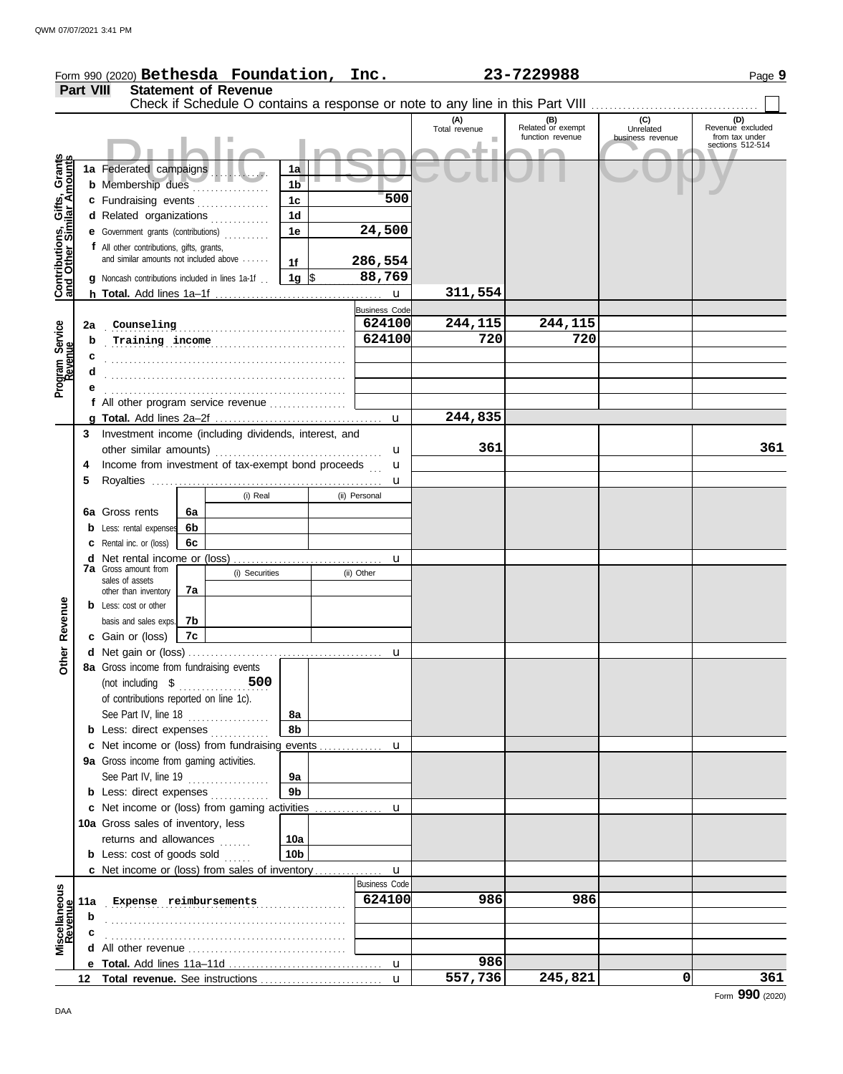|                                                                  |                  | Form 990 (2020) Bethesda Foundation, Inc.                      |    |                             |                                  |                      |                      | 23-7229988                                                                    |                  | Page 9                             |
|------------------------------------------------------------------|------------------|----------------------------------------------------------------|----|-----------------------------|----------------------------------|----------------------|----------------------|-------------------------------------------------------------------------------|------------------|------------------------------------|
|                                                                  | <b>Part VIII</b> |                                                                |    | <b>Statement of Revenue</b> |                                  |                      |                      |                                                                               |                  |                                    |
|                                                                  |                  |                                                                |    |                             |                                  |                      |                      | Check if Schedule O contains a response or note to any line in this Part VIII |                  |                                    |
|                                                                  |                  |                                                                |    |                             |                                  |                      | (A)<br>Total revenue | (B)<br>Related or exempt                                                      | (C)<br>Unrelated | (D)<br>Revenue excluded            |
|                                                                  |                  |                                                                |    |                             |                                  |                      |                      | function revenue                                                              | business revenue | from tax under<br>sections 512-514 |
|                                                                  |                  |                                                                |    |                             |                                  |                      |                      |                                                                               |                  |                                    |
|                                                                  |                  | 1a Federated campaigns                                         |    |                             | 1a                               |                      |                      |                                                                               |                  |                                    |
|                                                                  |                  | <b>b</b> Membership dues                                       |    |                             | 1 <sub>b</sub>                   | 500                  |                      |                                                                               |                  |                                    |
|                                                                  |                  | c Fundraising events                                           |    |                             | 1 <sub>c</sub><br>1 <sub>d</sub> |                      |                      |                                                                               |                  |                                    |
|                                                                  |                  | d Related organizations<br>e Government grants (contributions) |    |                             | 1e                               | 24,500               |                      |                                                                               |                  |                                    |
|                                                                  |                  | f All other contributions, gifts, grants,                      |    |                             |                                  |                      |                      |                                                                               |                  |                                    |
|                                                                  |                  | and similar amounts not included above                         |    |                             | 1f                               | 286,554              |                      |                                                                               |                  |                                    |
|                                                                  |                  | <b>g</b> Noncash contributions included in lines 1a-1f         |    |                             | 1g $\frac{1}{3}$                 | 88,769               |                      |                                                                               |                  |                                    |
| <b>Contributions, Gifts, Grants</b><br>and Other Similar Amounts |                  |                                                                |    |                             |                                  |                      | 311,554              |                                                                               |                  |                                    |
|                                                                  |                  |                                                                |    |                             |                                  | <b>Business Code</b> |                      |                                                                               |                  |                                    |
|                                                                  | 2a               | Counseling                                                     |    |                             |                                  | 624100               | 244,115              | 244,115                                                                       |                  |                                    |
|                                                                  | b                |                                                                |    |                             |                                  | 624100               | 720                  | 720                                                                           |                  |                                    |
| Program Service<br>Revenue                                       | с                |                                                                |    |                             |                                  |                      |                      |                                                                               |                  |                                    |
|                                                                  |                  |                                                                |    |                             |                                  |                      |                      |                                                                               |                  |                                    |
|                                                                  |                  |                                                                |    |                             |                                  |                      |                      |                                                                               |                  |                                    |
|                                                                  |                  | f All other program service revenue                            |    |                             |                                  |                      |                      |                                                                               |                  |                                    |
|                                                                  |                  |                                                                |    |                             |                                  |                      | 244,835              |                                                                               |                  |                                    |
|                                                                  | 3                | Investment income (including dividends, interest, and          |    |                             |                                  |                      |                      |                                                                               |                  |                                    |
|                                                                  |                  |                                                                |    |                             |                                  | u                    | 361                  |                                                                               |                  | 361                                |
|                                                                  | 4                | Income from investment of tax-exempt bond proceeds             |    |                             |                                  | u                    |                      |                                                                               |                  |                                    |
|                                                                  | 5                |                                                                |    |                             |                                  | u                    |                      |                                                                               |                  |                                    |
|                                                                  |                  |                                                                |    | (i) Real                    |                                  | (ii) Personal        |                      |                                                                               |                  |                                    |
|                                                                  |                  | 6a Gross rents                                                 | 6a |                             |                                  |                      |                      |                                                                               |                  |                                    |
|                                                                  |                  | <b>b</b> Less: rental expenses                                 | 6b |                             |                                  |                      |                      |                                                                               |                  |                                    |
|                                                                  |                  | <b>c</b> Rental inc. or (loss)                                 | 6c |                             |                                  |                      |                      |                                                                               |                  |                                    |
|                                                                  |                  | <b>7a</b> Gross amount from                                    |    |                             |                                  | u                    |                      |                                                                               |                  |                                    |
|                                                                  |                  | sales of assets                                                |    | (i) Securities              |                                  | (ii) Other           |                      |                                                                               |                  |                                    |
|                                                                  |                  | other than inventory                                           | 7a |                             |                                  |                      |                      |                                                                               |                  |                                    |
| Revenue                                                          |                  | <b>b</b> Less: cost or other                                   |    |                             |                                  |                      |                      |                                                                               |                  |                                    |
|                                                                  |                  | basis and sales exps.                                          | 7b |                             |                                  |                      |                      |                                                                               |                  |                                    |
|                                                                  |                  | c Gain or (loss)                                               | 7c |                             |                                  |                      |                      |                                                                               |                  |                                    |
| Other                                                            |                  | 8a Gross income from fundraising events                        |    |                             |                                  |                      |                      |                                                                               |                  |                                    |
|                                                                  |                  | (not including $\$$                                            |    | 500                         |                                  |                      |                      |                                                                               |                  |                                    |
|                                                                  |                  | of contributions reported on line 1c).                         |    |                             |                                  |                      |                      |                                                                               |                  |                                    |
|                                                                  |                  | See Part IV, line 18                                           |    |                             | 8а                               |                      |                      |                                                                               |                  |                                    |
|                                                                  |                  | <b>b</b> Less: direct expenses                                 |    |                             | 8b                               |                      |                      |                                                                               |                  |                                    |
|                                                                  |                  | c Net income or (loss) from fundraising events                 |    |                             |                                  | u                    |                      |                                                                               |                  |                                    |
|                                                                  |                  | 9a Gross income from gaming activities.                        |    |                             |                                  |                      |                      |                                                                               |                  |                                    |
|                                                                  |                  | See Part IV, line 19 $\ldots$                                  |    |                             | 9а                               |                      |                      |                                                                               |                  |                                    |
|                                                                  |                  | <b>b</b> Less: direct expenses                                 |    |                             | 9 <sub>b</sub>                   |                      |                      |                                                                               |                  |                                    |
|                                                                  |                  | c Net income or (loss) from gaming activities                  |    |                             |                                  | u                    |                      |                                                                               |                  |                                    |
|                                                                  |                  | 10a Gross sales of inventory, less                             |    |                             |                                  |                      |                      |                                                                               |                  |                                    |
|                                                                  |                  | returns and allowances                                         |    |                             | 10a                              |                      |                      |                                                                               |                  |                                    |
|                                                                  |                  | <b>b</b> Less: cost of goods sold                              |    |                             | 10b                              |                      |                      |                                                                               |                  |                                    |
|                                                                  |                  | c Net income or (loss) from sales of inventory                 |    |                             |                                  | u                    |                      |                                                                               |                  |                                    |
|                                                                  |                  |                                                                |    |                             |                                  | <b>Business Code</b> |                      |                                                                               |                  |                                    |
| Miscellaneous<br>Revenue                                         |                  | 11a Expense reimbursements                                     |    |                             |                                  | 624100               | 986                  | 986                                                                           |                  |                                    |
|                                                                  | b                |                                                                |    |                             |                                  |                      |                      |                                                                               |                  |                                    |
|                                                                  | с                |                                                                |    |                             |                                  |                      |                      |                                                                               |                  |                                    |
|                                                                  |                  |                                                                |    |                             |                                  | u                    | 986                  |                                                                               |                  |                                    |
|                                                                  |                  |                                                                |    |                             |                                  | $\mathbf{u}$         | 557,736              | 245,821                                                                       | 0                | 361                                |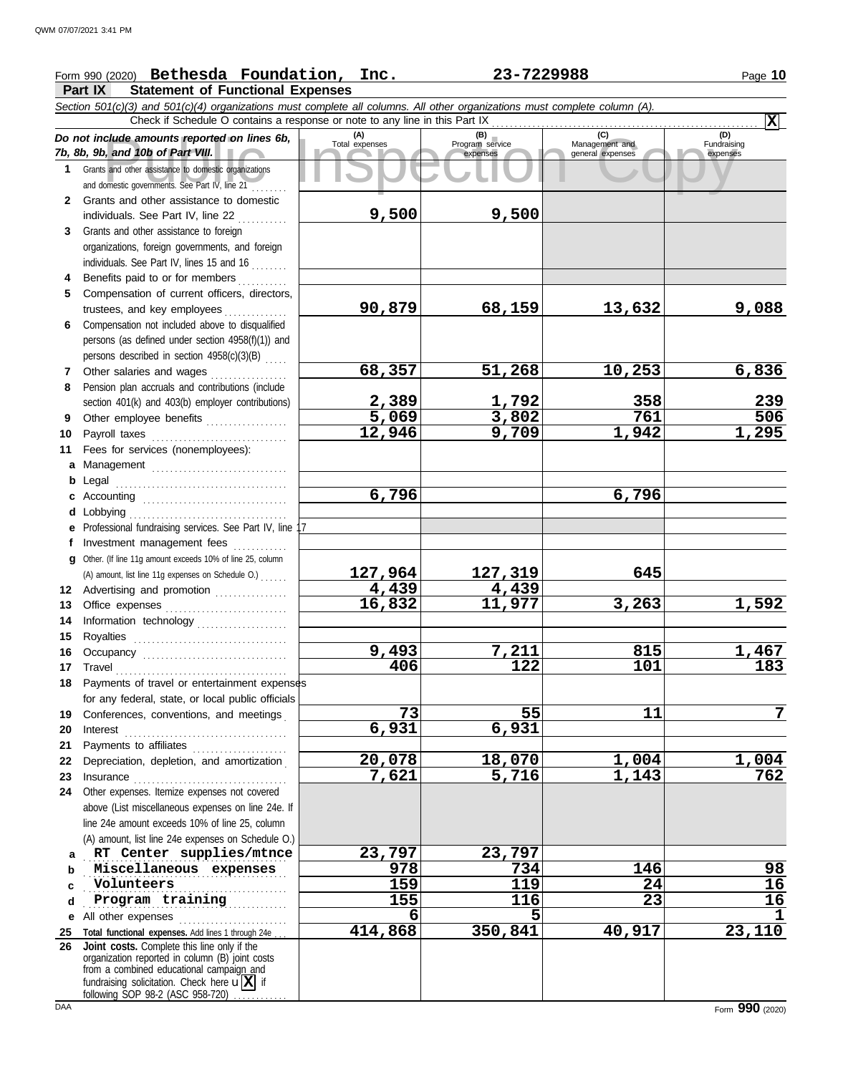## Form 990 (2020) Page **10 Bethesda Foundation, Inc. 23-7229988**

**Part IX Statement of Functional Expenses**

Course amounts reported on lines 6b, Total expenses<br>
Program service Management and Copyright Service Expenses<br>
and other assistance to domestic organizations<br>
Sand other assistance to domestic organizations<br>
Sand other as *Section 501(c)(3) and 501(c)(4) organizations must complete all columns. All other organizations must complete column (A). Do not include amounts reported on lines 6b, 7b, 8b, 9b, and 10b of Part VIII.* **1 2 3 4 5 6** Compensation not included above to disqualified **7 8 9 10 11 a** Management .............................. **b** Legal **c** Accounting . . . . . . . . . . . . . . . . . . . . . . . . . . . . . . . . **d e f g 12** Advertising and promotion ............... **13 14 15 16 17 18 19 20 21 22** Depreciation, depletion, and amortization . **23** Insurance . . . . . . . . . . . . . . . . . . . . . . . . . . . . . . . . . . **24** Other expenses. Itemize expenses not covered **a** . . . . . . . . . . . . . . . . . . . . . . . . . . . . . . . . . . . . . . . . . . . . . **RT Center supplies/mtnce 23,797 23,797 b c d e** All other expenses . . . . . . . . . . . . . . . . . . . . . . . . **25 Total functional expenses.** Add lines 1 through 24e . . . **26** Grants and other assistance to domestic organizations and domestic governments. See Part IV, line 21 . . . . . . . . Grants and other assistance to domestic individuals. See Part IV, line 22 Grants and other assistance to foreign organizations, foreign governments, and foreign individuals. See Part IV, lines 15 and 16 Benefits paid to or for members . . . . . . . . . . Compensation of current officers, directors, trustees, and key employees .............. persons (as defined under section 4958(f)(1)) and persons described in section 4958(c)(3)(B) . . . . . Other salaries and wages ............ Pension plan accruals and contributions (include section 401(k) and 403(b) employer contributions) Other employee benefits .................. Payroll taxes ............................. Fees for services (nonemployees): . . . . . . . . . . . . . . . . . . . . . . . . . . . . . . . . . . . . . . Lobbying . . . . . . . . . . . . . . . . . . . . . . . . . . . . . . . . . . . Professional fundraising services. See Part IV, line 17 Investment management fees Other. (If line 11g amount exceeds 10% of line 25, column Office expenses ............................. Information technology . . . . . . . . . . . . . . . . . . . . Royalties . . . . . . . . . . . . . . . . . . . . . . . . . . . . . . . . . . Occupancy . . . . . . . . . . . . . . . . . . . . . . . . . . . . . . . . Travel . . . . . . . . . . . . . . . . . . . . . . . . . . . . . . . . . . . . . . Payments of travel or entertainment expenses for any federal, state, or local public officials Conferences, conventions, and meetings . Interest . . . . . . . . . . . . . . . . . . . . . . . . . . . . . . . . . . . . Payments to affiliates . . . . . . . . . . . . . . . . . . . . . above (List miscellaneous expenses on line 24e. If line 24e amount exceeds 10% of line 25, column (A) amount, list line 24e expenses on Schedule O.) fundraising solicitation. Check here  $\mathbf{u}[\mathbf{X}]$  if organization reported in column (B) joint costs from a combined educational campaign and following SOP 98-2 (ASC 958-720) **(A) (B) (C) (D)** Total expenses Program service Management and expenses (B)<br>
Program service Management and general expenses  $(D)$ Fundraising expenses . . . . . . . . . . . . . . . . . . . . . . . . . . . . . . . . . . . . . . . . . . . . . **Miscellaneous expenses 978 734 146 98** Volunteers . . . . . . . . . . . . . . . . . . . . . . . . . . . . . . . . . . . . . . . . . . . . . **Program training 155 116 23 16** Check if Schedule O contains a response or note to any line in this Part IX **Joint costs.** Complete this line only if the (A) amount, list line 11g expenses on Schedule O.) . . . . . . **X 9,500 9,500 90,879 68,159 13,632 9,088 68,357 51,268 10,253 6,836 2,389 1,792 358 239 5,069 3,802 761 506 12,946 9,709 1,942 1,295 6,796 6,796 127,964 127,319 645 4,439 4,439 16,832 11,977 3,263 1,592 9,493 7,211 815 1,467 406 122 101 183 73 55 11 7 6,931 6,931 20,078 18,070 1,004 1,004 7,621 5,716 1,143 762 Volunteers 159 119 24 16 6 5 1 414,868 350,841 40,917 23,110**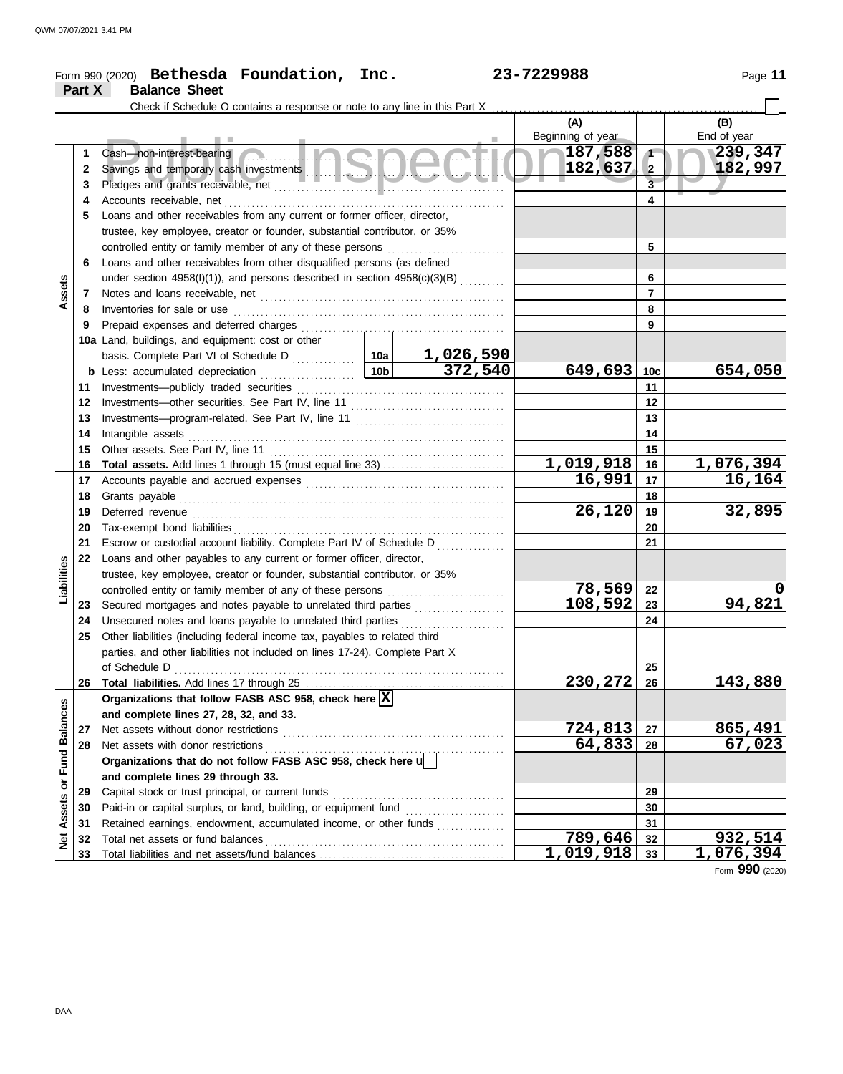|                         |          | Form 990 (2020) Bethesda Foundation, Inc.                                                                                       |  |  | 23-7229988        |                         | Page 11                  |
|-------------------------|----------|---------------------------------------------------------------------------------------------------------------------------------|--|--|-------------------|-------------------------|--------------------------|
|                         | Part X   | <b>Balance Sheet</b>                                                                                                            |  |  |                   |                         |                          |
|                         |          |                                                                                                                                 |  |  |                   |                         |                          |
|                         |          |                                                                                                                                 |  |  | (A)               |                         | (B)                      |
|                         |          | <b>COLLEGE</b><br><b>Contract Contract</b>                                                                                      |  |  | Beginning of year |                         | End of year              |
|                         | 1        | Cash—non-interest-bearing                                                                                                       |  |  | 187,588           | $\sqrt{ }$              | 1239,347                 |
|                         | 2        |                                                                                                                                 |  |  | 182,637           | $\overline{2}$          | 182,997                  |
|                         | 3        |                                                                                                                                 |  |  |                   | $\overline{\mathbf{3}}$ |                          |
|                         | 4        |                                                                                                                                 |  |  |                   | 4                       |                          |
|                         | 5        | Loans and other receivables from any current or former officer, director,                                                       |  |  |                   |                         |                          |
|                         |          | trustee, key employee, creator or founder, substantial contributor, or 35%                                                      |  |  |                   |                         |                          |
|                         |          |                                                                                                                                 |  |  |                   | 5                       |                          |
|                         | 6        | Loans and other receivables from other disqualified persons (as defined                                                         |  |  |                   |                         |                          |
|                         |          | under section $4958(f)(1)$ ), and persons described in section $4958(c)(3)(B)$                                                  |  |  |                   | 6                       |                          |
| Assets                  | 7        |                                                                                                                                 |  |  |                   | $\overline{7}$          |                          |
|                         | 8        |                                                                                                                                 |  |  |                   | 8                       |                          |
|                         | 9        |                                                                                                                                 |  |  |                   | 9                       |                          |
|                         |          | 10a Land, buildings, and equipment: cost or other                                                                               |  |  |                   |                         |                          |
|                         |          |                                                                                                                                 |  |  |                   |                         |                          |
|                         |          |                                                                                                                                 |  |  | 649,693           | 10 <sub>c</sub>         | 654,050                  |
|                         | 11       |                                                                                                                                 |  |  |                   | 11                      |                          |
|                         | 12       |                                                                                                                                 |  |  |                   | 12                      |                          |
|                         | 13       |                                                                                                                                 |  |  |                   | 13                      |                          |
|                         | 14       | Intangible assets                                                                                                               |  |  |                   | 14                      |                          |
|                         | 15       |                                                                                                                                 |  |  |                   | 15                      |                          |
|                         | 16       |                                                                                                                                 |  |  | <u>1,019,918</u>  | 16                      | <u>1,076,394</u>         |
|                         | 17       |                                                                                                                                 |  |  | 16,991            | 17                      | 16,164                   |
|                         | 18       |                                                                                                                                 |  |  |                   | 18                      |                          |
|                         | 19       | Deferred revenue                                                                                                                |  |  | 26,120            | 19                      | 32,895                   |
|                         | 20       |                                                                                                                                 |  |  |                   | 20                      |                          |
|                         | 21       | Escrow or custodial account liability. Complete Part IV of Schedule D                                                           |  |  |                   | 21                      |                          |
|                         | 22       | Loans and other payables to any current or former officer, director,                                                            |  |  |                   |                         |                          |
|                         |          | trustee, key employee, creator or founder, substantial contributor, or 35%                                                      |  |  |                   |                         |                          |
| Liabilities             |          | controlled entity or family member of any of these persons                                                                      |  |  | 78,569            | 22                      |                          |
|                         | 23       | Secured mortgages and notes payable to unrelated third parties                                                                  |  |  | 108,592           | 23                      | 94,821                   |
|                         | 24       | Unsecured notes and loans payable to unrelated third parties [111] Unsecured notes and loans payable to unrelated third parties |  |  |                   | 24                      |                          |
|                         | 25       | Other liabilities (including federal income tax, payables to related third                                                      |  |  |                   |                         |                          |
|                         |          | parties, and other liabilities not included on lines 17-24). Complete Part X                                                    |  |  |                   |                         |                          |
|                         |          | of Schedule D                                                                                                                   |  |  |                   | 25                      |                          |
|                         | 26       |                                                                                                                                 |  |  | 230,272           | 26                      | 143,880                  |
|                         |          | Organizations that follow FASB ASC 958, check here $\boxed{\text{X}}$                                                           |  |  |                   |                         |                          |
|                         |          | and complete lines 27, 28, 32, and 33.                                                                                          |  |  |                   |                         |                          |
|                         | 27       | Net assets without donor restrictions                                                                                           |  |  | 724,813<br>64,833 | 27                      | <u>865,491</u><br>67,023 |
|                         | 28       | Net assets with donor restrictions                                                                                              |  |  |                   | 28                      |                          |
| Assets or Fund Balances |          | Organizations that do not follow FASB ASC 958, check here u                                                                     |  |  |                   |                         |                          |
|                         | 29       | and complete lines 29 through 33.<br>Capital stock or trust principal, or current funds                                         |  |  |                   | 29                      |                          |
|                         | 30       | Paid-in or capital surplus, or land, building, or equipment fund                                                                |  |  |                   | 30                      |                          |
|                         | 31       | Retained earnings, endowment, accumulated income, or other funds                                                                |  |  |                   | 31                      |                          |
|                         |          |                                                                                                                                 |  |  | 789,646           | 32                      | 932,514                  |
| ğ                       | 32<br>33 | Total net assets or fund balances                                                                                               |  |  | 1,019,918         | 33                      | 1,076,394                |
|                         |          |                                                                                                                                 |  |  |                   |                         |                          |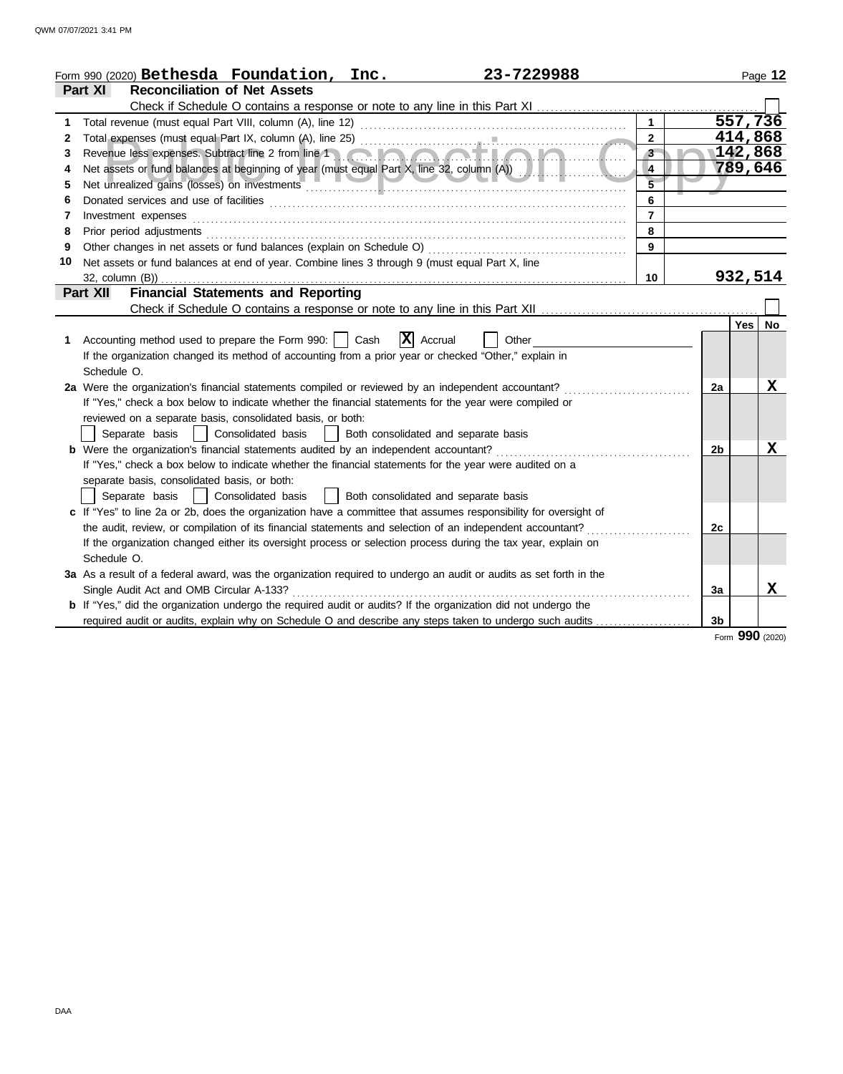|    | Form 990 (2020) Bethesda Foundation, Inc.<br>23-7229988                                                                                                                                                                        |                 |                |            | Page 12   |
|----|--------------------------------------------------------------------------------------------------------------------------------------------------------------------------------------------------------------------------------|-----------------|----------------|------------|-----------|
|    | Part XI<br><b>Reconciliation of Net Assets</b>                                                                                                                                                                                 |                 |                |            |           |
|    |                                                                                                                                                                                                                                |                 |                |            |           |
| 1  |                                                                                                                                                                                                                                |                 |                | 557,736    |           |
| 2  |                                                                                                                                                                                                                                | $\mathbf{2}$    |                | 414,868    |           |
| 3  |                                                                                                                                                                                                                                | 3               |                | 142,868    |           |
| 4  | Net assets or fund balances at beginning of year (must equal Part X, line 32, column (A))                                                                                                                                      | $\overline{4}$  |                | 789,646    |           |
| 5  |                                                                                                                                                                                                                                | $\overline{5}$  |                |            |           |
| 6  |                                                                                                                                                                                                                                | 6               |                |            |           |
| 7  | Investment expenses                                                                                                                                                                                                            | $\overline{7}$  |                |            |           |
| 8  | Prior period adjustments [11, 12] and the contract of the contract of the contract of the contract of the contract of the contract of the contract of the contract of the contract of the contract of the contract of the cont | 8               |                |            |           |
| 9  |                                                                                                                                                                                                                                | $\overline{9}$  |                |            |           |
| 10 | Net assets or fund balances at end of year. Combine lines 3 through 9 (must equal Part X, line                                                                                                                                 |                 |                |            |           |
|    | $32$ , column $(B)$ )                                                                                                                                                                                                          | 10 <sup>1</sup> |                | 932,514    |           |
|    | <b>Financial Statements and Reporting</b><br><b>Part XII</b>                                                                                                                                                                   |                 |                |            |           |
|    |                                                                                                                                                                                                                                |                 |                |            |           |
|    |                                                                                                                                                                                                                                |                 |                | <b>Yes</b> | <b>No</b> |
| 1. | $ \mathbf{X} $ Accrual<br>Accounting method used to prepare the Form 990:     Cash<br>Other                                                                                                                                    |                 |                |            |           |
|    | If the organization changed its method of accounting from a prior year or checked "Other," explain in                                                                                                                          |                 |                |            |           |
|    | Schedule O.                                                                                                                                                                                                                    |                 |                |            |           |
|    | 2a Were the organization's financial statements compiled or reviewed by an independent accountant?                                                                                                                             |                 | 2a             |            | X         |
|    | If "Yes," check a box below to indicate whether the financial statements for the year were compiled or                                                                                                                         |                 |                |            |           |
|    | reviewed on a separate basis, consolidated basis, or both:                                                                                                                                                                     |                 |                |            |           |
|    | Separate basis   Consolidated basis   Both consolidated and separate basis                                                                                                                                                     |                 |                |            |           |
|    | <b>b</b> Were the organization's financial statements audited by an independent accountant?                                                                                                                                    |                 | 2b             |            | x         |
|    | If "Yes," check a box below to indicate whether the financial statements for the year were audited on a                                                                                                                        |                 |                |            |           |
|    | separate basis, consolidated basis, or both:                                                                                                                                                                                   |                 |                |            |           |
|    | Separate basis   Consolidated basis<br>  Both consolidated and separate basis                                                                                                                                                  |                 |                |            |           |
|    | c If "Yes" to line 2a or 2b, does the organization have a committee that assumes responsibility for oversight of                                                                                                               |                 |                |            |           |
|    | the audit, review, or compilation of its financial statements and selection of an independent accountant?                                                                                                                      |                 | 2c             |            |           |
|    | If the organization changed either its oversight process or selection process during the tax year, explain on                                                                                                                  |                 |                |            |           |
|    | Schedule O.                                                                                                                                                                                                                    |                 |                |            |           |
|    | 3a As a result of a federal award, was the organization required to undergo an audit or audits as set forth in the                                                                                                             |                 |                |            |           |
|    | Single Audit Act and OMB Circular A-133?                                                                                                                                                                                       |                 | 3a             |            | X         |
|    | <b>b</b> If "Yes," did the organization undergo the required audit or audits? If the organization did not undergo the                                                                                                          |                 |                |            |           |
|    | required audit or audits, explain why on Schedule O and describe any steps taken to undergo such audits                                                                                                                        |                 | 3 <sub>b</sub> |            |           |

Form **990** (2020)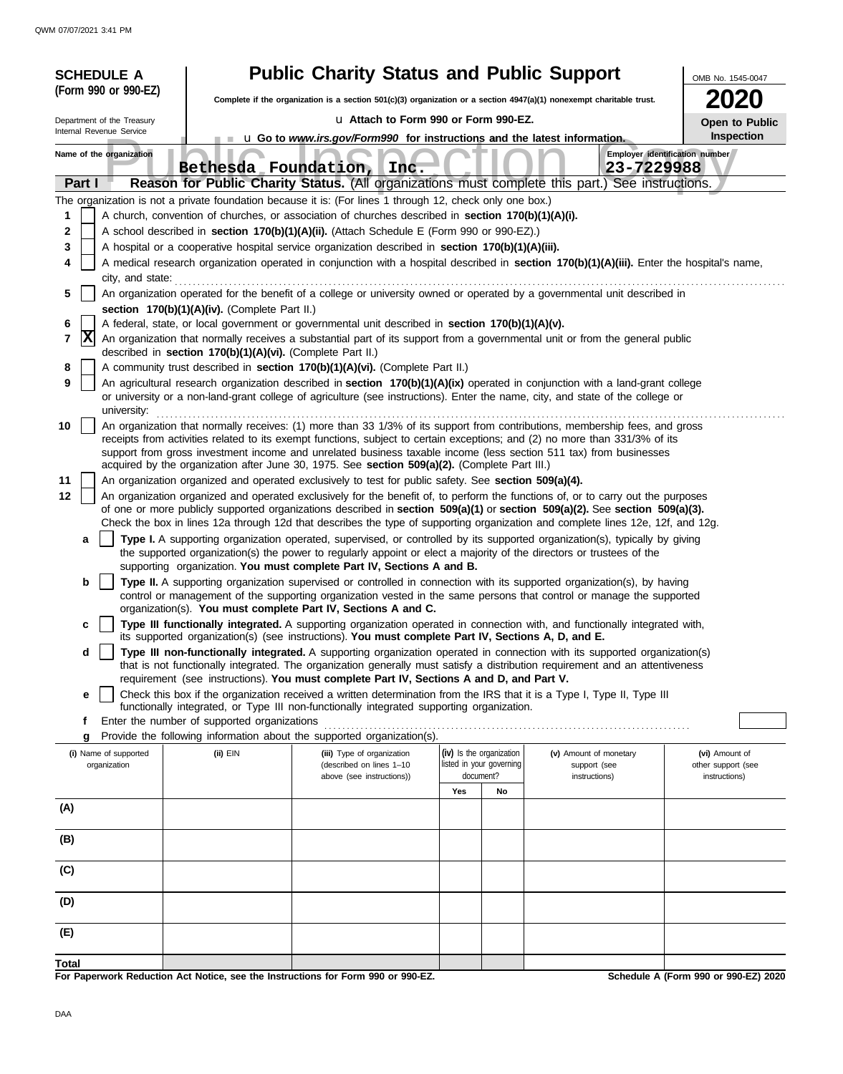|        | <b>SCHEDULE A</b>                     |                                                                                                                                                   | <b>Public Charity Status and Public Support</b>                                        |                          |                          |                                                                                                                                                                                                                                                                | OMB No. 1545-0047                    |
|--------|---------------------------------------|---------------------------------------------------------------------------------------------------------------------------------------------------|----------------------------------------------------------------------------------------|--------------------------|--------------------------|----------------------------------------------------------------------------------------------------------------------------------------------------------------------------------------------------------------------------------------------------------------|--------------------------------------|
|        | (Form 990 or 990-EZ)                  |                                                                                                                                                   |                                                                                        |                          |                          | Complete if the organization is a section $501(c)(3)$ organization or a section $4947(a)(1)$ nonexempt charitable trust.                                                                                                                                       | 2020                                 |
|        | Department of the Treasury            |                                                                                                                                                   | La Attach to Form 990 or Form 990-EZ.                                                  |                          |                          |                                                                                                                                                                                                                                                                | Open to Public                       |
|        | Internal Revenue Service              |                                                                                                                                                   | <b>u</b> Go to <i>www.irs.gov/Form990</i> for instructions and the latest information. |                          |                          |                                                                                                                                                                                                                                                                | Inspection                           |
|        | Name of the organization              |                                                                                                                                                   | Bethesda Foundation, Inc.                                                              |                          |                          | Employer identification number<br>23-7229988                                                                                                                                                                                                                   |                                      |
| Part I |                                       |                                                                                                                                                   |                                                                                        |                          |                          | Reason for Public Charity Status. (All organizations must complete this part.) See instructions.                                                                                                                                                               |                                      |
|        |                                       | The organization is not a private foundation because it is: (For lines 1 through 12, check only one box.)                                         |                                                                                        |                          |                          |                                                                                                                                                                                                                                                                |                                      |
| 1      |                                       | A church, convention of churches, or association of churches described in <b>section 170(b)(1)(A)(i).</b>                                         |                                                                                        |                          |                          |                                                                                                                                                                                                                                                                |                                      |
| 2      |                                       | A school described in section 170(b)(1)(A)(ii). (Attach Schedule E (Form 990 or 990-EZ).)                                                         |                                                                                        |                          |                          |                                                                                                                                                                                                                                                                |                                      |
| 3<br>4 |                                       | A hospital or a cooperative hospital service organization described in section 170(b)(1)(A)(iii).                                                 |                                                                                        |                          |                          | A medical research organization operated in conjunction with a hospital described in section 170(b)(1)(A)(iii). Enter the hospital's name,                                                                                                                     |                                      |
|        | city, and state:                      |                                                                                                                                                   |                                                                                        |                          |                          |                                                                                                                                                                                                                                                                |                                      |
| 5      |                                       |                                                                                                                                                   |                                                                                        |                          |                          | An organization operated for the benefit of a college or university owned or operated by a governmental unit described in                                                                                                                                      |                                      |
| 6      |                                       | section 170(b)(1)(A)(iv). (Complete Part II.)<br>A federal, state, or local government or governmental unit described in section 170(b)(1)(A)(v). |                                                                                        |                          |                          |                                                                                                                                                                                                                                                                |                                      |
| 7      | X                                     |                                                                                                                                                   |                                                                                        |                          |                          | An organization that normally receives a substantial part of its support from a governmental unit or from the general public                                                                                                                                   |                                      |
|        |                                       | described in section 170(b)(1)(A)(vi). (Complete Part II.)                                                                                        |                                                                                        |                          |                          |                                                                                                                                                                                                                                                                |                                      |
| 8<br>9 |                                       | A community trust described in section 170(b)(1)(A)(vi). (Complete Part II.)                                                                      |                                                                                        |                          |                          | An agricultural research organization described in section 170(b)(1)(A)(ix) operated in conjunction with a land-grant college                                                                                                                                  |                                      |
|        | university:                           |                                                                                                                                                   |                                                                                        |                          |                          | or university or a non-land-grant college of agriculture (see instructions). Enter the name, city, and state of the college or                                                                                                                                 |                                      |
| 10     |                                       |                                                                                                                                                   |                                                                                        |                          |                          | An organization that normally receives: (1) more than 33 1/3% of its support from contributions, membership fees, and gross                                                                                                                                    |                                      |
|        |                                       |                                                                                                                                                   |                                                                                        |                          |                          | receipts from activities related to its exempt functions, subject to certain exceptions; and (2) no more than 331/3% of its                                                                                                                                    |                                      |
|        |                                       | acquired by the organization after June 30, 1975. See section 509(a)(2). (Complete Part III.)                                                     |                                                                                        |                          |                          | support from gross investment income and unrelated business taxable income (less section 511 tax) from businesses                                                                                                                                              |                                      |
| 11     |                                       | An organization organized and operated exclusively to test for public safety. See section 509(a)(4).                                              |                                                                                        |                          |                          |                                                                                                                                                                                                                                                                |                                      |
| 12     |                                       |                                                                                                                                                   |                                                                                        |                          |                          | An organization organized and operated exclusively for the benefit of, to perform the functions of, or to carry out the purposes                                                                                                                               |                                      |
|        |                                       |                                                                                                                                                   |                                                                                        |                          |                          | of one or more publicly supported organizations described in section 509(a)(1) or section 509(a)(2). See section 509(a)(3).<br>Check the box in lines 12a through 12d that describes the type of supporting organization and complete lines 12e, 12f, and 12g. |                                      |
|        | a                                     |                                                                                                                                                   |                                                                                        |                          |                          | Type I. A supporting organization operated, supervised, or controlled by its supported organization(s), typically by giving                                                                                                                                    |                                      |
|        |                                       |                                                                                                                                                   |                                                                                        |                          |                          | the supported organization(s) the power to regularly appoint or elect a majority of the directors or trustees of the                                                                                                                                           |                                      |
|        |                                       | supporting organization. You must complete Part IV, Sections A and B.                                                                             |                                                                                        |                          |                          |                                                                                                                                                                                                                                                                |                                      |
|        | b                                     |                                                                                                                                                   |                                                                                        |                          |                          | Type II. A supporting organization supervised or controlled in connection with its supported organization(s), by having<br>control or management of the supporting organization vested in the same persons that control or manage the supported                |                                      |
|        |                                       | organization(s). You must complete Part IV, Sections A and C.                                                                                     |                                                                                        |                          |                          |                                                                                                                                                                                                                                                                |                                      |
|        | с                                     | its supported organization(s) (see instructions). You must complete Part IV, Sections A, D, and E.                                                |                                                                                        |                          |                          | Type III functionally integrated. A supporting organization operated in connection with, and functionally integrated with,                                                                                                                                     |                                      |
|        | d                                     |                                                                                                                                                   |                                                                                        |                          |                          | Type III non-functionally integrated. A supporting organization operated in connection with its supported organization(s)                                                                                                                                      |                                      |
|        |                                       |                                                                                                                                                   |                                                                                        |                          |                          | that is not functionally integrated. The organization generally must satisfy a distribution requirement and an attentiveness                                                                                                                                   |                                      |
|        | е                                     | requirement (see instructions). You must complete Part IV, Sections A and D, and Part V.                                                          |                                                                                        |                          |                          | Check this box if the organization received a written determination from the IRS that it is a Type I, Type II, Type III                                                                                                                                        |                                      |
|        |                                       | functionally integrated, or Type III non-functionally integrated supporting organization.                                                         |                                                                                        |                          |                          |                                                                                                                                                                                                                                                                |                                      |
|        | f                                     | Enter the number of supported organizations                                                                                                       |                                                                                        |                          |                          |                                                                                                                                                                                                                                                                |                                      |
|        | g                                     | Provide the following information about the supported organization(s).                                                                            |                                                                                        | (iv) Is the organization |                          |                                                                                                                                                                                                                                                                |                                      |
|        | (i) Name of supported<br>organization | (ii) EIN                                                                                                                                          | (iii) Type of organization<br>(described on lines 1-10                                 |                          | listed in your governing | (v) Amount of monetary<br>support (see                                                                                                                                                                                                                         | (vi) Amount of<br>other support (see |
|        |                                       |                                                                                                                                                   | above (see instructions))                                                              | document?                |                          | instructions)                                                                                                                                                                                                                                                  | instructions)                        |
|        |                                       |                                                                                                                                                   |                                                                                        | Yes                      | No                       |                                                                                                                                                                                                                                                                |                                      |
| (A)    |                                       |                                                                                                                                                   |                                                                                        |                          |                          |                                                                                                                                                                                                                                                                |                                      |
| (B)    |                                       |                                                                                                                                                   |                                                                                        |                          |                          |                                                                                                                                                                                                                                                                |                                      |
| (C)    |                                       |                                                                                                                                                   |                                                                                        |                          |                          |                                                                                                                                                                                                                                                                |                                      |
| (D)    |                                       |                                                                                                                                                   |                                                                                        |                          |                          |                                                                                                                                                                                                                                                                |                                      |
| (E)    |                                       |                                                                                                                                                   |                                                                                        |                          |                          |                                                                                                                                                                                                                                                                |                                      |
|        |                                       |                                                                                                                                                   |                                                                                        |                          |                          |                                                                                                                                                                                                                                                                |                                      |
| Total  |                                       |                                                                                                                                                   |                                                                                        |                          |                          |                                                                                                                                                                                                                                                                |                                      |

**For Paperwork Reduction Act Notice, see the Instructions for Form 990 or 990-EZ.**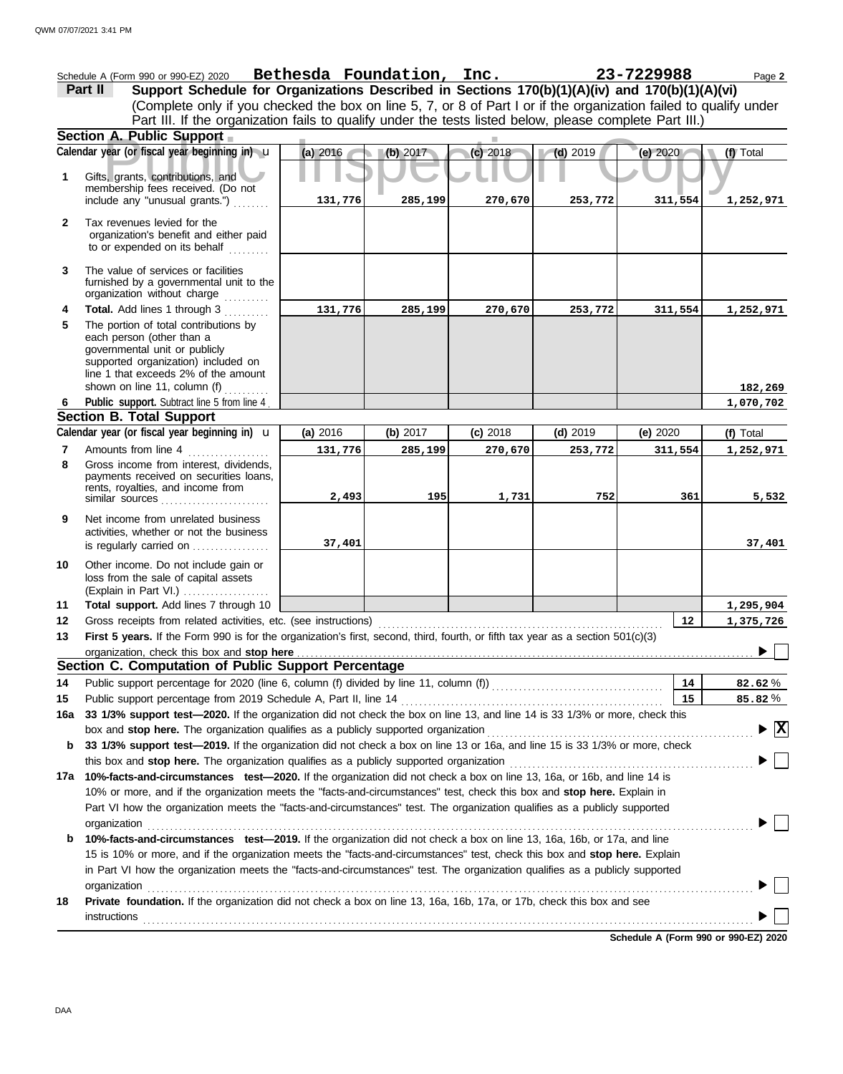|              | Schedule A (Form 990 or 990-EZ) 2020                                                                                                                                                                                                                                                                                                                                                               | Bethesda Foundation, Inc. |          |            |            | 23-7229988 | Page 2                                 |
|--------------|----------------------------------------------------------------------------------------------------------------------------------------------------------------------------------------------------------------------------------------------------------------------------------------------------------------------------------------------------------------------------------------------------|---------------------------|----------|------------|------------|------------|----------------------------------------|
|              | Support Schedule for Organizations Described in Sections 170(b)(1)(A)(iv) and 170(b)(1)(A)(vi)<br>Part II                                                                                                                                                                                                                                                                                          |                           |          |            |            |            |                                        |
|              | (Complete only if you checked the box on line 5, 7, or 8 of Part I or if the organization failed to qualify under                                                                                                                                                                                                                                                                                  |                           |          |            |            |            |                                        |
|              | Part III. If the organization fails to qualify under the tests listed below, please complete Part III.)                                                                                                                                                                                                                                                                                            |                           |          |            |            |            |                                        |
|              | Section A. Public Support                                                                                                                                                                                                                                                                                                                                                                          |                           |          |            |            |            |                                        |
|              | Calendar year (or fiscal year beginning in) u                                                                                                                                                                                                                                                                                                                                                      | (a) 2016                  | (b) 2017 | (c) 2018   | $(d)$ 2019 | (e) 2020   | (f) Total                              |
| 1            | Gifts, grants, contributions, and<br>membership fees received. (Do not                                                                                                                                                                                                                                                                                                                             |                           |          |            |            |            |                                        |
|              | include any "unusual grants.")                                                                                                                                                                                                                                                                                                                                                                     | 131,776                   | 285,199  | 270,670    | 253,772    | 311,554    | 1,252,971                              |
| $\mathbf{2}$ | Tax revenues levied for the<br>organization's benefit and either paid<br>to or expended on its behalf                                                                                                                                                                                                                                                                                              |                           |          |            |            |            |                                        |
| 3            | The value of services or facilities<br>furnished by a governmental unit to the<br>organization without charge<br>.                                                                                                                                                                                                                                                                                 |                           |          |            |            |            |                                        |
| 4            | Total. Add lines 1 through 3                                                                                                                                                                                                                                                                                                                                                                       | 131,776                   | 285,199  | 270,670    | 253,772    | 311,554    | 1,252,971                              |
| 5            | The portion of total contributions by<br>each person (other than a<br>governmental unit or publicly<br>supported organization) included on<br>line 1 that exceeds 2% of the amount                                                                                                                                                                                                                 |                           |          |            |            |            |                                        |
|              | shown on line 11, column (f) $\ldots$<br>Public support. Subtract line 5 from line 4                                                                                                                                                                                                                                                                                                               |                           |          |            |            |            | 182,269<br>1,070,702                   |
| 6            | <b>Section B. Total Support</b>                                                                                                                                                                                                                                                                                                                                                                    |                           |          |            |            |            |                                        |
|              | Calendar year (or fiscal year beginning in) $\mathbf u$                                                                                                                                                                                                                                                                                                                                            | (a) 2016                  | (b) 2017 | $(c)$ 2018 | $(d)$ 2019 | (e) 2020   | (f) Total                              |
| 7            | Amounts from line 4                                                                                                                                                                                                                                                                                                                                                                                | 131,776                   | 285,199  | 270,670    | 253,772    | 311,554    | 1,252,971                              |
| 8            | Gross income from interest, dividends,<br>payments received on securities loans,<br>rents, royalties, and income from<br>similar sources                                                                                                                                                                                                                                                           | 2,493                     | 195      | 1,731      | 752        | 361        | 5,532                                  |
| 9            | Net income from unrelated business<br>activities, whether or not the business<br>is regularly carried on                                                                                                                                                                                                                                                                                           | 37,401                    |          |            |            |            | 37,401                                 |
| 10           | Other income. Do not include gain or<br>loss from the sale of capital assets<br>(Explain in Part VI.)                                                                                                                                                                                                                                                                                              |                           |          |            |            |            |                                        |
| 11           | Total support. Add lines 7 through 10                                                                                                                                                                                                                                                                                                                                                              |                           |          |            |            |            | 1,295,904                              |
| 12           | Gross receipts from related activities, etc. (see instructions)                                                                                                                                                                                                                                                                                                                                    |                           |          |            |            | 12         | 1,375,726                              |
| 13           | First 5 years. If the Form 990 is for the organization's first, second, third, fourth, or fifth tax year as a section 501(c)(3)                                                                                                                                                                                                                                                                    |                           |          |            |            |            |                                        |
|              | organization, check this box and stop here <b>constant of the constant of the constant of the constant of the constant of the constant of the constant of the constant of the constant of the constant of the constant of the co</b>                                                                                                                                                               |                           |          |            |            |            | $\sqrt{2}$                             |
|              | Section C. Computation of Public Support Percentage                                                                                                                                                                                                                                                                                                                                                |                           |          |            |            |            |                                        |
| 14           |                                                                                                                                                                                                                                                                                                                                                                                                    |                           |          |            |            | 14         | 82.62%                                 |
| 15           | Public support percentage from 2019 Schedule A, Part II, line 14                                                                                                                                                                                                                                                                                                                                   |                           |          |            |            | 15         | 85.82%                                 |
| 16a          | 33 1/3% support test-2020. If the organization did not check the box on line 13, and line 14 is 33 1/3% or more, check this                                                                                                                                                                                                                                                                        |                           |          |            |            |            |                                        |
|              | box and stop here. The organization qualifies as a publicly supported organization                                                                                                                                                                                                                                                                                                                 |                           |          |            |            |            | $\blacktriangleright \boxed{\text{X}}$ |
| b            | 33 1/3% support test-2019. If the organization did not check a box on line 13 or 16a, and line 15 is 33 1/3% or more, check                                                                                                                                                                                                                                                                        |                           |          |            |            |            |                                        |
|              | this box and stop here. The organization qualifies as a publicly supported organization <i>[[[[[[[[[[[[[[[[[[[[[[[[]]]]]</i>                                                                                                                                                                                                                                                                       |                           |          |            |            |            |                                        |
|              | 17a 10%-facts-and-circumstances test-2020. If the organization did not check a box on line 13, 16a, or 16b, and line 14 is<br>10% or more, and if the organization meets the "facts-and-circumstances" test, check this box and stop here. Explain in<br>Part VI how the organization meets the "facts-and-circumstances" test. The organization qualifies as a publicly supported<br>organization |                           |          |            |            |            |                                        |
| b            | 10%-facts-and-circumstances test-2019. If the organization did not check a box on line 13, 16a, 16b, or 17a, and line                                                                                                                                                                                                                                                                              |                           |          |            |            |            |                                        |
|              | 15 is 10% or more, and if the organization meets the "facts-and-circumstances" test, check this box and stop here. Explain                                                                                                                                                                                                                                                                         |                           |          |            |            |            |                                        |
|              | in Part VI how the organization meets the "facts-and-circumstances" test. The organization qualifies as a publicly supported<br>organization                                                                                                                                                                                                                                                       |                           |          |            |            |            |                                        |
| 18           | Private foundation. If the organization did not check a box on line 13, 16a, 16b, 17a, or 17b, check this box and see                                                                                                                                                                                                                                                                              |                           |          |            |            |            |                                        |
|              | <b>instructions</b>                                                                                                                                                                                                                                                                                                                                                                                |                           |          |            |            |            |                                        |
|              |                                                                                                                                                                                                                                                                                                                                                                                                    |                           |          |            |            |            |                                        |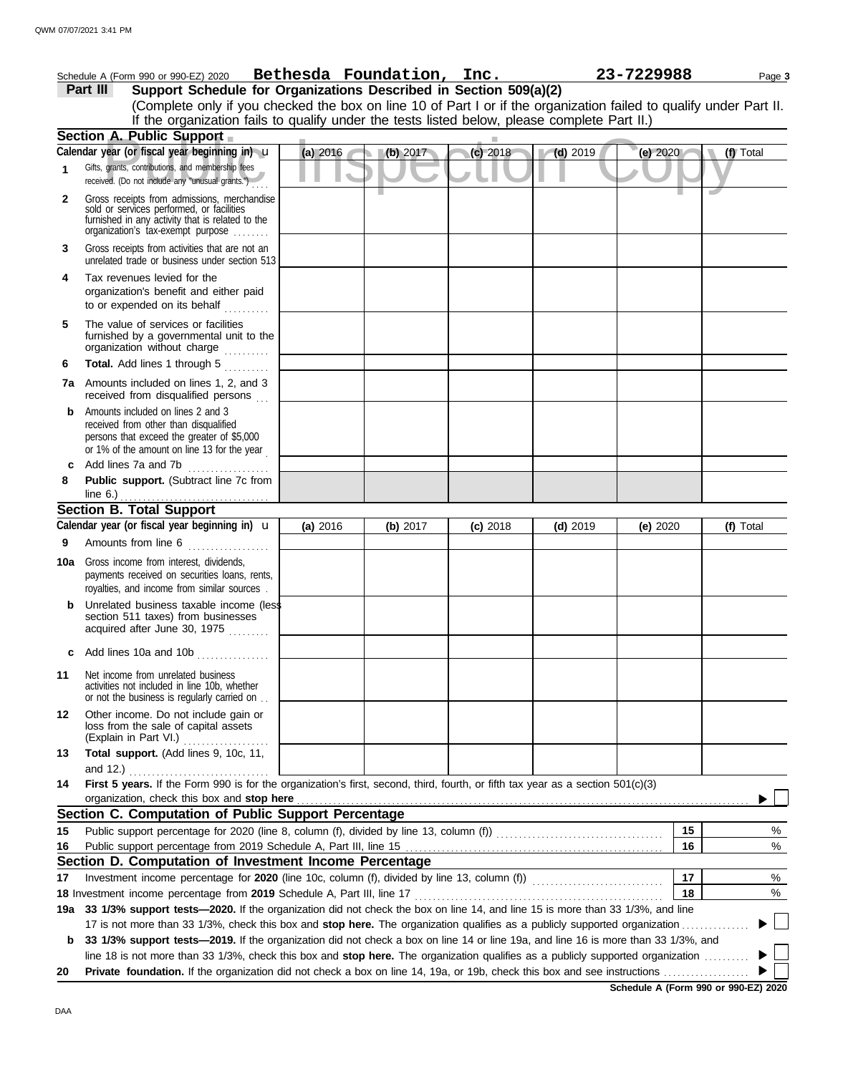|     | Schedule A (Form 990 or 990-EZ) 2020                                                                                                                                              |          | Bethesda Foundation, Inc. |            |            | 23-7229988 | Page 3    |
|-----|-----------------------------------------------------------------------------------------------------------------------------------------------------------------------------------|----------|---------------------------|------------|------------|------------|-----------|
|     | Support Schedule for Organizations Described in Section 509(a)(2)<br>Part III                                                                                                     |          |                           |            |            |            |           |
|     | (Complete only if you checked the box on line 10 of Part I or if the organization failed to qualify under Part II.                                                                |          |                           |            |            |            |           |
|     | If the organization fails to qualify under the tests listed below, please complete Part II.)                                                                                      |          |                           |            |            |            |           |
|     | Section A. Public Support                                                                                                                                                         |          |                           |            |            |            |           |
|     | Calendar year (or fiscal year beginning in) u                                                                                                                                     | (a) 2016 | (b) 2017                  | (c) 2018   | $(d)$ 2019 | (e) $2020$ | (f) Total |
| 1.  | Gifts, grants, contributions, and membership fees<br>received. (Do not include any "unusual grants.")                                                                             |          |                           |            |            |            |           |
| 2   | Gross receipts from admissions, merchandise<br>sold or services performed, or facilities<br>furnished in any activity that is related to the<br>organization's tax-exempt purpose |          |                           |            |            |            |           |
| 3   | Gross receipts from activities that are not an<br>unrelated trade or business under section 513                                                                                   |          |                           |            |            |            |           |
| 4   | Tax revenues levied for the<br>organization's benefit and either paid<br>to or expended on its behalf                                                                             |          |                           |            |            |            |           |
| 5   | The value of services or facilities<br>furnished by a governmental unit to the<br>organization without charge<br>.                                                                |          |                           |            |            |            |           |
| 6   | Total. Add lines 1 through 5<br>.                                                                                                                                                 |          |                           |            |            |            |           |
|     | 7a Amounts included on lines 1, 2, and 3<br>received from disqualified persons                                                                                                    |          |                           |            |            |            |           |
| b   | Amounts included on lines 2 and 3<br>received from other than disqualified<br>persons that exceed the greater of \$5,000<br>or 1% of the amount on line 13 for the year           |          |                           |            |            |            |           |
| c   | Add lines 7a and 7b<br>.                                                                                                                                                          |          |                           |            |            |            |           |
| 8   | Public support. (Subtract line 7c from<br>line $6.$ )                                                                                                                             |          |                           |            |            |            |           |
|     | <b>Section B. Total Support</b>                                                                                                                                                   |          |                           |            |            |            |           |
|     | Calendar year (or fiscal year beginning in) <b>u</b>                                                                                                                              | (a) 2016 | (b) 2017                  | $(c)$ 2018 | $(d)$ 2019 | (e) $2020$ | (f) Total |
| 9   | Amounts from line 6                                                                                                                                                               |          |                           |            |            |            |           |
| 10a | Gross income from interest, dividends,<br>payments received on securities loans, rents,<br>royalties, and income from similar sources.                                            |          |                           |            |            |            |           |
|     | Unrelated business taxable income (less<br>section 511 taxes) from businesses<br>acquired after June 30, 1975<br>.                                                                |          |                           |            |            |            |           |
| c   | Add lines 10a and 10b                                                                                                                                                             |          |                           |            |            |            |           |
| 11  | Net income from unrelated business<br>activities not included in line 10b, whether<br>or not the business is regularly carried on                                                 |          |                           |            |            |            |           |
| 12  | Other income. Do not include gain or<br>loss from the sale of capital assets<br>(Explain in Part VI.)                                                                             |          |                           |            |            |            |           |
| 13  | Total support. (Add lines 9, 10c, 11,<br>and 12.)                                                                                                                                 |          |                           |            |            |            |           |
| 14  | First 5 years. If the Form 990 is for the organization's first, second, third, fourth, or fifth tax year as a section 501(c)(3)<br>organization, check this box and stop here     |          |                           |            |            |            |           |
|     | Section C. Computation of Public Support Percentage                                                                                                                               |          |                           |            |            |            |           |
| 15  |                                                                                                                                                                                   |          |                           |            |            | 15         | %         |
| 16  |                                                                                                                                                                                   |          |                           |            |            | 16         | $\%$      |
|     | Section D. Computation of Investment Income Percentage                                                                                                                            |          |                           |            |            |            |           |
| 17  |                                                                                                                                                                                   |          |                           |            |            | 17         | %         |
|     | 18 Investment income percentage from 2019 Schedule A, Part III, line 17                                                                                                           |          |                           |            |            | 18         | $\%$      |
| 19a | 33 1/3% support tests-2020. If the organization did not check the box on line 14, and line 15 is more than 33 1/3%, and line                                                      |          |                           |            |            |            |           |
|     | 17 is not more than 33 1/3%, check this box and stop here. The organization qualifies as a publicly supported organization                                                        |          |                           |            |            |            |           |
| b   | 33 1/3% support tests-2019. If the organization did not check a box on line 14 or line 19a, and line 16 is more than 33 1/3%, and                                                 |          |                           |            |            |            |           |
|     | line 18 is not more than 33 1/3%, check this box and stop here. The organization qualifies as a publicly supported organization                                                   |          |                           |            |            |            |           |
| 20  |                                                                                                                                                                                   |          |                           |            |            |            |           |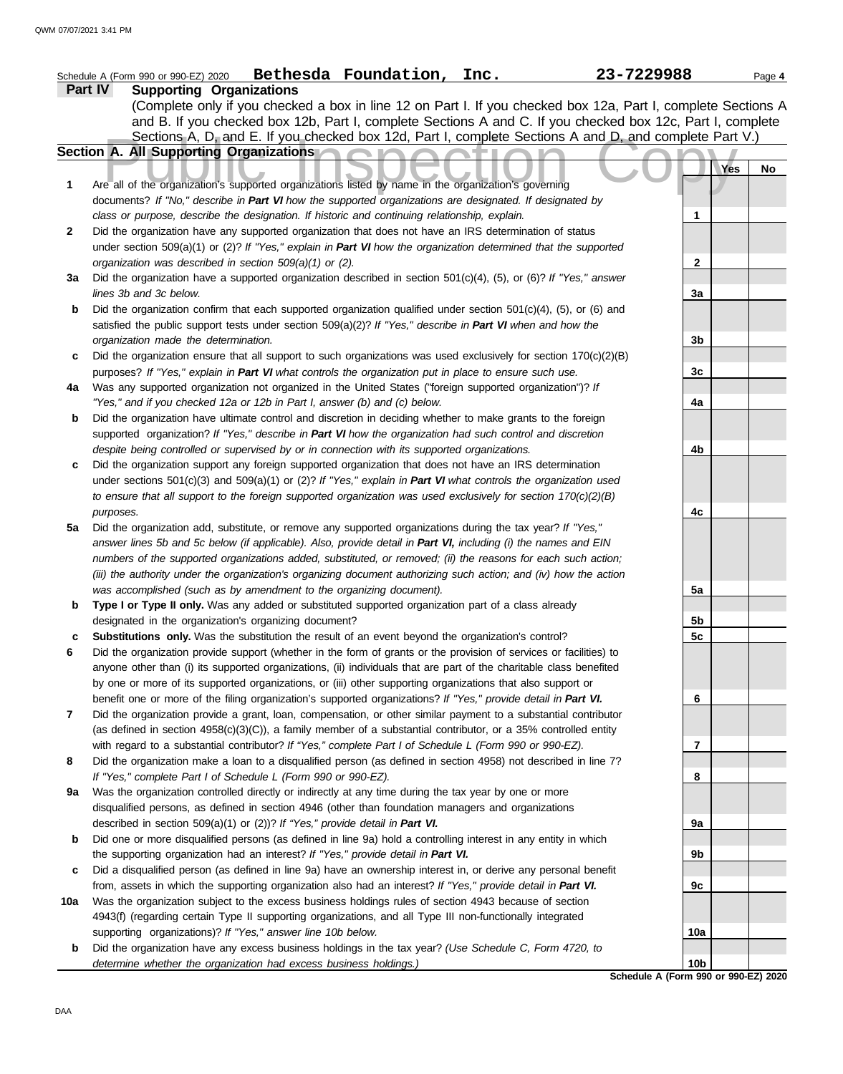## Sections A, D, and E. If you checked box 12d, Part I, complete Sections A and D, and complete Part<br> **Public Inspection** Contract organizations listed by name in the organization's governing<br>
Are all of the organization's s **Schedule A (Form 990 or 990-EZ) 2020 Part IV Supporting Organizations** Sections A, D, and E. If you checked box 12d, Part I, complete Sections A and D, and complete Part V.) Schedule A (Form 990 or 990-EZ) 2020 Page **4 Bethesda Foundation, Inc. 23-7229988 Section A. All Supporting Organizations** (Complete only if you checked a box in line 12 on Part I. If you checked box 12a, Part I, complete Sections A and B. If you checked box 12b, Part I, complete Sections A and C. If you checked box 12c, Part I, complete documents? *If "No," describe in Part VI how the supported organizations are designated. If designated by class or purpose, describe the designation. If historic and continuing relationship, explain.* Did the organization have any supported organization that does not have an IRS determination of status under section 509(a)(1) or (2)? *If "Yes," explain in Part VI how the organization determined that the supported organization was described in section 509(a)(1) or (2).* **1 2 3a** Did the organization have a supported organization described in section 501(c)(4), (5), or (6)? *If "Yes," answer* **b** Did the organization confirm that each supported organization qualified under section 501(c)(4), (5), or (6) and **c** Did the organization ensure that all support to such organizations was used exclusively for section 170(c)(2)(B) **4a b** Did the organization have ultimate control and discretion in deciding whether to make grants to the foreign **c** Did the organization support any foreign supported organization that does not have an IRS determination **5a** Did the organization add, substitute, or remove any supported organizations during the tax year? *If "Yes,"* **b** Type I or Type II only. Was any added or substituted supported organization part of a class already **c Substitutions only.** Was the substitution the result of an event beyond the organization's control? **6 7 8 9a** Was the organization controlled directly or indirectly at any time during the tax year by one or more **b** Did one or more disqualified persons (as defined in line 9a) hold a controlling interest in any entity in which **c 10a b** Did the organization have any excess business holdings in the tax year? *(Use Schedule C, Form 4720, to lines 3b and 3c below.* satisfied the public support tests under section 509(a)(2)? *If "Yes," describe in Part VI when and how the organization made the determination.* purposes? *If "Yes," explain in Part VI what controls the organization put in place to ensure such use.* Was any supported organization not organized in the United States ("foreign supported organization")? *If "Yes," and if you checked 12a or 12b in Part I, answer (b) and (c) below.* supported organization? *If "Yes," describe in Part VI how the organization had such control and discretion despite being controlled or supervised by or in connection with its supported organizations.* under sections 501(c)(3) and 509(a)(1) or (2)? *If "Yes," explain in Part VI what controls the organization used to ensure that all support to the foreign supported organization was used exclusively for section 170(c)(2)(B) purposes. answer lines 5b and 5c below (if applicable). Also, provide detail in Part VI, including (i) the names and EIN numbers of the supported organizations added, substituted, or removed; (ii) the reasons for each such action; (iii) the authority under the organization's organizing document authorizing such action; and (iv) how the action was accomplished (such as by amendment to the organizing document).* designated in the organization's organizing document? Did the organization provide support (whether in the form of grants or the provision of services or facilities) to anyone other than (i) its supported organizations, (ii) individuals that are part of the charitable class benefited by one or more of its supported organizations, or (iii) other supporting organizations that also support or benefit one or more of the filing organization's supported organizations? *If "Yes," provide detail in Part VI.* Did the organization provide a grant, loan, compensation, or other similar payment to a substantial contributor (as defined in section 4958(c)(3)(C)), a family member of a substantial contributor, or a 35% controlled entity with regard to a substantial contributor? *If "Yes," complete Part I of Schedule L (Form 990 or 990-EZ).* Did the organization make a loan to a disqualified person (as defined in section 4958) not described in line 7? *If "Yes," complete Part I of Schedule L (Form 990 or 990-EZ).* disqualified persons, as defined in section 4946 (other than foundation managers and organizations described in section 509(a)(1) or (2))? *If "Yes," provide detail in Part VI.* the supporting organization had an interest? *If "Yes," provide detail in Part VI.* Did a disqualified person (as defined in line 9a) have an ownership interest in, or derive any personal benefit from, assets in which the supporting organization also had an interest? *If "Yes," provide detail in Part VI.* Was the organization subject to the excess business holdings rules of section 4943 because of section 4943(f) (regarding certain Type II supporting organizations, and all Type III non-functionally integrated supporting organizations)? *If "Yes," answer line 10b below. determine whether the organization had excess business holdings.)* **Yes No 1 2 3a 3b 3c 4a 4b 4c 5a 5b 5c 6 7 8 9a 9b 9c 10a 10b**

DAA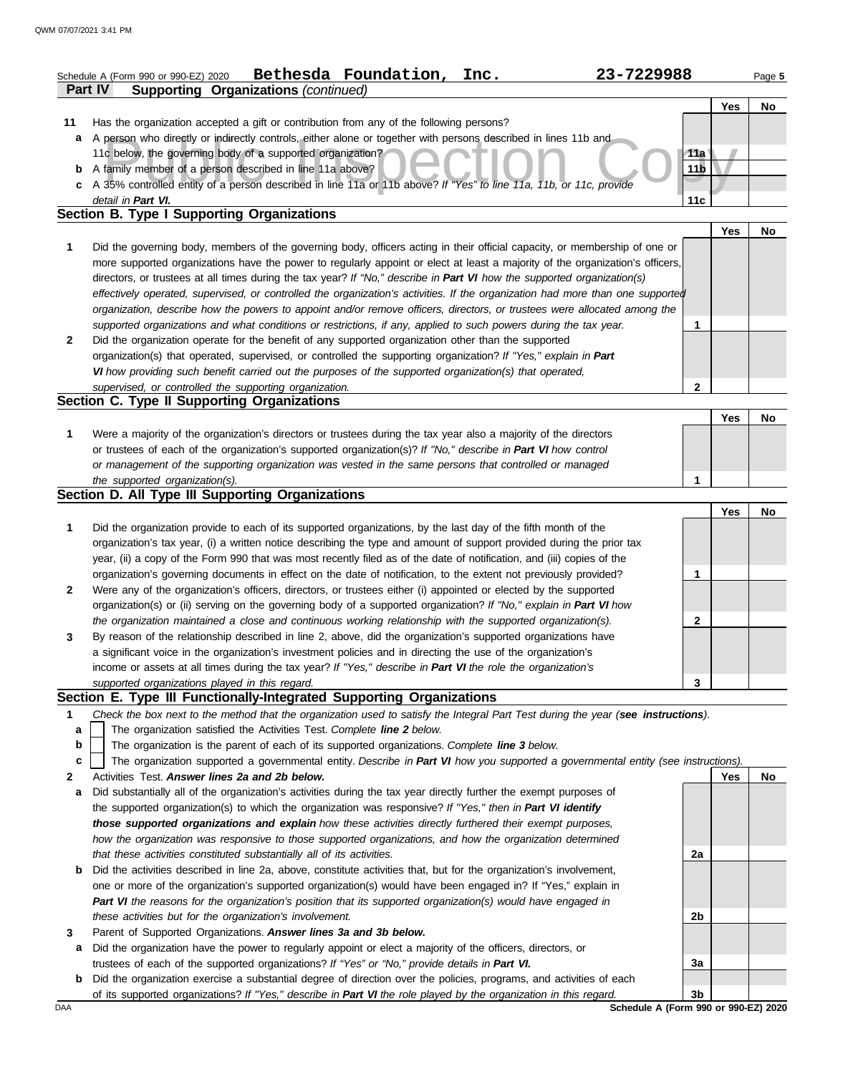|              | Bethesda Foundation,<br>23-7229988<br>Inc.<br>Schedule A (Form 990 or 990-EZ) 2020                                             |                 |            | Page 5 |
|--------------|--------------------------------------------------------------------------------------------------------------------------------|-----------------|------------|--------|
|              | Part IV<br><b>Supporting Organizations (continued)</b>                                                                         |                 |            |        |
|              |                                                                                                                                |                 | Yes        | No     |
| 11           | Has the organization accepted a gift or contribution from any of the following persons?                                        |                 |            |        |
| a            | A person who directly or indirectly controls, either alone or together with persons described in lines 11b and                 |                 |            |        |
|              | 11c below, the governing body of a supported organization?                                                                     | 11a             |            |        |
|              | <b>b</b> A family member of a person described in line 11a above?                                                              | 11 <sub>b</sub> |            |        |
|              | c A 35% controlled entity of a person described in line 11a or 11b above? If "Yes" to line 11a, 11b, or 11c, provide           |                 |            |        |
|              | detail in Part VI.                                                                                                             | 11c             |            |        |
|              | Section B. Type I Supporting Organizations                                                                                     |                 |            |        |
|              |                                                                                                                                |                 | Yes        | No     |
| 1            | Did the governing body, members of the governing body, officers acting in their official capacity, or membership of one or     |                 |            |        |
|              | more supported organizations have the power to regularly appoint or elect at least a majority of the organization's officers,  |                 |            |        |
|              | directors, or trustees at all times during the tax year? If "No," describe in Part VI how the supported organization(s)        |                 |            |        |
|              | effectively operated, supervised, or controlled the organization's activities. If the organization had more than one supported |                 |            |        |
|              | organization, describe how the powers to appoint and/or remove officers, directors, or trustees were allocated among the       |                 |            |        |
|              | supported organizations and what conditions or restrictions, if any, applied to such powers during the tax year.               | 1               |            |        |
| $\mathbf{2}$ | Did the organization operate for the benefit of any supported organization other than the supported                            |                 |            |        |
|              | organization(s) that operated, supervised, or controlled the supporting organization? If "Yes," explain in Part                |                 |            |        |
|              | VI how providing such benefit carried out the purposes of the supported organization(s) that operated,                         |                 |            |        |
|              | supervised, or controlled the supporting organization.                                                                         | $\mathbf 2$     |            |        |
|              | Section C. Type II Supporting Organizations                                                                                    |                 |            |        |
|              |                                                                                                                                |                 | Yes        | No     |
| 1            | Were a majority of the organization's directors or trustees during the tax year also a majority of the directors               |                 |            |        |
|              | or trustees of each of the organization's supported organization(s)? If "No," describe in Part VI how control                  |                 |            |        |
|              | or management of the supporting organization was vested in the same persons that controlled or managed                         |                 |            |        |
|              | the supported organization(s).                                                                                                 | 1               |            |        |
|              | <b>Section D. All Type III Supporting Organizations</b>                                                                        |                 |            |        |
|              |                                                                                                                                |                 | <b>Yes</b> | No     |
| 1            | Did the organization provide to each of its supported organizations, by the last day of the fifth month of the                 |                 |            |        |
|              | organization's tax year, (i) a written notice describing the type and amount of support provided during the prior tax          |                 |            |        |
|              | year, (ii) a copy of the Form 990 that was most recently filed as of the date of notification, and (iii) copies of the         |                 |            |        |
|              | organization's governing documents in effect on the date of notification, to the extent not previously provided?               | 1               |            |        |
| $\mathbf{2}$ | Were any of the organization's officers, directors, or trustees either (i) appointed or elected by the supported               |                 |            |        |
|              | organization(s) or (ii) serving on the governing body of a supported organization? If "No," explain in Part VI how             |                 |            |        |
|              | the organization maintained a close and continuous working relationship with the supported organization(s).                    | 2               |            |        |

*supported organizations played in this regard.* income or assets at all times during the tax year? *If "Yes," describe in Part VI the role the organization's* **3** a significant voice in the organization's investment policies and in directing the use of the organization's By reason of the relationship described in line 2, above, did the organization's supported organizations have

## **Section E. Type III Functionally-Integrated Supporting Organizations**

- **1** *Check the box next to the method that the organization used to satisfy the Integral Part Test during the year (see instructions).*
	- The organization satisfied the Activities Test. *Complete line 2 below.* **a**
- The organization is the parent of each of its supported organizations. *Complete line 3 below.* **b**
- The organization supported a governmental entity. *Describe in Part VI how you supported a governmental entity (see instructions).* **c**
- **2** Activities Test. *Answer lines 2a and 2b below.*
- **a** Did substantially all of the organization's activities during the tax year directly further the exempt purposes of the supported organization(s) to which the organization was responsive? *If "Yes," then in Part VI identify those supported organizations and explain how these activities directly furthered their exempt purposes, how the organization was responsive to those supported organizations, and how the organization determined that these activities constituted substantially all of its activities.*
- **b** Did the activities described in line 2a, above, constitute activities that, but for the organization's involvement, one or more of the organization's supported organization(s) would have been engaged in? If "Yes," explain in *Part VI the reasons for the organization's position that its supported organization(s) would have engaged in these activities but for the organization's involvement.*
- **3** Parent of Supported Organizations. *Answer lines 3a and 3b below.*
	- **a** Did the organization have the power to regularly appoint or elect a majority of the officers, directors, or trustees of each of the supported organizations? *If "Yes" or "No," provide details in Part VI.*
- **b** Did the organization exercise a substantial degree of direction over the policies, programs, and activities of each of its supported organizations? *If "Yes," describe in Part VI the role played by the organization in this regard.*

**Yes No 2a 2b 3a 3b**

**3**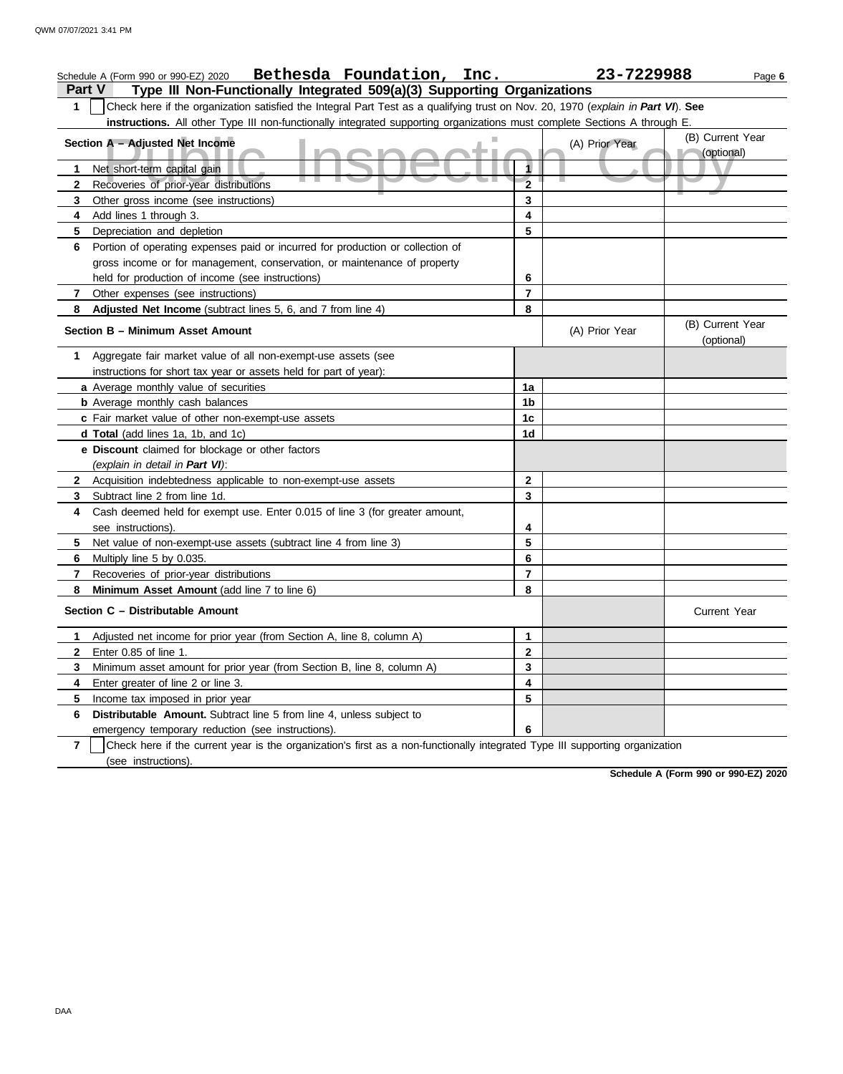|                | Bethesda Foundation, Inc.<br>Schedule A (Form 990 or 990-EZ) 2020                                                                |                | 23-7229988     | Page 6                         |  |  |  |  |
|----------------|----------------------------------------------------------------------------------------------------------------------------------|----------------|----------------|--------------------------------|--|--|--|--|
| <b>Part V</b>  | Type III Non-Functionally Integrated 509(a)(3) Supporting Organizations                                                          |                |                |                                |  |  |  |  |
| 1              | Check here if the organization satisfied the Integral Part Test as a qualifying trust on Nov. 20, 1970 (explain in Part VI). See |                |                |                                |  |  |  |  |
|                | instructions. All other Type III non-functionally integrated supporting organizations must complete Sections A through E.        |                |                |                                |  |  |  |  |
|                | Section A - Adjusted Net Income                                                                                                  |                | (A) Prior Year | (B) Current Year<br>(optional) |  |  |  |  |
| 1              | Net short-term capital gain                                                                                                      | 1              |                |                                |  |  |  |  |
| $\mathbf{2}$   | Recoveries of prior-year distributions                                                                                           | $\overline{2}$ |                |                                |  |  |  |  |
| 3              | Other gross income (see instructions)                                                                                            | 3              |                |                                |  |  |  |  |
| 4              | Add lines 1 through 3.                                                                                                           | 4              |                |                                |  |  |  |  |
| 5              | Depreciation and depletion                                                                                                       | 5              |                |                                |  |  |  |  |
| 6              | Portion of operating expenses paid or incurred for production or collection of                                                   |                |                |                                |  |  |  |  |
|                | gross income or for management, conservation, or maintenance of property                                                         |                |                |                                |  |  |  |  |
|                | held for production of income (see instructions)                                                                                 | 6              |                |                                |  |  |  |  |
| 7              | Other expenses (see instructions)                                                                                                | $\overline{7}$ |                |                                |  |  |  |  |
| 8              | Adjusted Net Income (subtract lines 5, 6, and 7 from line 4)                                                                     | 8              |                |                                |  |  |  |  |
|                | Section B - Minimum Asset Amount                                                                                                 |                | (A) Prior Year | (B) Current Year<br>(optional) |  |  |  |  |
| 1              | Aggregate fair market value of all non-exempt-use assets (see                                                                    |                |                |                                |  |  |  |  |
|                | instructions for short tax year or assets held for part of year):                                                                |                |                |                                |  |  |  |  |
|                | a Average monthly value of securities                                                                                            | 1a             |                |                                |  |  |  |  |
|                | <b>b</b> Average monthly cash balances                                                                                           | 1b             |                |                                |  |  |  |  |
|                | c Fair market value of other non-exempt-use assets                                                                               | 1c             |                |                                |  |  |  |  |
|                | d Total (add lines 1a, 1b, and 1c)                                                                                               | 1d             |                |                                |  |  |  |  |
|                | e Discount claimed for blockage or other factors<br>(explain in detail in Part VI):                                              |                |                |                                |  |  |  |  |
| $\mathbf{2}$   | Acquisition indebtedness applicable to non-exempt-use assets                                                                     | $\mathbf{2}$   |                |                                |  |  |  |  |
| 3              | Subtract line 2 from line 1d.                                                                                                    | 3              |                |                                |  |  |  |  |
| 4              | Cash deemed held for exempt use. Enter 0.015 of line 3 (for greater amount,                                                      |                |                |                                |  |  |  |  |
|                | see instructions).                                                                                                               | 4              |                |                                |  |  |  |  |
| 5              | Net value of non-exempt-use assets (subtract line 4 from line 3)                                                                 | 5              |                |                                |  |  |  |  |
| 6              | Multiply line 5 by 0.035.                                                                                                        | 6              |                |                                |  |  |  |  |
| 7              | Recoveries of prior-year distributions                                                                                           | 7              |                |                                |  |  |  |  |
| 8              | Minimum Asset Amount (add line 7 to line 6)                                                                                      | 8              |                |                                |  |  |  |  |
|                | Section C - Distributable Amount                                                                                                 |                |                | <b>Current Year</b>            |  |  |  |  |
|                | 1 Adjusted net income for prior year (from Section A, line 8, column A)                                                          | 1              |                |                                |  |  |  |  |
| $\mathbf{z}$   | Enter 0.85 of line 1.                                                                                                            | 2              |                |                                |  |  |  |  |
| 3              | Minimum asset amount for prior year (from Section B, line 8, column A)                                                           | 3              |                |                                |  |  |  |  |
| 4              | Enter greater of line 2 or line 3.                                                                                               | 4              |                |                                |  |  |  |  |
| 5              | Income tax imposed in prior year                                                                                                 | 5              |                |                                |  |  |  |  |
| 6              | Distributable Amount. Subtract line 5 from line 4, unless subject to                                                             |                |                |                                |  |  |  |  |
|                | emergency temporary reduction (see instructions).                                                                                | 6              |                |                                |  |  |  |  |
| $\overline{7}$ | Check here if the current year is the organization's first as a non-functionally integrated Type III supporting organization     |                |                |                                |  |  |  |  |
|                | (see instructions).                                                                                                              |                |                |                                |  |  |  |  |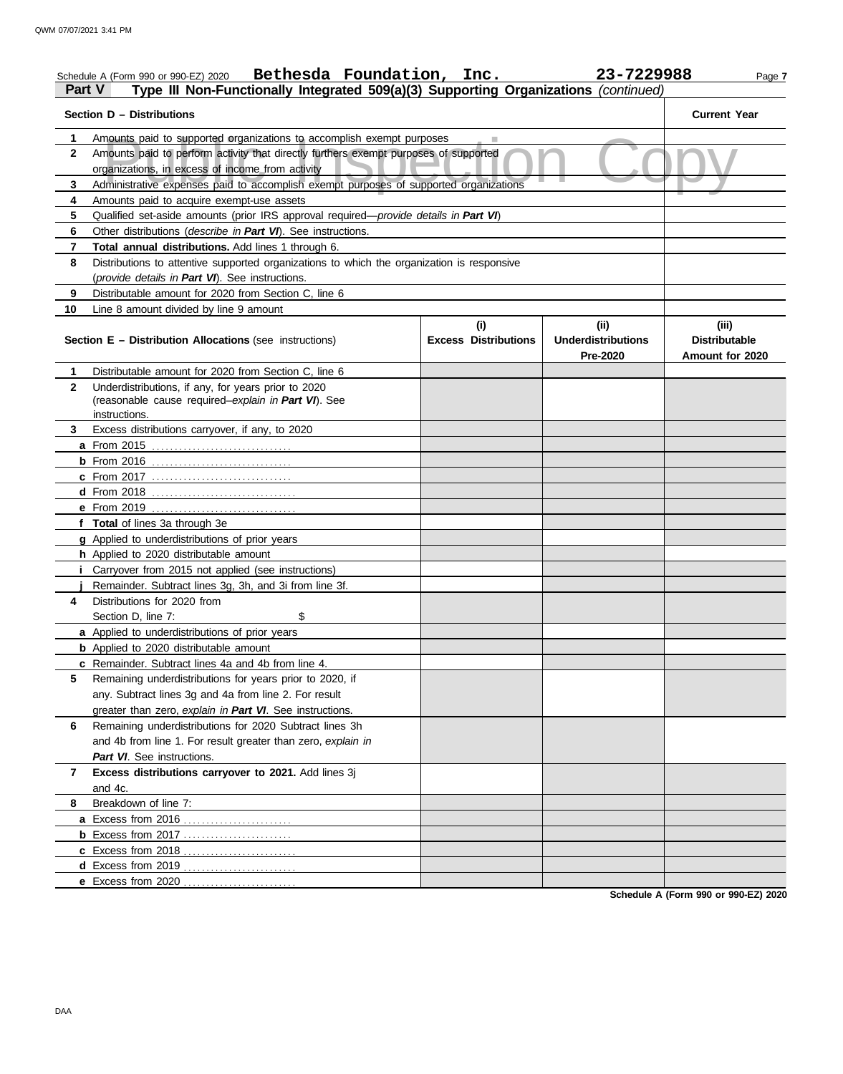| <b>Part V</b> | Bethesda Foundation, Inc.<br>Schedule A (Form 990 or 990-EZ) 2020<br>Type III Non-Functionally Integrated 509(a)(3) Supporting Organizations (continued) |                             | 23-7229988                            | Page 7                                  |
|---------------|----------------------------------------------------------------------------------------------------------------------------------------------------------|-----------------------------|---------------------------------------|-----------------------------------------|
|               | Section D - Distributions                                                                                                                                |                             |                                       | <b>Current Year</b>                     |
| 1             | Amounts paid to supported organizations to accomplish exempt purposes                                                                                    |                             |                                       |                                         |
| $\mathbf{2}$  | Amounts paid to perform activity that directly furthers exempt purposes of supported<br>organizations, in excess of income from activity                 |                             |                                       |                                         |
| 3             | Administrative expenses paid to accomplish exempt purposes of supported organizations                                                                    |                             |                                       |                                         |
| 4             | Amounts paid to acquire exempt-use assets                                                                                                                |                             |                                       |                                         |
| 5             | Qualified set-aside amounts (prior IRS approval required-provide details in Part VI)                                                                     |                             |                                       |                                         |
| 6             | Other distributions ( <i>describe in Part VI</i> ). See instructions.                                                                                    |                             |                                       |                                         |
| 7             | <b>Total annual distributions.</b> Add lines 1 through 6.                                                                                                |                             |                                       |                                         |
| 8             | Distributions to attentive supported organizations to which the organization is responsive                                                               |                             |                                       |                                         |
|               | (provide details in Part VI). See instructions.                                                                                                          |                             |                                       |                                         |
| 9             | Distributable amount for 2020 from Section C, line 6                                                                                                     |                             |                                       |                                         |
| 10            | Line 8 amount divided by line 9 amount                                                                                                                   |                             |                                       |                                         |
|               |                                                                                                                                                          | (i)                         | (i)                                   | (iii)                                   |
|               | <b>Section E - Distribution Allocations (see instructions)</b>                                                                                           | <b>Excess Distributions</b> | <b>Underdistributions</b><br>Pre-2020 | <b>Distributable</b><br>Amount for 2020 |
| 1             | Distributable amount for 2020 from Section C, line 6                                                                                                     |                             |                                       |                                         |
| 2             | Underdistributions, if any, for years prior to 2020                                                                                                      |                             |                                       |                                         |
|               | (reasonable cause required-explain in Part VI). See                                                                                                      |                             |                                       |                                         |
|               | instructions.                                                                                                                                            |                             |                                       |                                         |
| 3             | Excess distributions carryover, if any, to 2020                                                                                                          |                             |                                       |                                         |
|               |                                                                                                                                                          |                             |                                       |                                         |
|               |                                                                                                                                                          |                             |                                       |                                         |
|               | <b>c</b> From 2017                                                                                                                                       |                             |                                       |                                         |
|               |                                                                                                                                                          |                             |                                       |                                         |
|               |                                                                                                                                                          |                             |                                       |                                         |
|               | f Total of lines 3a through 3e                                                                                                                           |                             |                                       |                                         |
|               | g Applied to underdistributions of prior years                                                                                                           |                             |                                       |                                         |
|               | h Applied to 2020 distributable amount                                                                                                                   |                             |                                       |                                         |
|               | Carryover from 2015 not applied (see instructions)                                                                                                       |                             |                                       |                                         |
|               | Remainder. Subtract lines 3g, 3h, and 3i from line 3f.                                                                                                   |                             |                                       |                                         |
| 4             | Distributions for 2020 from                                                                                                                              |                             |                                       |                                         |
|               | \$<br>Section D, line 7:                                                                                                                                 |                             |                                       |                                         |
|               | a Applied to underdistributions of prior years                                                                                                           |                             |                                       |                                         |
|               | <b>b</b> Applied to 2020 distributable amount                                                                                                            |                             |                                       |                                         |
|               | c Remainder. Subtract lines 4a and 4b from line 4.                                                                                                       |                             |                                       |                                         |
| 5             | Remaining underdistributions for years prior to 2020, if                                                                                                 |                             |                                       |                                         |
|               | any. Subtract lines 3g and 4a from line 2. For result                                                                                                    |                             |                                       |                                         |
|               | greater than zero, explain in Part VI. See instructions.                                                                                                 |                             |                                       |                                         |
| 6             | Remaining underdistributions for 2020 Subtract lines 3h                                                                                                  |                             |                                       |                                         |
|               | and 4b from line 1. For result greater than zero, explain in                                                                                             |                             |                                       |                                         |
|               | Part VI. See instructions.                                                                                                                               |                             |                                       |                                         |
| 7             | Excess distributions carryover to 2021. Add lines 3j                                                                                                     |                             |                                       |                                         |
|               | and 4c.                                                                                                                                                  |                             |                                       |                                         |
| 8             | Breakdown of line 7:                                                                                                                                     |                             |                                       |                                         |
|               |                                                                                                                                                          |                             |                                       |                                         |
|               | <b>b</b> Excess from 2017                                                                                                                                |                             |                                       |                                         |
|               | c Excess from 2018                                                                                                                                       |                             |                                       |                                         |
|               | d Excess from 2019.                                                                                                                                      |                             |                                       |                                         |
|               | e Excess from 2020.<br>.                                                                                                                                 |                             |                                       |                                         |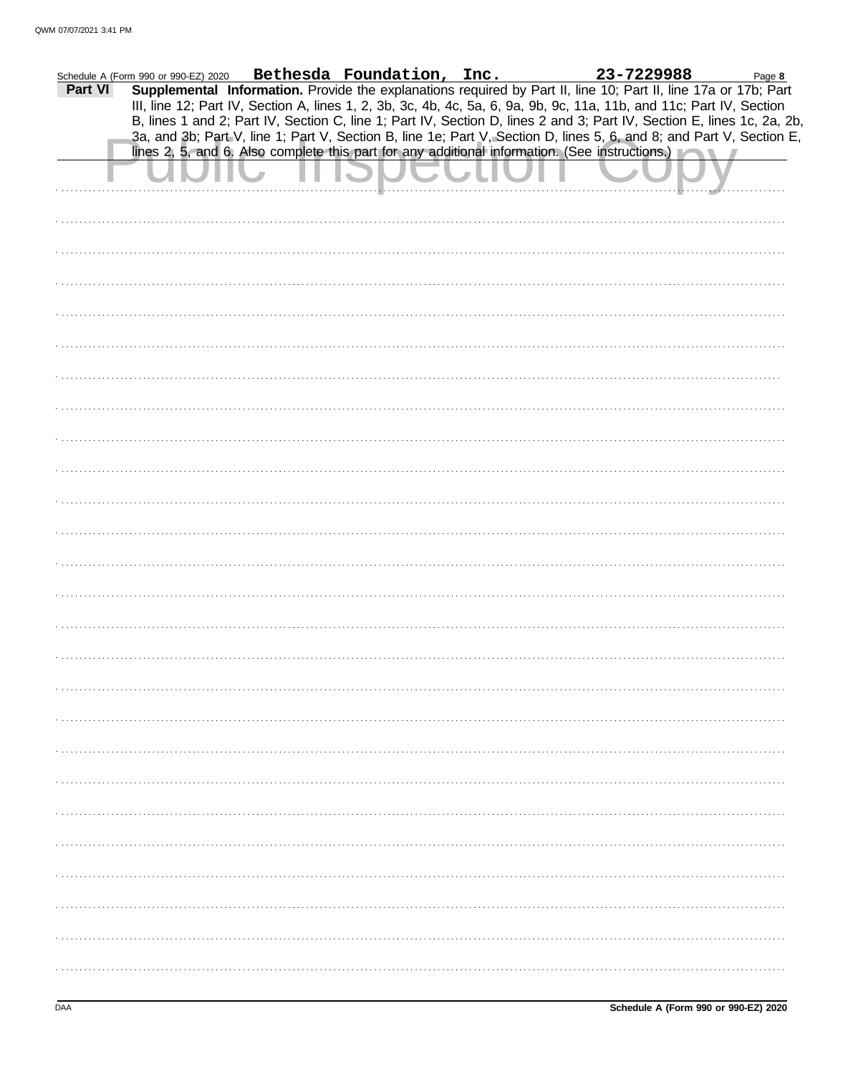|         | Schedule A (Form 990 or 990-EZ) 2020 | Bethesda Foundation, Inc. | 23-7229988                                                                                                                                                                                                                              | Page 8 |
|---------|--------------------------------------|---------------------------|-----------------------------------------------------------------------------------------------------------------------------------------------------------------------------------------------------------------------------------------|--------|
| Part VI |                                      |                           | Supplemental Information. Provide the explanations required by Part II, line 10; Part II, line 17a or 17b; Part<br>III, line 12; Part IV, Section A, lines 1, 2, 3b, 3c, 4b, 4c, 5a, 6, 9a, 9b, 9c, 11a, 11b, and 11c; Part IV, Section |        |
|         |                                      |                           | B, lines 1 and 2; Part IV, Section C, line 1; Part IV, Section D, lines 2 and 3; Part IV, Section E, lines 1c, 2a, 2b,                                                                                                                  |        |
|         |                                      |                           | 3a, and 3b; Part V, line 1; Part V, Section B, line 1e; Part V, Section D, lines 5, 6, and 8; and Part V, Section E,                                                                                                                    |        |
|         |                                      |                           | lines 2, 5, and 6. Also complete this part for any additional information. (See instructions.)                                                                                                                                          |        |
|         |                                      |                           |                                                                                                                                                                                                                                         |        |
|         |                                      |                           |                                                                                                                                                                                                                                         |        |
|         |                                      |                           |                                                                                                                                                                                                                                         |        |
|         |                                      |                           |                                                                                                                                                                                                                                         |        |
|         |                                      |                           |                                                                                                                                                                                                                                         |        |
|         |                                      |                           |                                                                                                                                                                                                                                         |        |
|         |                                      |                           |                                                                                                                                                                                                                                         |        |
|         |                                      |                           |                                                                                                                                                                                                                                         |        |
|         |                                      |                           |                                                                                                                                                                                                                                         |        |
|         |                                      |                           |                                                                                                                                                                                                                                         |        |
|         |                                      |                           |                                                                                                                                                                                                                                         |        |
|         |                                      |                           |                                                                                                                                                                                                                                         |        |
|         |                                      |                           |                                                                                                                                                                                                                                         |        |
|         |                                      |                           |                                                                                                                                                                                                                                         |        |
|         |                                      |                           |                                                                                                                                                                                                                                         |        |
|         |                                      |                           |                                                                                                                                                                                                                                         |        |
|         |                                      |                           |                                                                                                                                                                                                                                         |        |
|         |                                      |                           |                                                                                                                                                                                                                                         |        |
|         |                                      |                           |                                                                                                                                                                                                                                         |        |
|         |                                      |                           |                                                                                                                                                                                                                                         |        |
|         |                                      |                           |                                                                                                                                                                                                                                         |        |
|         |                                      |                           |                                                                                                                                                                                                                                         |        |
|         |                                      |                           |                                                                                                                                                                                                                                         |        |
|         |                                      |                           |                                                                                                                                                                                                                                         |        |
|         |                                      |                           |                                                                                                                                                                                                                                         |        |
|         |                                      |                           |                                                                                                                                                                                                                                         |        |
|         |                                      |                           |                                                                                                                                                                                                                                         |        |
|         |                                      |                           |                                                                                                                                                                                                                                         |        |
|         |                                      |                           |                                                                                                                                                                                                                                         |        |
|         |                                      |                           |                                                                                                                                                                                                                                         |        |
|         |                                      |                           |                                                                                                                                                                                                                                         |        |
|         |                                      |                           |                                                                                                                                                                                                                                         |        |
|         |                                      |                           |                                                                                                                                                                                                                                         |        |
|         |                                      |                           |                                                                                                                                                                                                                                         |        |
|         |                                      |                           |                                                                                                                                                                                                                                         |        |
|         |                                      |                           |                                                                                                                                                                                                                                         |        |
|         |                                      |                           |                                                                                                                                                                                                                                         |        |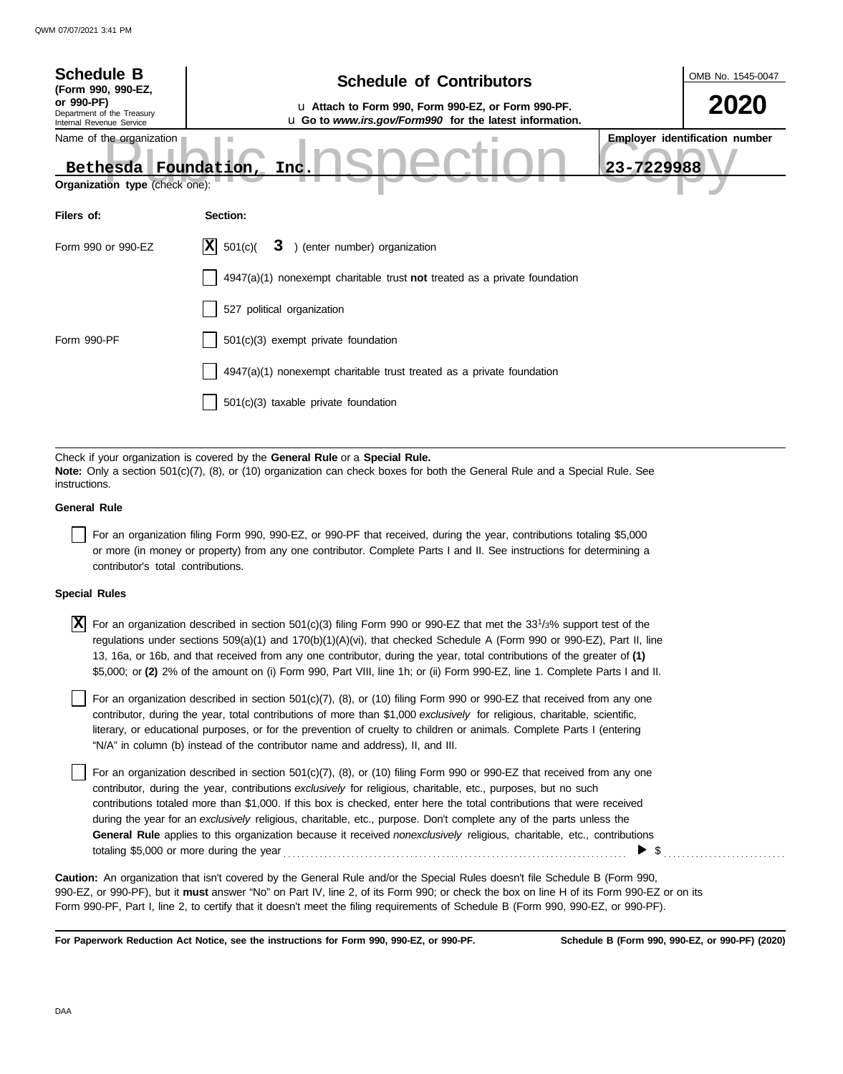| <b>Schedule B</b><br>(Form 990, 990-EZ,                                            | <b>Schedule of Contributors</b>                                                                                                                                                                             |            |                                       |  |  |  |  |
|------------------------------------------------------------------------------------|-------------------------------------------------------------------------------------------------------------------------------------------------------------------------------------------------------------|------------|---------------------------------------|--|--|--|--|
| or 990-PF)<br>Department of the Treasury<br>Internal Revenue Service               |                                                                                                                                                                                                             | 2020       |                                       |  |  |  |  |
| Name of the organization<br>Bethesda Foundation,<br>Organization type (check one): | Inc.                                                                                                                                                                                                        | 23-7229988 | <b>Employer identification number</b> |  |  |  |  |
| Filers of:                                                                         | Section:                                                                                                                                                                                                    |            |                                       |  |  |  |  |
| Form 990 or 990-EZ                                                                 | X <br>3 ) (enter number) organization<br>501(c)                                                                                                                                                             |            |                                       |  |  |  |  |
|                                                                                    | 4947(a)(1) nonexempt charitable trust not treated as a private foundation                                                                                                                                   |            |                                       |  |  |  |  |
|                                                                                    | 527 political organization                                                                                                                                                                                  |            |                                       |  |  |  |  |
| Form 990-PF                                                                        | 501(c)(3) exempt private foundation                                                                                                                                                                         |            |                                       |  |  |  |  |
|                                                                                    | 4947(a)(1) nonexempt charitable trust treated as a private foundation                                                                                                                                       |            |                                       |  |  |  |  |
|                                                                                    | 501(c)(3) taxable private foundation                                                                                                                                                                        |            |                                       |  |  |  |  |
|                                                                                    |                                                                                                                                                                                                             |            |                                       |  |  |  |  |
| instructions.                                                                      | Check if your organization is covered by the General Rule or a Special Rule.<br>Note: Only a section 501(c)(7), (8), or (10) organization can check boxes for both the General Rule and a Special Rule. See |            |                                       |  |  |  |  |
| <b>General Rule</b>                                                                |                                                                                                                                                                                                             |            |                                       |  |  |  |  |
|                                                                                    | . <del>. .</del><br>$\sim$ $\sim$ $\sim$ $\sim$ $\sim$                                                                                                                                                      |            |                                       |  |  |  |  |

For an organization filing Form 990, 990-EZ, or 990-PF that received, during the year, contributions totaling \$5,000 or more (in money or property) from any one contributor. Complete Parts I and II. See instructions for determining a contributor's total contributions.

## **Special Rules**

 $\overline{X}$  For an organization described in section 501(c)(3) filing Form 990 or 990-EZ that met the 33<sup>1</sup>/3% support test of the regulations under sections 509(a)(1) and 170(b)(1)(A)(vi), that checked Schedule A (Form 990 or 990-EZ), Part II, line 13, 16a, or 16b, and that received from any one contributor, during the year, total contributions of the greater of **(1)** \$5,000; or **(2)** 2% of the amount on (i) Form 990, Part VIII, line 1h; or (ii) Form 990-EZ, line 1. Complete Parts I and II.

literary, or educational purposes, or for the prevention of cruelty to children or animals. Complete Parts I (entering For an organization described in section  $501(c)(7)$ ,  $(8)$ , or  $(10)$  filing Form 990 or 990-EZ that received from any one contributor, during the year, total contributions of more than \$1,000 *exclusively* for religious, charitable, scientific, "N/A" in column (b) instead of the contributor name and address), II, and III.

For an organization described in section 501(c)(7), (8), or (10) filing Form 990 or 990-EZ that received from any one contributor, during the year, contributions *exclusively* for religious, charitable, etc., purposes, but no such contributions totaled more than \$1,000. If this box is checked, enter here the total contributions that were received during the year for an *exclusively* religious, charitable, etc., purpose. Don't complete any of the parts unless the **General Rule** applies to this organization because it received *nonexclusively* religious, charitable, etc., contributions totaling \$5,000 or more during the year . . . . . . . . . . . . . . . . . . . . . . . . . . . . . . . . . . . . . . . . . . . . . . . . . . . . . . . . . . . . . . . . . . . . . . . . . . . .  $\blacktriangleright$  \$

990-EZ, or 990-PF), but it **must** answer "No" on Part IV, line 2, of its Form 990; or check the box on line H of its Form 990-EZ or on its Form 990-PF, Part I, line 2, to certify that it doesn't meet the filing requirements of Schedule B (Form 990, 990-EZ, or 990-PF). **Caution:** An organization that isn't covered by the General Rule and/or the Special Rules doesn't file Schedule B (Form 990,

**For Paperwork Reduction Act Notice, see the instructions for Form 990, 990-EZ, or 990-PF.**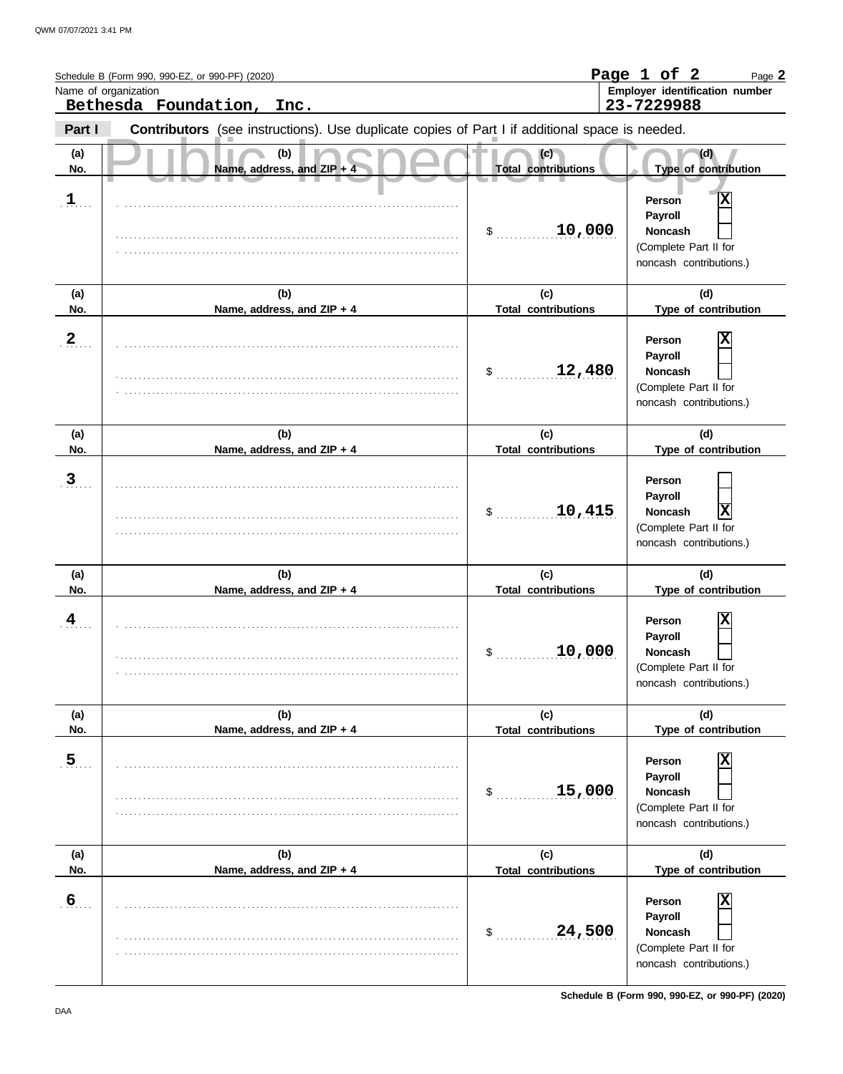|                         | Schedule B (Form 990, 990-EZ, or 990-PF) (2020)<br>Name of organization<br>Bethesda Foundation, Inc. |                                   | Page 1 of 2<br>Page 2<br>Employer identification number<br>23-7229988                        |
|-------------------------|------------------------------------------------------------------------------------------------------|-----------------------------------|----------------------------------------------------------------------------------------------|
| Part I                  | Contributors (see instructions). Use duplicate copies of Part I if additional space is needed.       |                                   |                                                                                              |
| (a)<br>No.              | (b)<br>Name, address, and ZIP +                                                                      | (c)<br><b>Total contributions</b> | (d)<br>Type of contribution                                                                  |
| $\mathbf{1}$            |                                                                                                      | 10,000<br>$\sim$                  | Χ<br>Person<br>Payroll<br><b>Noncash</b><br>(Complete Part II for<br>noncash contributions.) |
| (a)<br>No.              | (b)<br>Name, address, and ZIP + 4                                                                    | (c)<br><b>Total contributions</b> | (d)<br>Type of contribution                                                                  |
| $\overline{2}$          |                                                                                                      | 12,480<br>\$                      | X<br>Person<br>Payroll<br><b>Noncash</b><br>(Complete Part II for<br>noncash contributions.) |
| (a)<br>No.              | (b)<br>Name, address, and ZIP + 4                                                                    | (c)<br><b>Total contributions</b> | (d)<br>Type of contribution                                                                  |
| $\overline{3}$          |                                                                                                      | 10,415<br>\$                      | Person<br>Payroll<br>X<br><b>Noncash</b><br>(Complete Part II for<br>noncash contributions.) |
| (a)<br>No.              | (b)<br>Name, address, and ZIP + 4                                                                    | (c)<br><b>Total contributions</b> | (d)<br>Type of contribution                                                                  |
| $\overline{\mathbf{4}}$ |                                                                                                      | 10,000<br>\$                      | X<br>Person<br>Payroll<br><b>Noncash</b><br>(Complete Part II for<br>noncash contributions.) |
| (a)<br>No.              | (b)<br>Name, address, and ZIP + 4                                                                    | (c)<br><b>Total contributions</b> | (d)<br>Type of contribution                                                                  |
| $\overline{5}$          |                                                                                                      | 15,000<br>$\mathsf{S}_\perp$      | X<br>Person<br>Payroll<br><b>Noncash</b><br>(Complete Part II for<br>noncash contributions.) |
| (a)<br>No.              | (b)<br>Name, address, and ZIP + 4                                                                    | (c)<br><b>Total contributions</b> | (d)<br>Type of contribution                                                                  |
| $6 \overline{6}$        |                                                                                                      | 24,500<br>$$_{\ldots}$            | X<br>Person<br>Payroll<br>Noncash<br>(Complete Part II for<br>noncash contributions.)        |

**Schedule B (Form 990, 990-EZ, or 990-PF) (2020)**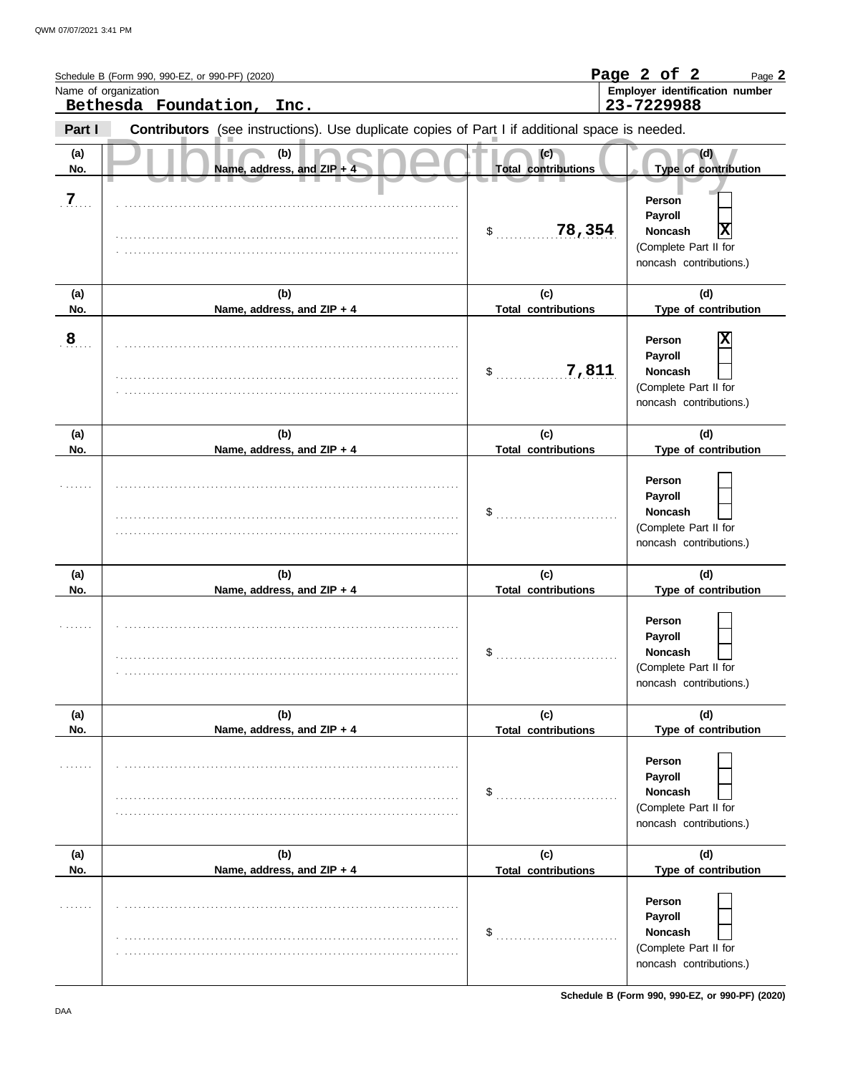|            | Schedule B (Form 990, 990-EZ, or 990-PF) (2020)<br>Name of organization<br>Bethesda Foundation,<br>Inc. |                                   | Page 2 of 2<br>Page 2<br>Employer identification number<br>23-7229988                                    |
|------------|---------------------------------------------------------------------------------------------------------|-----------------------------------|----------------------------------------------------------------------------------------------------------|
| Part I     | Contributors (see instructions). Use duplicate copies of Part I if additional space is needed.          |                                   |                                                                                                          |
| (a)<br>No. | (b)<br>Name, address, and ZIP + 4                                                                       | (c)<br><b>Total contributions</b> | (d)<br>Type of contribution                                                                              |
| 7          |                                                                                                         | 78,354<br>$\sim$                  | Person<br>Payroll<br>X<br><b>Noncash</b><br>(Complete Part II for<br>noncash contributions.)             |
| (a)<br>No. | (b)<br>Name, address, and ZIP + 4                                                                       | (c)<br><b>Total contributions</b> | (d)<br>Type of contribution                                                                              |
| 8          |                                                                                                         | 7,811<br>$\sim$                   | Χ<br>Person<br>Payroll<br><b>Noncash</b><br>(Complete Part II for<br>noncash contributions.)             |
| (a)<br>No. | (b)<br>Name, address, and ZIP + 4                                                                       | (c)<br><b>Total contributions</b> | (d)<br>Type of contribution                                                                              |
|            |                                                                                                         | \$                                | Person<br>Payroll<br><b>Noncash</b><br>(Complete Part II for<br>noncash contributions.)                  |
| (a)<br>No. | (b)<br>Name, address, and ZIP + 4                                                                       | (c)<br><b>Total contributions</b> | (d)<br>Type of contribution                                                                              |
|            |                                                                                                         | \$                                | Person<br>Payroll<br>Noncash<br>(Complete Part II for<br>noncash contributions.)                         |
| (a)<br>No. | (b)<br>Name, address, and ZIP + 4                                                                       | (c)<br><b>Total contributions</b> | (d)<br>Type of contribution                                                                              |
|            |                                                                                                         | \$                                | Person<br>Payroll<br><b>Noncash</b><br>(Complete Part II for<br>noncash contributions.)                  |
| (a)        | (b)                                                                                                     | (c)                               | (d)                                                                                                      |
| No.        | Name, address, and ZIP + 4                                                                              | <b>Total contributions</b><br>\$  | Type of contribution<br>Person<br>Payroll<br>Noncash<br>(Complete Part II for<br>noncash contributions.) |

**Schedule B (Form 990, 990-EZ, or 990-PF) (2020)**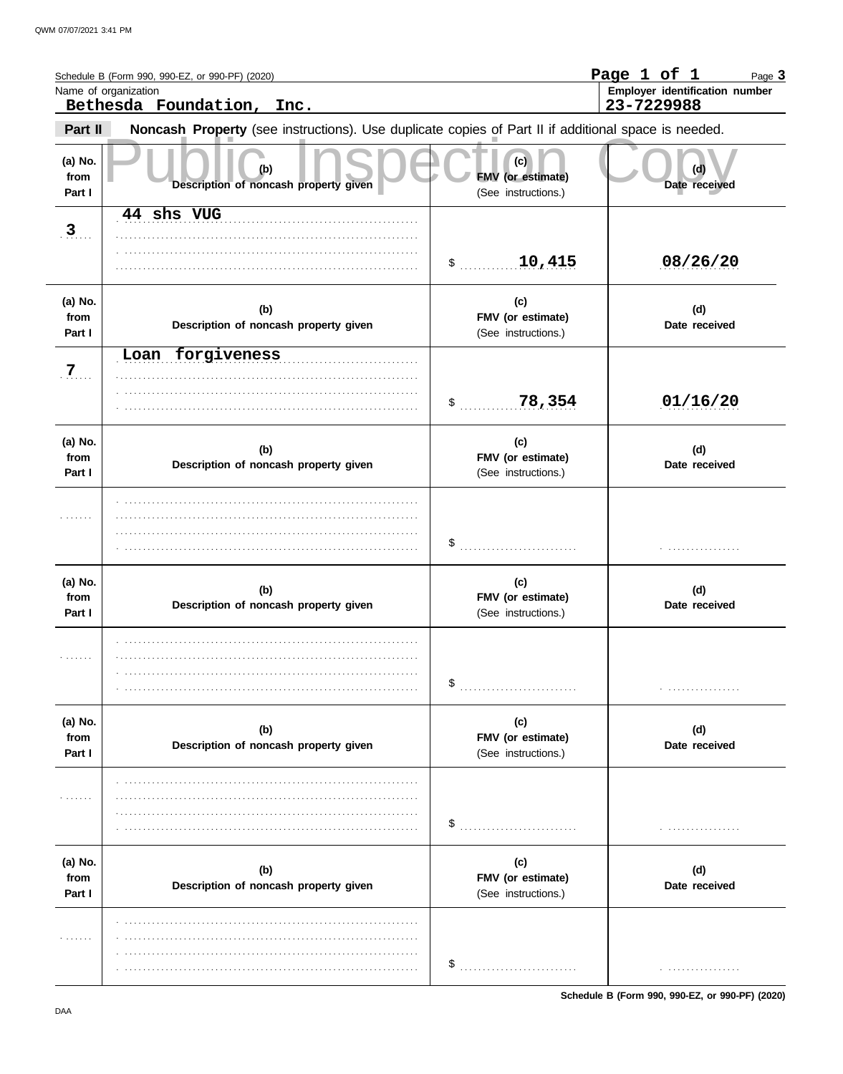|                           | Schedule B (Form 990, 990-EZ, or 990-PF) (2020)<br>Name of organization<br>Bethesda Foundation, Inc. |                                                 | Page 1 of 1<br>Page 3<br>Employer identification number<br>23-7229988 |
|---------------------------|------------------------------------------------------------------------------------------------------|-------------------------------------------------|-----------------------------------------------------------------------|
| Part II                   | Noncash Property (see instructions). Use duplicate copies of Part II if additional space is needed.  |                                                 |                                                                       |
| (a) No.<br>from<br>Part I | (b)<br>Description of noncash property given                                                         | (c)<br>FMV (or estimate)<br>(See instructions.) | (d)<br>Date received                                                  |
| 3                         | 44 shs VUG                                                                                           | 10,415                                          | 08/26/20                                                              |
| (a) No.<br>from<br>Part I | (b)<br>Description of noncash property given                                                         | (c)<br>FMV (or estimate)<br>(See instructions.) | (d)<br>Date received                                                  |
| $7_{\ldots}$              | Loan forgiveness                                                                                     | 78,354<br>$\mathsf{\$}$                         | 01/16/20                                                              |
| (a) No.<br>from<br>Part I | (b)<br>Description of noncash property given                                                         | (c)<br>FMV (or estimate)<br>(See instructions.) | (d)<br>Date received                                                  |
|                           |                                                                                                      |                                                 |                                                                       |
| (a) No.<br>from<br>Part I | (b)<br>Description of noncash property given                                                         | (c)<br>FMV (or estimate)<br>(See instructions.) | (d)<br>Date received                                                  |
| .                         |                                                                                                      |                                                 |                                                                       |
| (a) No.<br>from<br>Part I | (b)<br>Description of noncash property given                                                         | (c)<br>FMV (or estimate)<br>(See instructions.) | (d)<br>Date received                                                  |
| .                         |                                                                                                      | \$                                              |                                                                       |
| (a) No.<br>from<br>Part I | (b)<br>Description of noncash property given                                                         | (c)<br>FMV (or estimate)<br>(See instructions.) | (d)<br>Date received                                                  |
| .                         |                                                                                                      |                                                 | .                                                                     |

Schedule B (Form 990, 990-EZ, or 990-PF) (2020)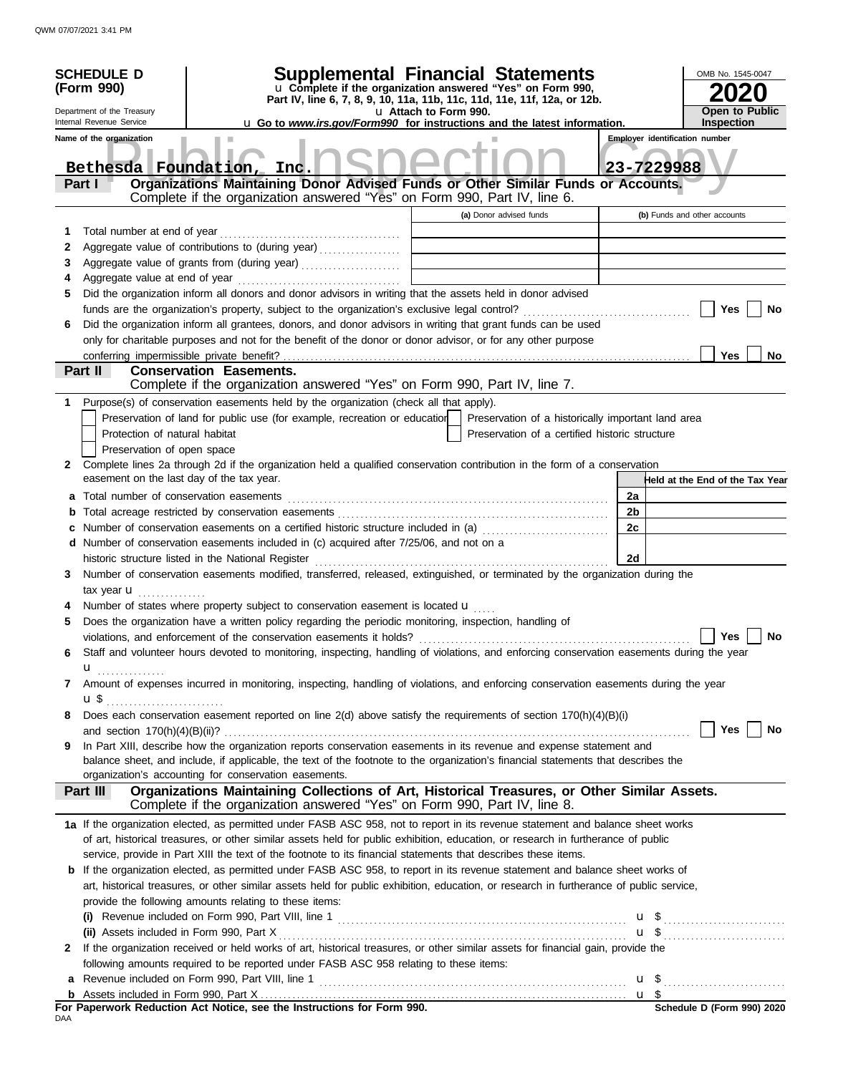|     | <b>SCHEDULE D</b>                                                              | Supplemental Financial Statements                                                                                                                                                          |                       |                                                |    | OMB No. 1545-0047                     |
|-----|--------------------------------------------------------------------------------|--------------------------------------------------------------------------------------------------------------------------------------------------------------------------------------------|-----------------------|------------------------------------------------|----|---------------------------------------|
|     | (Form 990)                                                                     | u Complete if the organization answered "Yes" on Form 990,                                                                                                                                 |                       |                                                |    |                                       |
|     |                                                                                | Part IV, line 6, 7, 8, 9, 10, 11a, 11b, 11c, 11d, 11e, 11f, 12a, or 12b.                                                                                                                   |                       |                                                |    | <b>Open to Public</b>                 |
|     | Department of the Treasury<br>Internal Revenue Service                         | <b>u</b> Go to <i>www.irs.gov/Form990</i> for instructions and the latest information.                                                                                                     | u Attach to Form 990. |                                                |    | <b>Inspection</b>                     |
|     | Name of the organization                                                       |                                                                                                                                                                                            |                       |                                                |    | <b>Employer identification number</b> |
|     | Bethesda Foundation,                                                           | Inc.                                                                                                                                                                                       |                       |                                                |    | 23-7229988                            |
|     | Part I                                                                         | Organizations Maintaining Donor Advised Funds or Other Similar Funds or Accounts.<br>Complete if the organization answered "Yes" on Form 990, Part IV, line 6.                             |                       |                                                |    |                                       |
|     |                                                                                |                                                                                                                                                                                            |                       | (a) Donor advised funds                        |    |                                       |
|     |                                                                                |                                                                                                                                                                                            |                       |                                                |    | (b) Funds and other accounts          |
| 1   | Total number at end of year                                                    |                                                                                                                                                                                            |                       |                                                |    |                                       |
| 2   |                                                                                | Aggregate value of contributions to (during year)                                                                                                                                          |                       |                                                |    |                                       |
| 3   |                                                                                |                                                                                                                                                                                            |                       |                                                |    |                                       |
| 4   |                                                                                |                                                                                                                                                                                            |                       |                                                |    |                                       |
| 5   |                                                                                | Did the organization inform all donors and donor advisors in writing that the assets held in donor advised                                                                                 |                       |                                                |    |                                       |
|     |                                                                                |                                                                                                                                                                                            |                       |                                                |    | Yes<br>No                             |
| 6   |                                                                                | Did the organization inform all grantees, donors, and donor advisors in writing that grant funds can be used                                                                               |                       |                                                |    |                                       |
|     |                                                                                | only for charitable purposes and not for the benefit of the donor or donor advisor, or for any other purpose                                                                               |                       |                                                |    |                                       |
|     | Part II                                                                        | <b>Conservation Easements.</b>                                                                                                                                                             |                       |                                                |    | Yes<br><b>No</b>                      |
|     |                                                                                | Complete if the organization answered "Yes" on Form 990, Part IV, line 7.                                                                                                                  |                       |                                                |    |                                       |
| 1   |                                                                                | Purpose(s) of conservation easements held by the organization (check all that apply).                                                                                                      |                       |                                                |    |                                       |
|     |                                                                                | Preservation of land for public use (for example, recreation or education   Preservation of a historically important land area                                                             |                       |                                                |    |                                       |
|     | Protection of natural habitat                                                  |                                                                                                                                                                                            |                       | Preservation of a certified historic structure |    |                                       |
|     | Preservation of open space                                                     |                                                                                                                                                                                            |                       |                                                |    |                                       |
| 2   |                                                                                | Complete lines 2a through 2d if the organization held a qualified conservation contribution in the form of a conservation                                                                  |                       |                                                |    |                                       |
|     | easement on the last day of the tax year.                                      |                                                                                                                                                                                            |                       |                                                |    | Held at the End of the Tax Year       |
|     |                                                                                |                                                                                                                                                                                            |                       |                                                | 2a |                                       |
| a   |                                                                                |                                                                                                                                                                                            |                       |                                                |    |                                       |
| b   |                                                                                |                                                                                                                                                                                            |                       |                                                | 2b |                                       |
| c   |                                                                                | Number of conservation easements on a certified historic structure included in (a)                                                                                                         |                       |                                                | 2c |                                       |
|     |                                                                                | d Number of conservation easements included in (c) acquired after 7/25/06, and not on a                                                                                                    |                       |                                                |    |                                       |
|     |                                                                                | historic structure listed in the National Register                                                                                                                                         |                       |                                                | 2d |                                       |
| 3   |                                                                                | Number of conservation easements modified, transferred, released, extinguished, or terminated by the organization during the                                                               |                       |                                                |    |                                       |
|     | tax year $\mathbf{u}$                                                          |                                                                                                                                                                                            |                       |                                                |    |                                       |
|     |                                                                                | Number of states where property subject to conservation easement is located u                                                                                                              |                       |                                                |    |                                       |
| 5   |                                                                                | Does the organization have a written policy regarding the periodic monitoring, inspection, handling of                                                                                     |                       |                                                |    | Yes $\Box$<br>No                      |
|     |                                                                                |                                                                                                                                                                                            |                       |                                                |    |                                       |
| 6   |                                                                                | Staff and volunteer hours devoted to monitoring, inspecting, handling of violations, and enforcing conservation easements during the year                                                  |                       |                                                |    |                                       |
|     | $\mathbf{u}$ <sub></sub>                                                       |                                                                                                                                                                                            |                       |                                                |    |                                       |
| 7   |                                                                                | Amount of expenses incurred in monitoring, inspecting, handling of violations, and enforcing conservation easements during the year                                                        |                       |                                                |    |                                       |
|     | $\mathbf{u}$ \$ $\ldots$ $\ldots$ $\ldots$ $\ldots$ $\ldots$ $\ldots$ $\ldots$ |                                                                                                                                                                                            |                       |                                                |    |                                       |
| 8   |                                                                                | Does each conservation easement reported on line 2(d) above satisfy the requirements of section 170(h)(4)(B)(i)                                                                            |                       |                                                |    | Yes<br>No                             |
|     |                                                                                |                                                                                                                                                                                            |                       |                                                |    |                                       |
| 9   |                                                                                | In Part XIII, describe how the organization reports conservation easements in its revenue and expense statement and                                                                        |                       |                                                |    |                                       |
|     |                                                                                | balance sheet, and include, if applicable, the text of the footnote to the organization's financial statements that describes the<br>organization's accounting for conservation easements. |                       |                                                |    |                                       |
|     | Part III                                                                       | Organizations Maintaining Collections of Art, Historical Treasures, or Other Similar Assets.                                                                                               |                       |                                                |    |                                       |
|     |                                                                                | Complete if the organization answered "Yes" on Form 990, Part IV, line 8.                                                                                                                  |                       |                                                |    |                                       |
|     |                                                                                | 1a If the organization elected, as permitted under FASB ASC 958, not to report in its revenue statement and balance sheet works                                                            |                       |                                                |    |                                       |
|     |                                                                                | of art, historical treasures, or other similar assets held for public exhibition, education, or research in furtherance of public                                                          |                       |                                                |    |                                       |
|     |                                                                                | service, provide in Part XIII the text of the footnote to its financial statements that describes these items.                                                                             |                       |                                                |    |                                       |
|     |                                                                                | b If the organization elected, as permitted under FASB ASC 958, to report in its revenue statement and balance sheet works of                                                              |                       |                                                |    |                                       |
|     |                                                                                |                                                                                                                                                                                            |                       |                                                |    |                                       |
|     |                                                                                | art, historical treasures, or other similar assets held for public exhibition, education, or research in furtherance of public service,                                                    |                       |                                                |    |                                       |
|     |                                                                                | provide the following amounts relating to these items:                                                                                                                                     |                       |                                                |    |                                       |
|     | $\mathbf{u}$                                                                   |                                                                                                                                                                                            |                       |                                                |    |                                       |
|     |                                                                                |                                                                                                                                                                                            |                       |                                                |    |                                       |
| 2   |                                                                                | If the organization received or held works of art, historical treasures, or other similar assets for financial gain, provide the                                                           |                       |                                                |    |                                       |
|     |                                                                                | following amounts required to be reported under FASB ASC 958 relating to these items:                                                                                                      |                       |                                                |    |                                       |
|     |                                                                                |                                                                                                                                                                                            |                       |                                                |    |                                       |
|     |                                                                                | For Paperwork Reduction Act Notice, see the Instructions for Form 990.                                                                                                                     |                       |                                                |    | Schedule D (Form 990) 2020            |
| DAA |                                                                                |                                                                                                                                                                                            |                       |                                                |    |                                       |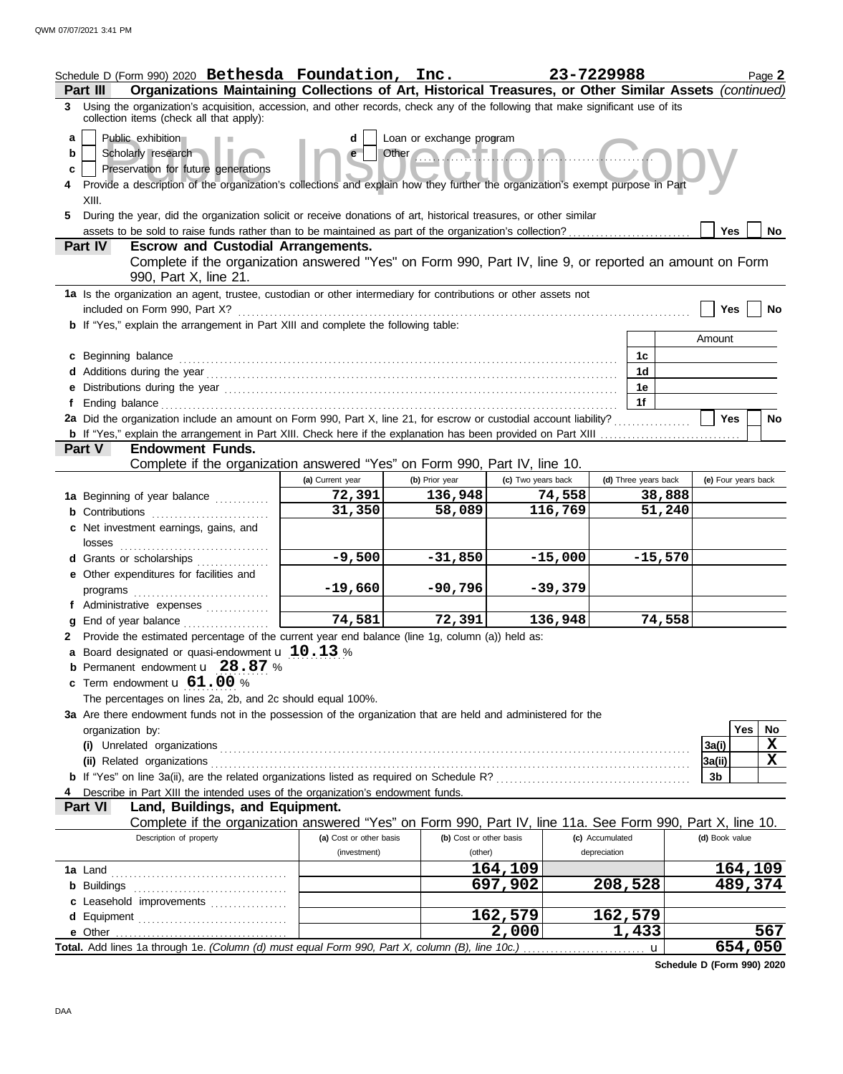|                   | Schedule D (Form 990) 2020 Bethesda Foundation, Inc.<br>Organizations Maintaining Collections of Art, Historical Treasures, or Other Similar Assets (continued)<br><b>Part III</b>                                                                                                                                                             |                         |                                                         |                    | 23-7229988           |                     | Page 2             |
|-------------------|------------------------------------------------------------------------------------------------------------------------------------------------------------------------------------------------------------------------------------------------------------------------------------------------------------------------------------------------|-------------------------|---------------------------------------------------------|--------------------|----------------------|---------------------|--------------------|
|                   | 3 Using the organization's acquisition, accession, and other records, check any of the following that make significant use of its<br>collection items (check all that apply):                                                                                                                                                                  |                         |                                                         |                    |                      |                     |                    |
| a<br>b<br>c<br>5. | Public exhibition<br>Scholarly research<br>Preservation for future generations<br>Provide a description of the organization's collections and explain how they further the organization's exempt purpose in Part<br>XIII.<br>During the year, did the organization solicit or receive donations of art, historical treasures, or other similar | d<br>e                  | Loan or exchange program<br>Other <b>Contract Lines</b> |                    |                      | Yes                 | <b>No</b>          |
|                   | Part IV<br><b>Escrow and Custodial Arrangements.</b>                                                                                                                                                                                                                                                                                           |                         |                                                         |                    |                      |                     |                    |
|                   | Complete if the organization answered "Yes" on Form 990, Part IV, line 9, or reported an amount on Form<br>990, Part X, line 21.                                                                                                                                                                                                               |                         |                                                         |                    |                      |                     |                    |
|                   | 1a Is the organization an agent, trustee, custodian or other intermediary for contributions or other assets not<br>included on Form 990, Part X?                                                                                                                                                                                               |                         |                                                         |                    |                      | <b>Yes</b>          | No                 |
|                   | <b>b</b> If "Yes," explain the arrangement in Part XIII and complete the following table:                                                                                                                                                                                                                                                      |                         |                                                         |                    |                      |                     |                    |
|                   |                                                                                                                                                                                                                                                                                                                                                |                         |                                                         |                    |                      | Amount              |                    |
|                   | c Beginning balance                                                                                                                                                                                                                                                                                                                            |                         |                                                         |                    | 1c                   |                     |                    |
|                   |                                                                                                                                                                                                                                                                                                                                                |                         |                                                         |                    | 1 <sub>d</sub>       |                     |                    |
| f                 | e Distributions during the year manufactured and contact the year manufactured with the set of the set of the set of the set of the set of the set of the set of the set of the set of the set of the set of the set of the se                                                                                                                 |                         |                                                         |                    | 1e<br>1f             |                     |                    |
|                   | 2a Did the organization include an amount on Form 990, Part X, line 21, for escrow or custodial account liability?                                                                                                                                                                                                                             |                         |                                                         |                    |                      | Yes                 | No                 |
|                   |                                                                                                                                                                                                                                                                                                                                                |                         |                                                         |                    |                      |                     |                    |
|                   | <b>Endowment Funds.</b><br><b>Part V</b>                                                                                                                                                                                                                                                                                                       |                         |                                                         |                    |                      |                     |                    |
|                   | Complete if the organization answered "Yes" on Form 990, Part IV, line 10.                                                                                                                                                                                                                                                                     |                         |                                                         |                    |                      |                     |                    |
|                   |                                                                                                                                                                                                                                                                                                                                                | (a) Current year        | (b) Prior year                                          | (c) Two years back | (d) Three years back | (e) Four years back |                    |
|                   | 1a Beginning of year balance                                                                                                                                                                                                                                                                                                                   | 72,391<br>31,350        | 136,948<br>58,089                                       | 74,558<br>116,769  | 38,888<br>51,240     |                     |                    |
|                   | <b>b</b> Contributions<br>c Net investment earnings, gains, and                                                                                                                                                                                                                                                                                |                         |                                                         |                    |                      |                     |                    |
|                   | losses                                                                                                                                                                                                                                                                                                                                         |                         |                                                         |                    |                      |                     |                    |
|                   | d Grants or scholarships                                                                                                                                                                                                                                                                                                                       | $-9,500$                | $-31,850$                                               | $-15,000$          | $-15,570$            |                     |                    |
|                   | e Other expenditures for facilities and                                                                                                                                                                                                                                                                                                        |                         |                                                         |                    |                      |                     |                    |
|                   | programs                                                                                                                                                                                                                                                                                                                                       | $-19,660$               | $-90,796$                                               | $-39,379$          |                      |                     |                    |
|                   | f Administrative expenses                                                                                                                                                                                                                                                                                                                      |                         |                                                         |                    |                      |                     |                    |
| g                 | End of year balance                                                                                                                                                                                                                                                                                                                            | 74,581                  | 72,391                                                  | 136,948            | 74,558               |                     |                    |
| 2                 | Provide the estimated percentage of the current year end balance (line 1g, column (a)) held as:<br>a Board designated or quasi-endowment $\mathbf{u}$ 10.13 %                                                                                                                                                                                  |                         |                                                         |                    |                      |                     |                    |
|                   | <b>b</b> Permanent endowment $\mathbf{u}$ 28.87 %                                                                                                                                                                                                                                                                                              |                         |                                                         |                    |                      |                     |                    |
|                   | c Term endowment u 61.00 %                                                                                                                                                                                                                                                                                                                     |                         |                                                         |                    |                      |                     |                    |
|                   | The percentages on lines 2a, 2b, and 2c should equal 100%.                                                                                                                                                                                                                                                                                     |                         |                                                         |                    |                      |                     |                    |
|                   | 3a Are there endowment funds not in the possession of the organization that are held and administered for the                                                                                                                                                                                                                                  |                         |                                                         |                    |                      |                     |                    |
|                   | organization by:                                                                                                                                                                                                                                                                                                                               |                         |                                                         |                    |                      |                     | <b>Yes</b><br>No   |
|                   |                                                                                                                                                                                                                                                                                                                                                |                         |                                                         |                    |                      | 3a(i)               | X<br>X             |
|                   |                                                                                                                                                                                                                                                                                                                                                |                         |                                                         |                    |                      | 3a(ii)<br>3b        |                    |
|                   | Describe in Part XIII the intended uses of the organization's endowment funds.                                                                                                                                                                                                                                                                 |                         |                                                         |                    |                      |                     |                    |
|                   | Part VI<br>Land, Buildings, and Equipment.                                                                                                                                                                                                                                                                                                     |                         |                                                         |                    |                      |                     |                    |
|                   | Complete if the organization answered "Yes" on Form 990, Part IV, line 11a. See Form 990, Part X, line 10.                                                                                                                                                                                                                                     |                         |                                                         |                    |                      |                     |                    |
|                   | Description of property                                                                                                                                                                                                                                                                                                                        | (a) Cost or other basis | (b) Cost or other basis                                 |                    | (c) Accumulated      | (d) Book value      |                    |
|                   |                                                                                                                                                                                                                                                                                                                                                | (investment)            | (other)                                                 |                    | depreciation         |                     |                    |
|                   |                                                                                                                                                                                                                                                                                                                                                |                         |                                                         | 164,109<br>697,902 | 208,528              |                     | 164,109<br>489,374 |
|                   | c Leasehold improvements                                                                                                                                                                                                                                                                                                                       |                         |                                                         |                    |                      |                     |                    |
|                   | d Equipment                                                                                                                                                                                                                                                                                                                                    |                         |                                                         | 162,579            | 162,579              |                     |                    |
|                   |                                                                                                                                                                                                                                                                                                                                                |                         |                                                         | 2,000              | 1,433                |                     | 567                |
|                   | Total. Add lines 1a through 1e. (Column (d) must equal Form 990, Part X, column (B), line 10c.)                                                                                                                                                                                                                                                |                         |                                                         |                    | $\mathbf{u}$<br>.    |                     | 654,050            |

**Schedule D (Form 990) 2020**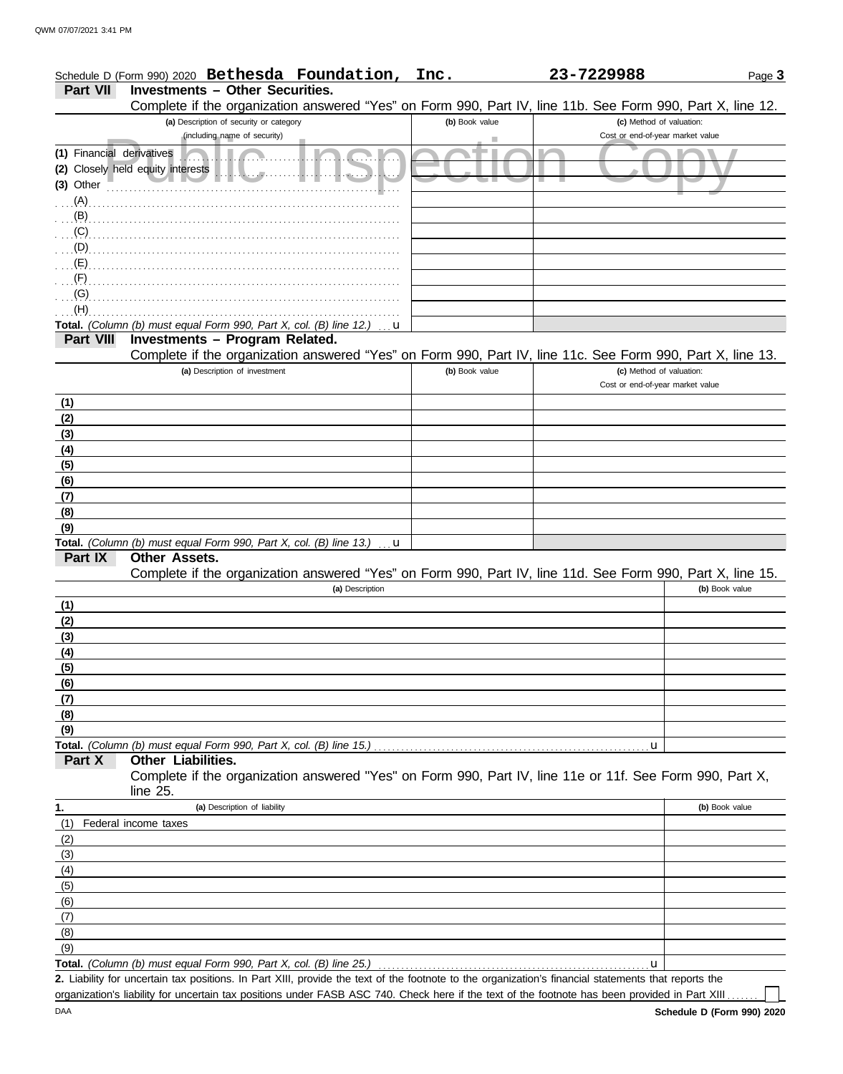|  |                                                 | Schedule D (Form 990) 2020 Bethesda Foundation, Inc. | 23-7229988 | Page $3$ |
|--|-------------------------------------------------|------------------------------------------------------|------------|----------|
|  | <b>Part VII Investments - Other Securities.</b> |                                                      |            |          |

Complete if the organization answered "Yes" on Form 990, Part IV, line 11b. See Form 990, Part X, line 12.

|                           | Complete if the Organization answered frest on Form 990, Fall TV, line TTD. See Form 990, Fall A, line TZ.<br>(a) Description of security or category | (b) Book value | (c) Method of valuation:         |                |
|---------------------------|-------------------------------------------------------------------------------------------------------------------------------------------------------|----------------|----------------------------------|----------------|
|                           | (including name of security)                                                                                                                          |                | Cost or end-of-year market value |                |
| (1) Financial derivatives |                                                                                                                                                       |                |                                  |                |
|                           | (2) Closely held equity interests                                                                                                                     |                |                                  |                |
| (3) Other                 | $\mathbb{R}$                                                                                                                                          |                |                                  |                |
| (A)                       |                                                                                                                                                       |                |                                  |                |
| (B)                       |                                                                                                                                                       |                |                                  |                |
| (C)                       |                                                                                                                                                       |                |                                  |                |
| (D)                       |                                                                                                                                                       |                |                                  |                |
| (E)                       |                                                                                                                                                       |                |                                  |                |
| (F)                       |                                                                                                                                                       |                |                                  |                |
| (G)                       |                                                                                                                                                       |                |                                  |                |
| (H)                       |                                                                                                                                                       |                |                                  |                |
|                           | Total. (Column (b) must equal Form 990, Part X, col. (B) line 12.)<br>u                                                                               |                |                                  |                |
| <b>Part VIII</b>          | Investments - Program Related.                                                                                                                        |                |                                  |                |
|                           | Complete if the organization answered "Yes" on Form 990, Part IV, line 11c. See Form 990, Part X, line 13.                                            |                |                                  |                |
|                           | (a) Description of investment                                                                                                                         | (b) Book value | (c) Method of valuation:         |                |
|                           |                                                                                                                                                       |                | Cost or end-of-year market value |                |
| <u>(1)</u>                |                                                                                                                                                       |                |                                  |                |
| (2)                       |                                                                                                                                                       |                |                                  |                |
| (3)                       |                                                                                                                                                       |                |                                  |                |
| (4)<br>(5)                |                                                                                                                                                       |                |                                  |                |
| (6)                       |                                                                                                                                                       |                |                                  |                |
| (7)                       |                                                                                                                                                       |                |                                  |                |
| (8)                       |                                                                                                                                                       |                |                                  |                |
| (9)                       |                                                                                                                                                       |                |                                  |                |
|                           | Total. (Column (b) must equal Form 990, Part X, col. (B) line 13.)<br>u                                                                               |                |                                  |                |
| Part IX                   | Other Assets.                                                                                                                                         |                |                                  |                |
|                           | Complete if the organization answered "Yes" on Form 990, Part IV, line 11d. See Form 990, Part X, line 15.                                            |                |                                  |                |
|                           | (a) Description                                                                                                                                       |                |                                  | (b) Book value |
| (1)                       |                                                                                                                                                       |                |                                  |                |
| (2)                       |                                                                                                                                                       |                |                                  |                |
| (3)                       |                                                                                                                                                       |                |                                  |                |
| (4)                       |                                                                                                                                                       |                |                                  |                |
| (5)                       |                                                                                                                                                       |                |                                  |                |
| (6)                       |                                                                                                                                                       |                |                                  |                |
| (7)<br>(8)                |                                                                                                                                                       |                |                                  |                |
| (9)                       |                                                                                                                                                       |                |                                  |                |
|                           | Total. (Column (b) must equal Form 990, Part X, col. (B) line 15.)                                                                                    |                | u                                |                |
| Part X                    | <b>Other Liabilities.</b>                                                                                                                             |                |                                  |                |
|                           | Complete if the organization answered "Yes" on Form 990, Part IV, line 11e or 11f. See Form 990, Part X,                                              |                |                                  |                |
|                           | line 25.                                                                                                                                              |                |                                  |                |
| 1.                        | (a) Description of liability                                                                                                                          |                |                                  | (b) Book value |
| (1)                       | Federal income taxes                                                                                                                                  |                |                                  |                |
| (2)                       |                                                                                                                                                       |                |                                  |                |
| (3)                       |                                                                                                                                                       |                |                                  |                |
| (4)                       |                                                                                                                                                       |                |                                  |                |
| (5)                       |                                                                                                                                                       |                |                                  |                |
| (6)                       |                                                                                                                                                       |                |                                  |                |
| (7)<br>(8)                |                                                                                                                                                       |                |                                  |                |
| (9)                       |                                                                                                                                                       |                |                                  |                |
|                           | Total. (Column (b) must equal Form 990, Part X, col. (B) line 25.)                                                                                    |                | u                                |                |
|                           | 2. Liability for uncertain tax positions. In Part XIII, provide the text of the footnote to the organization's financial statements that reports the  |                |                                  |                |

organization's liability for uncertain tax positions under FASB ASC 740. Check here if the text of the footnote has been provided in Part XIII..

 $\Box$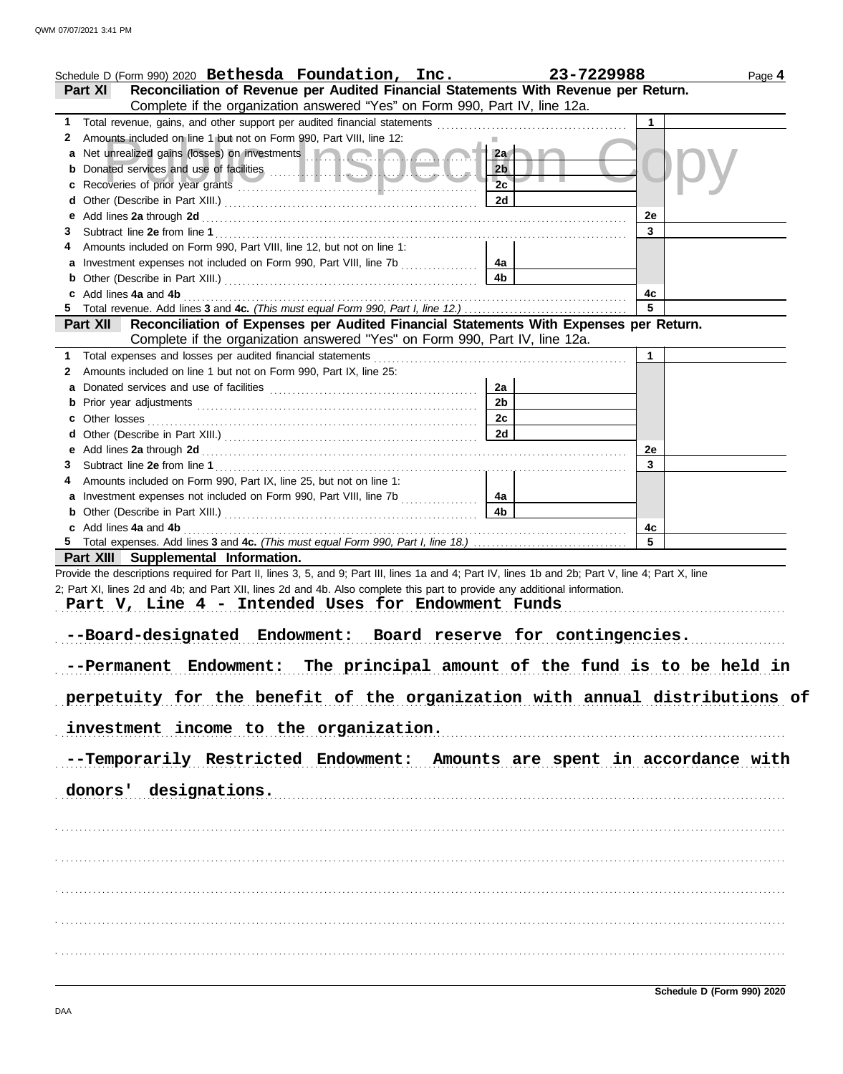|              | Schedule D (Form 990) 2020 Bethesda Foundation, Inc.                                                                                                                                                                                 |                      | 23-7229988   | Page 4 |
|--------------|--------------------------------------------------------------------------------------------------------------------------------------------------------------------------------------------------------------------------------------|----------------------|--------------|--------|
|              | Reconciliation of Revenue per Audited Financial Statements With Revenue per Return.<br>Part XI                                                                                                                                       |                      |              |        |
|              | Complete if the organization answered "Yes" on Form 990, Part IV, line 12a.                                                                                                                                                          |                      |              |        |
| 1            | Total revenue, gains, and other support per audited financial statements [                                                                                                                                                           |                      | $\mathbf{1}$ |        |
| $\mathbf{z}$ | Amounts included on line 1 but not on Form 990, Part VIII, line 12:                                                                                                                                                                  |                      |              |        |
| а            | Net unrealized gains (losses) on investments <b>and a state of the state of the state of the state of the state of the state of the state of the state of the state of the state of the state of the state of the state of the s</b> | 2a                   |              |        |
|              |                                                                                                                                                                                                                                      | 2 <sub>b</sub>       |              |        |
|              |                                                                                                                                                                                                                                      | 2c                   |              |        |
|              |                                                                                                                                                                                                                                      | 2d                   |              |        |
| е            |                                                                                                                                                                                                                                      |                      | 2e           |        |
| 3            |                                                                                                                                                                                                                                      |                      | 3            |        |
|              | Amounts included on Form 990, Part VIII, line 12, but not on line 1:                                                                                                                                                                 |                      |              |        |
|              | Investment expenses not included on Form 990, Part VIII, line 7b [[[[[[[[[[[[[[[[[[[[[[[[[[]]]]]]]]                                                                                                                                  | 4a                   |              |        |
|              |                                                                                                                                                                                                                                      | 4b                   |              |        |
|              | Add lines 4a and 4b                                                                                                                                                                                                                  |                      | 4c<br>5      |        |
|              |                                                                                                                                                                                                                                      |                      |              |        |
|              | Reconciliation of Expenses per Audited Financial Statements With Expenses per Return.<br><b>Part XII</b>                                                                                                                             |                      |              |        |
|              | Complete if the organization answered "Yes" on Form 990, Part IV, line 12a.                                                                                                                                                          |                      |              |        |
| 1            | Total expenses and losses per audited financial statements                                                                                                                                                                           |                      | $\mathbf{1}$ |        |
| 2            | Amounts included on line 1 but not on Form 990, Part IX, line 25:                                                                                                                                                                    |                      |              |        |
|              |                                                                                                                                                                                                                                      | 2a<br>2 <sub>b</sub> |              |        |
|              |                                                                                                                                                                                                                                      | 2c                   |              |        |
|              |                                                                                                                                                                                                                                      | 2d                   |              |        |
|              |                                                                                                                                                                                                                                      |                      | 2e           |        |
| 3            |                                                                                                                                                                                                                                      |                      | 3            |        |
|              | Amounts included on Form 990, Part IX, line 25, but not on line 1:                                                                                                                                                                   |                      |              |        |
|              |                                                                                                                                                                                                                                      | 4a                   |              |        |
|              |                                                                                                                                                                                                                                      | 4b                   |              |        |
|              | c Add lines 4a and 4b                                                                                                                                                                                                                |                      | 4c           |        |
|              |                                                                                                                                                                                                                                      |                      | 5            |        |
|              | Part XIII Supplemental Information.                                                                                                                                                                                                  |                      |              |        |
|              | Provide the descriptions required for Part II, lines 3, 5, and 9; Part III, lines 1a and 4; Part IV, lines 1b and 2b; Part V, line 4; Part X, line                                                                                   |                      |              |        |
|              | 2; Part XI, lines 2d and 4b; and Part XII, lines 2d and 4b. Also complete this part to provide any additional information.                                                                                                           |                      |              |        |
|              | Part V, Line 4 - Intended Uses for Endowment Funds                                                                                                                                                                                   |                      |              |        |
|              |                                                                                                                                                                                                                                      |                      |              |        |
|              | --Board-designated Endowment: Board reserve for contingencies.                                                                                                                                                                       |                      |              |        |
|              |                                                                                                                                                                                                                                      |                      |              |        |
|              | --Permanent Endowment: The principal amount of the fund is to be held in                                                                                                                                                             |                      |              |        |
|              |                                                                                                                                                                                                                                      |                      |              |        |
|              | perpetuity for the benefit of the organization with annual distributions of                                                                                                                                                          |                      |              |        |
|              |                                                                                                                                                                                                                                      |                      |              |        |
|              | investment income to the organization.                                                                                                                                                                                               |                      |              |        |
|              |                                                                                                                                                                                                                                      |                      |              |        |
|              | --Temporarily Restricted Endowment: Amounts are spent in accordance with                                                                                                                                                             |                      |              |        |
|              |                                                                                                                                                                                                                                      |                      |              |        |
|              | donors' designations.                                                                                                                                                                                                                |                      |              |        |
|              |                                                                                                                                                                                                                                      |                      |              |        |
|              |                                                                                                                                                                                                                                      |                      |              |        |
|              |                                                                                                                                                                                                                                      |                      |              |        |
|              |                                                                                                                                                                                                                                      |                      |              |        |
|              |                                                                                                                                                                                                                                      |                      |              |        |
|              |                                                                                                                                                                                                                                      |                      |              |        |
|              |                                                                                                                                                                                                                                      |                      |              |        |
|              |                                                                                                                                                                                                                                      |                      |              |        |
|              |                                                                                                                                                                                                                                      |                      |              |        |
|              |                                                                                                                                                                                                                                      |                      |              |        |
|              |                                                                                                                                                                                                                                      |                      |              |        |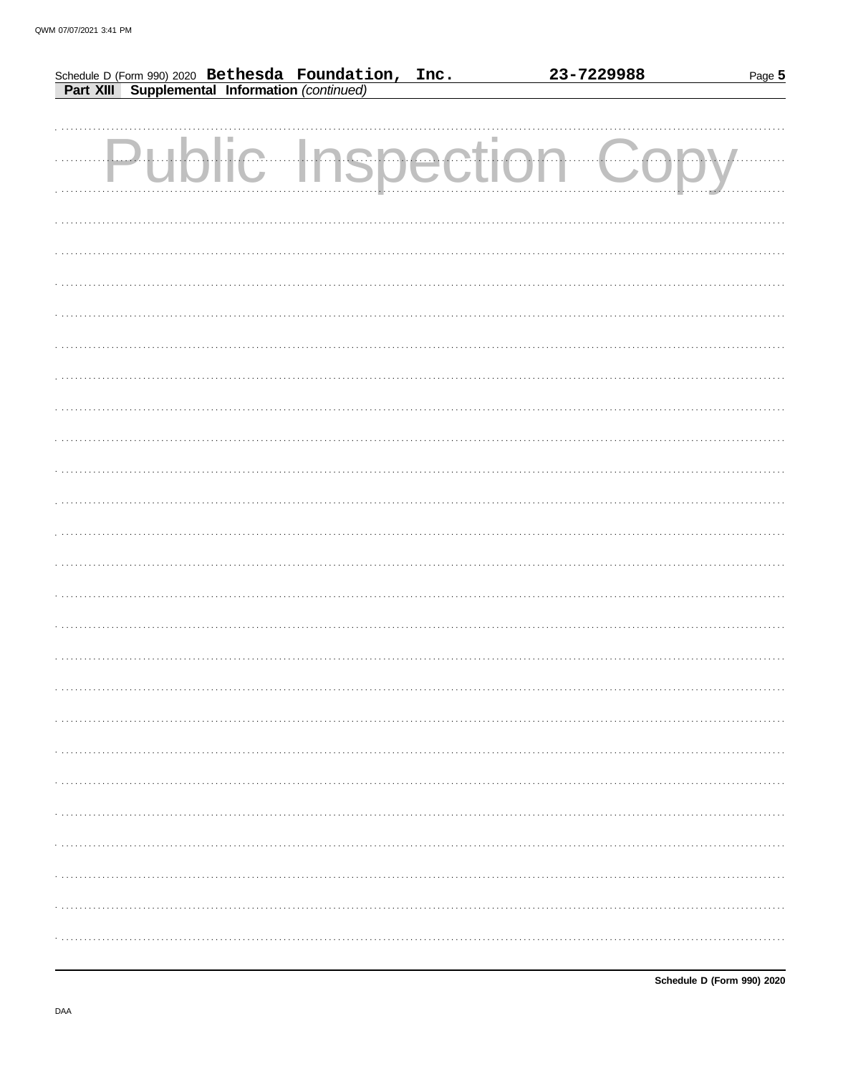|  | Schedule D (Form 990) 2020 Bethesda Foundation, Inc.<br>Part XIII Supplemental Information (continued) | 23-7229988           | Page 5 |
|--|--------------------------------------------------------------------------------------------------------|----------------------|--------|
|  |                                                                                                        |                      |        |
|  |                                                                                                        |                      |        |
|  |                                                                                                        | Public Inspection Co |        |
|  |                                                                                                        |                      |        |
|  |                                                                                                        |                      |        |
|  |                                                                                                        |                      |        |
|  |                                                                                                        |                      |        |
|  |                                                                                                        |                      |        |
|  |                                                                                                        |                      |        |
|  |                                                                                                        |                      |        |
|  |                                                                                                        |                      |        |
|  |                                                                                                        |                      |        |
|  |                                                                                                        |                      |        |
|  |                                                                                                        |                      |        |
|  |                                                                                                        |                      |        |
|  |                                                                                                        |                      |        |
|  |                                                                                                        |                      |        |
|  |                                                                                                        |                      |        |
|  |                                                                                                        |                      |        |
|  |                                                                                                        |                      |        |
|  |                                                                                                        |                      |        |
|  |                                                                                                        |                      |        |
|  |                                                                                                        |                      |        |
|  |                                                                                                        |                      |        |
|  |                                                                                                        |                      |        |
|  |                                                                                                        |                      |        |
|  |                                                                                                        |                      |        |
|  |                                                                                                        |                      |        |
|  |                                                                                                        |                      |        |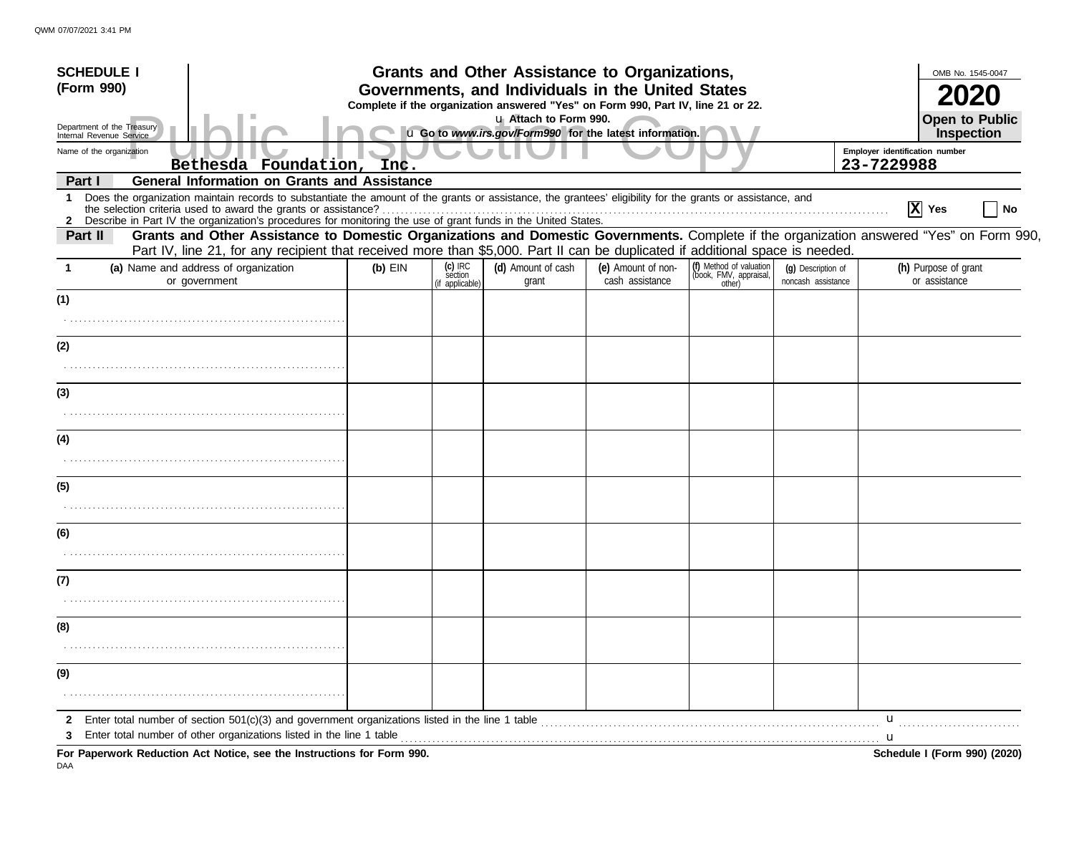| <b>SCHEDULE I</b>                                                                                                                                                                                                                                                                                                 |           |                                         | Grants and Other Assistance to Organizations,                                                                                         |                                       |                                                             |                                          |                                | OMB No. 1545-0047                     |
|-------------------------------------------------------------------------------------------------------------------------------------------------------------------------------------------------------------------------------------------------------------------------------------------------------------------|-----------|-----------------------------------------|---------------------------------------------------------------------------------------------------------------------------------------|---------------------------------------|-------------------------------------------------------------|------------------------------------------|--------------------------------|---------------------------------------|
| (Form 990)                                                                                                                                                                                                                                                                                                        |           |                                         | Governments, and Individuals in the United States<br>Complete if the organization answered "Yes" on Form 990, Part IV, line 21 or 22. |                                       |                                                             |                                          |                                |                                       |
| Department of the Treasury<br>Internal Revenue Service                                                                                                                                                                                                                                                            |           |                                         | u Attach to Form 990.<br>u Go to www.irs.gov/Form990 for the latest information.                                                      |                                       |                                                             |                                          |                                | Open to Public<br>Inspection          |
| Name of the organization                                                                                                                                                                                                                                                                                          |           |                                         |                                                                                                                                       |                                       |                                                             |                                          | Employer identification number |                                       |
| Bethesda Foundation, Inc.<br><b>General Information on Grants and Assistance</b><br>Part I                                                                                                                                                                                                                        |           |                                         |                                                                                                                                       |                                       |                                                             |                                          | 23-7229988                     |                                       |
| Does the organization maintain records to substantiate the amount of the grants or assistance, the grantees' eligibility for the grants or assistance, and<br>1<br>2 Describe in Part IV the organization's procedures for monitoring the use of grant funds in the United States.                                |           |                                         |                                                                                                                                       |                                       |                                                             |                                          |                                | $ \mathbf{X} $ Yes<br>No              |
| Grants and Other Assistance to Domestic Organizations and Domestic Governments. Complete if the organization answered "Yes" on Form 990,<br>Part II<br>Part IV, line 21, for any recipient that received more than \$5,000. Part II can be duplicated if additional space is needed.                              |           |                                         |                                                                                                                                       |                                       |                                                             |                                          |                                |                                       |
| (a) Name and address of organization<br>or government                                                                                                                                                                                                                                                             | $(b)$ EIN | $(c)$ IRC<br>section<br>(if applicable) | (d) Amount of cash<br>grant                                                                                                           | (e) Amount of non-<br>cash assistance | (f) Method of valuation<br>(book, FMV, appraisal,<br>other) | (g) Description of<br>noncash assistance |                                | (h) Purpose of grant<br>or assistance |
| (1)                                                                                                                                                                                                                                                                                                               |           |                                         |                                                                                                                                       |                                       |                                                             |                                          |                                |                                       |
| (2)                                                                                                                                                                                                                                                                                                               |           |                                         |                                                                                                                                       |                                       |                                                             |                                          |                                |                                       |
|                                                                                                                                                                                                                                                                                                                   |           |                                         |                                                                                                                                       |                                       |                                                             |                                          |                                |                                       |
| (3)                                                                                                                                                                                                                                                                                                               |           |                                         |                                                                                                                                       |                                       |                                                             |                                          |                                |                                       |
| (4)                                                                                                                                                                                                                                                                                                               |           |                                         |                                                                                                                                       |                                       |                                                             |                                          |                                |                                       |
|                                                                                                                                                                                                                                                                                                                   |           |                                         |                                                                                                                                       |                                       |                                                             |                                          |                                |                                       |
| (5)                                                                                                                                                                                                                                                                                                               |           |                                         |                                                                                                                                       |                                       |                                                             |                                          |                                |                                       |
|                                                                                                                                                                                                                                                                                                                   |           |                                         |                                                                                                                                       |                                       |                                                             |                                          |                                |                                       |
| (6)                                                                                                                                                                                                                                                                                                               |           |                                         |                                                                                                                                       |                                       |                                                             |                                          |                                |                                       |
| (7)                                                                                                                                                                                                                                                                                                               |           |                                         |                                                                                                                                       |                                       |                                                             |                                          |                                |                                       |
| (8)                                                                                                                                                                                                                                                                                                               |           |                                         |                                                                                                                                       |                                       |                                                             |                                          |                                |                                       |
|                                                                                                                                                                                                                                                                                                                   |           |                                         |                                                                                                                                       |                                       |                                                             |                                          |                                |                                       |
| (9)                                                                                                                                                                                                                                                                                                               |           |                                         |                                                                                                                                       |                                       |                                                             |                                          |                                |                                       |
|                                                                                                                                                                                                                                                                                                                   |           |                                         |                                                                                                                                       |                                       |                                                             |                                          |                                |                                       |
| $\mathbf{2}$                                                                                                                                                                                                                                                                                                      |           |                                         |                                                                                                                                       |                                       |                                                             |                                          | u                              |                                       |
| Enter total number of other organizations listed in the line 1 table <i>manufacture in the content of table</i> manufacture in the line 1 table manufacture in the content of the line 1 table manufacture in the line of the line<br>3<br>For Paperwork Reduction Act Notice, see the Instructions for Form 990. |           |                                         |                                                                                                                                       |                                       |                                                             |                                          |                                | Schedule I (Form 990) (2020)          |

DAA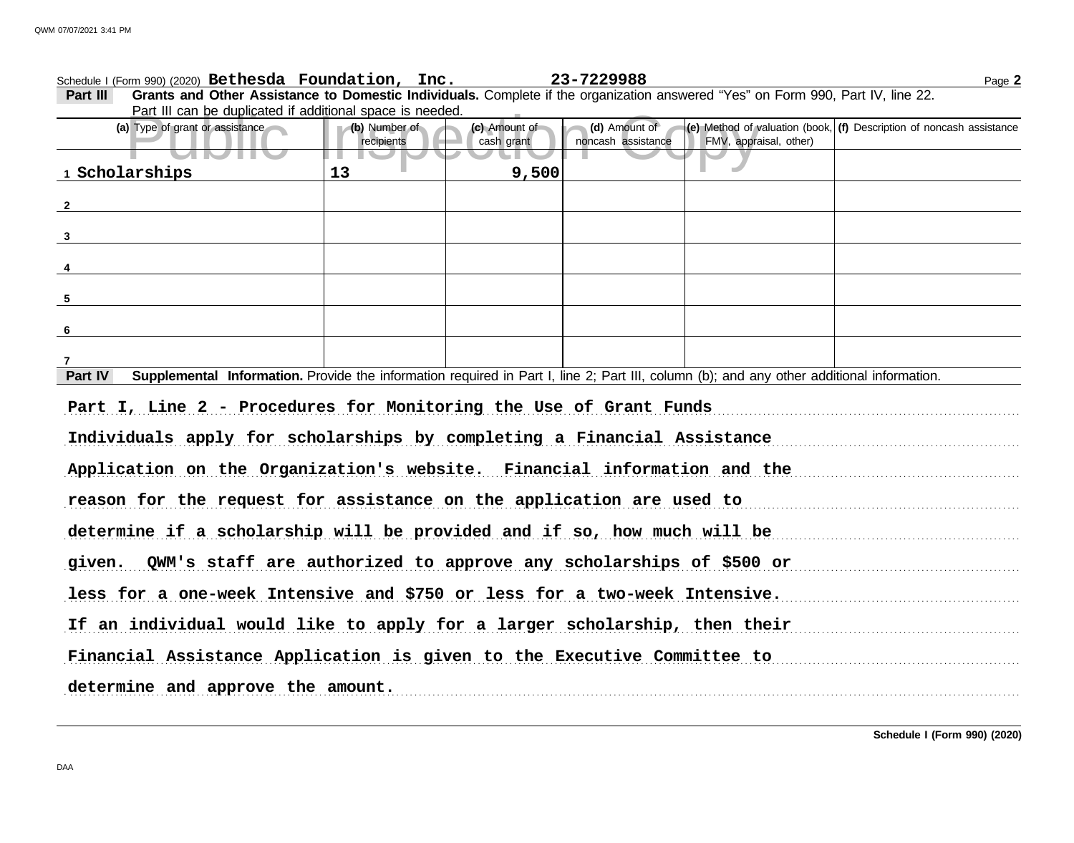| Part III<br>Grants and Other Assistance to Domestic Individuals. Complete if the organization answered "Yes" on Form 990, Part IV, line 22.          |               |               |                    |                        |                                                                                      |  |
|------------------------------------------------------------------------------------------------------------------------------------------------------|---------------|---------------|--------------------|------------------------|--------------------------------------------------------------------------------------|--|
| Part III can be duplicated if additional space is needed.                                                                                            |               |               |                    |                        |                                                                                      |  |
| (a) Type of grant or assistance                                                                                                                      | (b) Number of | (c) Amount of | (d) Amount of      |                        | $\vert$ (e) Method of valuation (book, $\vert$ (f) Description of noncash assistance |  |
| <u>STOTTI</u>                                                                                                                                        | recipients    | cash grant    | noncash assistance | FMV, appraisal, other) |                                                                                      |  |
| 1 Scholarships                                                                                                                                       | 13            | 9,500         |                    |                        |                                                                                      |  |
| $\overline{\mathbf{2}}$                                                                                                                              |               |               |                    |                        |                                                                                      |  |
|                                                                                                                                                      |               |               |                    |                        |                                                                                      |  |
| $\overline{\mathbf{3}}$                                                                                                                              |               |               |                    |                        |                                                                                      |  |
|                                                                                                                                                      |               |               |                    |                        |                                                                                      |  |
| $5\phantom{.0}$                                                                                                                                      |               |               |                    |                        |                                                                                      |  |
|                                                                                                                                                      |               |               |                    |                        |                                                                                      |  |
| $6\overline{6}$                                                                                                                                      |               |               |                    |                        |                                                                                      |  |
|                                                                                                                                                      |               |               |                    |                        |                                                                                      |  |
| Supplemental Information. Provide the information required in Part I, line 2; Part III, column (b); and any other additional information.<br>Part IV |               |               |                    |                        |                                                                                      |  |
| Part I, Line 2 - Procedures for Monitoring the Use of Grant Funds                                                                                    |               |               |                    |                        |                                                                                      |  |
| Individuals apply for scholarships by completing a Financial Assistance                                                                              |               |               |                    |                        |                                                                                      |  |
| Application on the Organization's website. Financial information and the                                                                             |               |               |                    |                        |                                                                                      |  |
| reason for the request for assistance on the application are used to                                                                                 |               |               |                    |                        |                                                                                      |  |
| determine if a scholarship will be provided and if so, how much will be                                                                              |               |               |                    |                        |                                                                                      |  |
| given. QWM's staff are authorized to approve any scholarships of \$500 or                                                                            |               |               |                    |                        |                                                                                      |  |
| less for a one-week Intensive and \$750 or less for a two-week Intensive.                                                                            |               |               |                    |                        |                                                                                      |  |
| If an individual would like to apply for a larger scholarship, then their                                                                            |               |               |                    |                        |                                                                                      |  |
| Financial Assistance Application is given to the Executive Committee to                                                                              |               |               |                    |                        |                                                                                      |  |
| determine and approve the amount.                                                                                                                    |               |               |                    |                        |                                                                                      |  |

Schedule I (Form 990) (2020) Page **2 Bethesda Foundation, Inc. 23-7229988**

**Schedule I (Form 990) (2020)**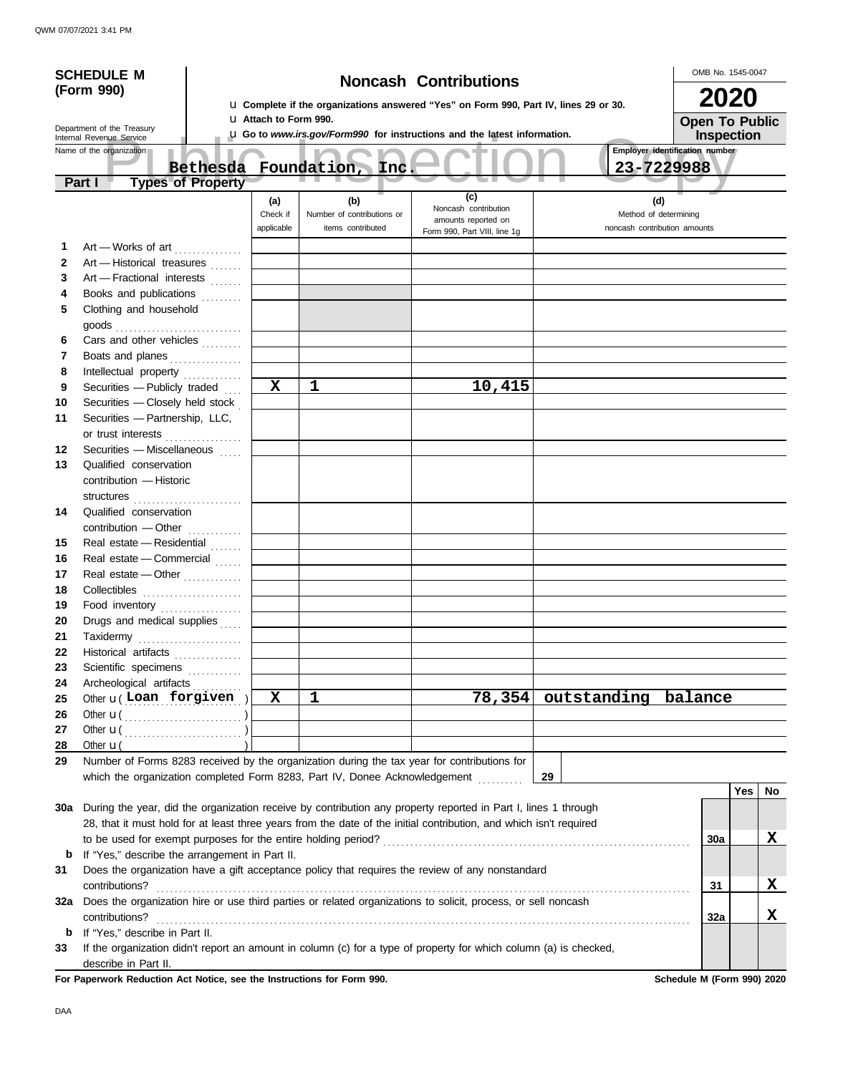| <b>Noncash Contributions</b><br>(Form 990)<br><b>2020</b><br>La Complete if the organizations answered "Yes" on Form 990, Part IV, lines 29 or 30.<br><b>U Attach to Form 990.</b><br><b>Open To Public</b><br>Department of the Treasury<br>L Go to www.irs.gov/Form990 for instructions and the latest information.<br>Inspection<br>Internal Revenue Service<br>Employer identification number<br>Name of the organization<br>Foundation, Inc.<br>23-7229988<br><b>Bethesda</b><br><b>Types of Property</b><br>Part I<br>(c)<br>(d)<br>(b)<br>(a)<br>Noncash contribution<br>Check if<br>Number of contributions or<br>Method of determining<br>amounts reported on<br>applicable<br>items contributed<br>noncash contribution amounts<br>Form 990, Part VIII, line 1g<br>Art - Works of art<br>1<br>$\mathbf{2}$<br>Art - Historical treasures<br>Art - Fractional interests<br>3<br>Books and publications<br>4<br>5<br>Clothing and household<br>Cars and other vehicles<br>6<br>Boats and planes<br>7<br>8<br>Intellectual property<br>1<br>10,415<br>X<br>9<br>Securities - Publicly traded<br>Securities - Closely held stock<br>10<br>Securities - Partnership, LLC,<br>11<br>or trust interests<br>Securities - Miscellaneous<br>12<br>13<br>Qualified conservation<br>contribution - Historic<br>structures<br>14<br>Qualified conservation<br>contribution - Other<br>Real estate - Residential<br>15<br>Real estate - Commercial<br>16<br>Real estate - Other<br>17<br>Collectibles<br>18<br>19<br>Food inventory<br>20<br>Drugs and medical supplies<br>Taxidermy<br>21<br>.<br>22<br>Historical artifacts<br>Scientific specimens<br>23<br>Archeological artifacts<br>24<br>$\mathbf{x}$<br>$\mathbf{1}$<br>78,354 outstanding balance<br>Other $u($ Loan forgiven $)$<br>25<br>26<br>27<br>28<br>Other $\mathbf{u}$<br>Number of Forms 8283 received by the organization during the tax year for contributions for<br>29<br>which the organization completed Form 8283, Part IV, Donee Acknowledgement<br>29<br>Yes<br>No<br>During the year, did the organization receive by contribution any property reported in Part I, lines 1 through<br>30a<br>28, that it must hold for at least three years from the date of the initial contribution, and which isn't required<br>X<br>30a<br>If "Yes," describe the arrangement in Part II.<br>b<br>Does the organization have a gift acceptance policy that requires the review of any nonstandard<br>31<br>X<br>contributions?<br>31<br>Does the organization hire or use third parties or related organizations to solicit, process, or sell noncash<br>32a | <b>SCHEDULE M</b> |  |  |  |  | OMB No. 1545-0047 |  |  |
|----------------------------------------------------------------------------------------------------------------------------------------------------------------------------------------------------------------------------------------------------------------------------------------------------------------------------------------------------------------------------------------------------------------------------------------------------------------------------------------------------------------------------------------------------------------------------------------------------------------------------------------------------------------------------------------------------------------------------------------------------------------------------------------------------------------------------------------------------------------------------------------------------------------------------------------------------------------------------------------------------------------------------------------------------------------------------------------------------------------------------------------------------------------------------------------------------------------------------------------------------------------------------------------------------------------------------------------------------------------------------------------------------------------------------------------------------------------------------------------------------------------------------------------------------------------------------------------------------------------------------------------------------------------------------------------------------------------------------------------------------------------------------------------------------------------------------------------------------------------------------------------------------------------------------------------------------------------------------------------------------------------------------------------------------------------------------------------------------------------------------------------------------------------------------------------------------------------------------------------------------------------------------------------------------------------------------------------------------------------------------------------------------------------------------------------------------------------------------------------------------------------------------------------------------------------------------------------------------------------------------|-------------------|--|--|--|--|-------------------|--|--|
|                                                                                                                                                                                                                                                                                                                                                                                                                                                                                                                                                                                                                                                                                                                                                                                                                                                                                                                                                                                                                                                                                                                                                                                                                                                                                                                                                                                                                                                                                                                                                                                                                                                                                                                                                                                                                                                                                                                                                                                                                                                                                                                                                                                                                                                                                                                                                                                                                                                                                                                                                                                                                            |                   |  |  |  |  |                   |  |  |
|                                                                                                                                                                                                                                                                                                                                                                                                                                                                                                                                                                                                                                                                                                                                                                                                                                                                                                                                                                                                                                                                                                                                                                                                                                                                                                                                                                                                                                                                                                                                                                                                                                                                                                                                                                                                                                                                                                                                                                                                                                                                                                                                                                                                                                                                                                                                                                                                                                                                                                                                                                                                                            |                   |  |  |  |  |                   |  |  |
|                                                                                                                                                                                                                                                                                                                                                                                                                                                                                                                                                                                                                                                                                                                                                                                                                                                                                                                                                                                                                                                                                                                                                                                                                                                                                                                                                                                                                                                                                                                                                                                                                                                                                                                                                                                                                                                                                                                                                                                                                                                                                                                                                                                                                                                                                                                                                                                                                                                                                                                                                                                                                            |                   |  |  |  |  |                   |  |  |
|                                                                                                                                                                                                                                                                                                                                                                                                                                                                                                                                                                                                                                                                                                                                                                                                                                                                                                                                                                                                                                                                                                                                                                                                                                                                                                                                                                                                                                                                                                                                                                                                                                                                                                                                                                                                                                                                                                                                                                                                                                                                                                                                                                                                                                                                                                                                                                                                                                                                                                                                                                                                                            |                   |  |  |  |  |                   |  |  |
|                                                                                                                                                                                                                                                                                                                                                                                                                                                                                                                                                                                                                                                                                                                                                                                                                                                                                                                                                                                                                                                                                                                                                                                                                                                                                                                                                                                                                                                                                                                                                                                                                                                                                                                                                                                                                                                                                                                                                                                                                                                                                                                                                                                                                                                                                                                                                                                                                                                                                                                                                                                                                            |                   |  |  |  |  |                   |  |  |
|                                                                                                                                                                                                                                                                                                                                                                                                                                                                                                                                                                                                                                                                                                                                                                                                                                                                                                                                                                                                                                                                                                                                                                                                                                                                                                                                                                                                                                                                                                                                                                                                                                                                                                                                                                                                                                                                                                                                                                                                                                                                                                                                                                                                                                                                                                                                                                                                                                                                                                                                                                                                                            |                   |  |  |  |  |                   |  |  |
|                                                                                                                                                                                                                                                                                                                                                                                                                                                                                                                                                                                                                                                                                                                                                                                                                                                                                                                                                                                                                                                                                                                                                                                                                                                                                                                                                                                                                                                                                                                                                                                                                                                                                                                                                                                                                                                                                                                                                                                                                                                                                                                                                                                                                                                                                                                                                                                                                                                                                                                                                                                                                            |                   |  |  |  |  |                   |  |  |
|                                                                                                                                                                                                                                                                                                                                                                                                                                                                                                                                                                                                                                                                                                                                                                                                                                                                                                                                                                                                                                                                                                                                                                                                                                                                                                                                                                                                                                                                                                                                                                                                                                                                                                                                                                                                                                                                                                                                                                                                                                                                                                                                                                                                                                                                                                                                                                                                                                                                                                                                                                                                                            |                   |  |  |  |  |                   |  |  |
|                                                                                                                                                                                                                                                                                                                                                                                                                                                                                                                                                                                                                                                                                                                                                                                                                                                                                                                                                                                                                                                                                                                                                                                                                                                                                                                                                                                                                                                                                                                                                                                                                                                                                                                                                                                                                                                                                                                                                                                                                                                                                                                                                                                                                                                                                                                                                                                                                                                                                                                                                                                                                            |                   |  |  |  |  |                   |  |  |
|                                                                                                                                                                                                                                                                                                                                                                                                                                                                                                                                                                                                                                                                                                                                                                                                                                                                                                                                                                                                                                                                                                                                                                                                                                                                                                                                                                                                                                                                                                                                                                                                                                                                                                                                                                                                                                                                                                                                                                                                                                                                                                                                                                                                                                                                                                                                                                                                                                                                                                                                                                                                                            |                   |  |  |  |  |                   |  |  |
|                                                                                                                                                                                                                                                                                                                                                                                                                                                                                                                                                                                                                                                                                                                                                                                                                                                                                                                                                                                                                                                                                                                                                                                                                                                                                                                                                                                                                                                                                                                                                                                                                                                                                                                                                                                                                                                                                                                                                                                                                                                                                                                                                                                                                                                                                                                                                                                                                                                                                                                                                                                                                            |                   |  |  |  |  |                   |  |  |
|                                                                                                                                                                                                                                                                                                                                                                                                                                                                                                                                                                                                                                                                                                                                                                                                                                                                                                                                                                                                                                                                                                                                                                                                                                                                                                                                                                                                                                                                                                                                                                                                                                                                                                                                                                                                                                                                                                                                                                                                                                                                                                                                                                                                                                                                                                                                                                                                                                                                                                                                                                                                                            |                   |  |  |  |  |                   |  |  |
|                                                                                                                                                                                                                                                                                                                                                                                                                                                                                                                                                                                                                                                                                                                                                                                                                                                                                                                                                                                                                                                                                                                                                                                                                                                                                                                                                                                                                                                                                                                                                                                                                                                                                                                                                                                                                                                                                                                                                                                                                                                                                                                                                                                                                                                                                                                                                                                                                                                                                                                                                                                                                            |                   |  |  |  |  |                   |  |  |
|                                                                                                                                                                                                                                                                                                                                                                                                                                                                                                                                                                                                                                                                                                                                                                                                                                                                                                                                                                                                                                                                                                                                                                                                                                                                                                                                                                                                                                                                                                                                                                                                                                                                                                                                                                                                                                                                                                                                                                                                                                                                                                                                                                                                                                                                                                                                                                                                                                                                                                                                                                                                                            |                   |  |  |  |  |                   |  |  |
|                                                                                                                                                                                                                                                                                                                                                                                                                                                                                                                                                                                                                                                                                                                                                                                                                                                                                                                                                                                                                                                                                                                                                                                                                                                                                                                                                                                                                                                                                                                                                                                                                                                                                                                                                                                                                                                                                                                                                                                                                                                                                                                                                                                                                                                                                                                                                                                                                                                                                                                                                                                                                            |                   |  |  |  |  |                   |  |  |
|                                                                                                                                                                                                                                                                                                                                                                                                                                                                                                                                                                                                                                                                                                                                                                                                                                                                                                                                                                                                                                                                                                                                                                                                                                                                                                                                                                                                                                                                                                                                                                                                                                                                                                                                                                                                                                                                                                                                                                                                                                                                                                                                                                                                                                                                                                                                                                                                                                                                                                                                                                                                                            |                   |  |  |  |  |                   |  |  |
|                                                                                                                                                                                                                                                                                                                                                                                                                                                                                                                                                                                                                                                                                                                                                                                                                                                                                                                                                                                                                                                                                                                                                                                                                                                                                                                                                                                                                                                                                                                                                                                                                                                                                                                                                                                                                                                                                                                                                                                                                                                                                                                                                                                                                                                                                                                                                                                                                                                                                                                                                                                                                            |                   |  |  |  |  |                   |  |  |
|                                                                                                                                                                                                                                                                                                                                                                                                                                                                                                                                                                                                                                                                                                                                                                                                                                                                                                                                                                                                                                                                                                                                                                                                                                                                                                                                                                                                                                                                                                                                                                                                                                                                                                                                                                                                                                                                                                                                                                                                                                                                                                                                                                                                                                                                                                                                                                                                                                                                                                                                                                                                                            |                   |  |  |  |  |                   |  |  |
|                                                                                                                                                                                                                                                                                                                                                                                                                                                                                                                                                                                                                                                                                                                                                                                                                                                                                                                                                                                                                                                                                                                                                                                                                                                                                                                                                                                                                                                                                                                                                                                                                                                                                                                                                                                                                                                                                                                                                                                                                                                                                                                                                                                                                                                                                                                                                                                                                                                                                                                                                                                                                            |                   |  |  |  |  |                   |  |  |
|                                                                                                                                                                                                                                                                                                                                                                                                                                                                                                                                                                                                                                                                                                                                                                                                                                                                                                                                                                                                                                                                                                                                                                                                                                                                                                                                                                                                                                                                                                                                                                                                                                                                                                                                                                                                                                                                                                                                                                                                                                                                                                                                                                                                                                                                                                                                                                                                                                                                                                                                                                                                                            |                   |  |  |  |  |                   |  |  |
|                                                                                                                                                                                                                                                                                                                                                                                                                                                                                                                                                                                                                                                                                                                                                                                                                                                                                                                                                                                                                                                                                                                                                                                                                                                                                                                                                                                                                                                                                                                                                                                                                                                                                                                                                                                                                                                                                                                                                                                                                                                                                                                                                                                                                                                                                                                                                                                                                                                                                                                                                                                                                            |                   |  |  |  |  |                   |  |  |
|                                                                                                                                                                                                                                                                                                                                                                                                                                                                                                                                                                                                                                                                                                                                                                                                                                                                                                                                                                                                                                                                                                                                                                                                                                                                                                                                                                                                                                                                                                                                                                                                                                                                                                                                                                                                                                                                                                                                                                                                                                                                                                                                                                                                                                                                                                                                                                                                                                                                                                                                                                                                                            |                   |  |  |  |  |                   |  |  |
|                                                                                                                                                                                                                                                                                                                                                                                                                                                                                                                                                                                                                                                                                                                                                                                                                                                                                                                                                                                                                                                                                                                                                                                                                                                                                                                                                                                                                                                                                                                                                                                                                                                                                                                                                                                                                                                                                                                                                                                                                                                                                                                                                                                                                                                                                                                                                                                                                                                                                                                                                                                                                            |                   |  |  |  |  |                   |  |  |
|                                                                                                                                                                                                                                                                                                                                                                                                                                                                                                                                                                                                                                                                                                                                                                                                                                                                                                                                                                                                                                                                                                                                                                                                                                                                                                                                                                                                                                                                                                                                                                                                                                                                                                                                                                                                                                                                                                                                                                                                                                                                                                                                                                                                                                                                                                                                                                                                                                                                                                                                                                                                                            |                   |  |  |  |  |                   |  |  |
|                                                                                                                                                                                                                                                                                                                                                                                                                                                                                                                                                                                                                                                                                                                                                                                                                                                                                                                                                                                                                                                                                                                                                                                                                                                                                                                                                                                                                                                                                                                                                                                                                                                                                                                                                                                                                                                                                                                                                                                                                                                                                                                                                                                                                                                                                                                                                                                                                                                                                                                                                                                                                            |                   |  |  |  |  |                   |  |  |
|                                                                                                                                                                                                                                                                                                                                                                                                                                                                                                                                                                                                                                                                                                                                                                                                                                                                                                                                                                                                                                                                                                                                                                                                                                                                                                                                                                                                                                                                                                                                                                                                                                                                                                                                                                                                                                                                                                                                                                                                                                                                                                                                                                                                                                                                                                                                                                                                                                                                                                                                                                                                                            |                   |  |  |  |  |                   |  |  |
|                                                                                                                                                                                                                                                                                                                                                                                                                                                                                                                                                                                                                                                                                                                                                                                                                                                                                                                                                                                                                                                                                                                                                                                                                                                                                                                                                                                                                                                                                                                                                                                                                                                                                                                                                                                                                                                                                                                                                                                                                                                                                                                                                                                                                                                                                                                                                                                                                                                                                                                                                                                                                            |                   |  |  |  |  |                   |  |  |
|                                                                                                                                                                                                                                                                                                                                                                                                                                                                                                                                                                                                                                                                                                                                                                                                                                                                                                                                                                                                                                                                                                                                                                                                                                                                                                                                                                                                                                                                                                                                                                                                                                                                                                                                                                                                                                                                                                                                                                                                                                                                                                                                                                                                                                                                                                                                                                                                                                                                                                                                                                                                                            |                   |  |  |  |  |                   |  |  |
|                                                                                                                                                                                                                                                                                                                                                                                                                                                                                                                                                                                                                                                                                                                                                                                                                                                                                                                                                                                                                                                                                                                                                                                                                                                                                                                                                                                                                                                                                                                                                                                                                                                                                                                                                                                                                                                                                                                                                                                                                                                                                                                                                                                                                                                                                                                                                                                                                                                                                                                                                                                                                            |                   |  |  |  |  |                   |  |  |
|                                                                                                                                                                                                                                                                                                                                                                                                                                                                                                                                                                                                                                                                                                                                                                                                                                                                                                                                                                                                                                                                                                                                                                                                                                                                                                                                                                                                                                                                                                                                                                                                                                                                                                                                                                                                                                                                                                                                                                                                                                                                                                                                                                                                                                                                                                                                                                                                                                                                                                                                                                                                                            |                   |  |  |  |  |                   |  |  |
|                                                                                                                                                                                                                                                                                                                                                                                                                                                                                                                                                                                                                                                                                                                                                                                                                                                                                                                                                                                                                                                                                                                                                                                                                                                                                                                                                                                                                                                                                                                                                                                                                                                                                                                                                                                                                                                                                                                                                                                                                                                                                                                                                                                                                                                                                                                                                                                                                                                                                                                                                                                                                            |                   |  |  |  |  |                   |  |  |
|                                                                                                                                                                                                                                                                                                                                                                                                                                                                                                                                                                                                                                                                                                                                                                                                                                                                                                                                                                                                                                                                                                                                                                                                                                                                                                                                                                                                                                                                                                                                                                                                                                                                                                                                                                                                                                                                                                                                                                                                                                                                                                                                                                                                                                                                                                                                                                                                                                                                                                                                                                                                                            |                   |  |  |  |  |                   |  |  |
|                                                                                                                                                                                                                                                                                                                                                                                                                                                                                                                                                                                                                                                                                                                                                                                                                                                                                                                                                                                                                                                                                                                                                                                                                                                                                                                                                                                                                                                                                                                                                                                                                                                                                                                                                                                                                                                                                                                                                                                                                                                                                                                                                                                                                                                                                                                                                                                                                                                                                                                                                                                                                            |                   |  |  |  |  |                   |  |  |
|                                                                                                                                                                                                                                                                                                                                                                                                                                                                                                                                                                                                                                                                                                                                                                                                                                                                                                                                                                                                                                                                                                                                                                                                                                                                                                                                                                                                                                                                                                                                                                                                                                                                                                                                                                                                                                                                                                                                                                                                                                                                                                                                                                                                                                                                                                                                                                                                                                                                                                                                                                                                                            |                   |  |  |  |  |                   |  |  |
|                                                                                                                                                                                                                                                                                                                                                                                                                                                                                                                                                                                                                                                                                                                                                                                                                                                                                                                                                                                                                                                                                                                                                                                                                                                                                                                                                                                                                                                                                                                                                                                                                                                                                                                                                                                                                                                                                                                                                                                                                                                                                                                                                                                                                                                                                                                                                                                                                                                                                                                                                                                                                            |                   |  |  |  |  |                   |  |  |
|                                                                                                                                                                                                                                                                                                                                                                                                                                                                                                                                                                                                                                                                                                                                                                                                                                                                                                                                                                                                                                                                                                                                                                                                                                                                                                                                                                                                                                                                                                                                                                                                                                                                                                                                                                                                                                                                                                                                                                                                                                                                                                                                                                                                                                                                                                                                                                                                                                                                                                                                                                                                                            |                   |  |  |  |  |                   |  |  |
|                                                                                                                                                                                                                                                                                                                                                                                                                                                                                                                                                                                                                                                                                                                                                                                                                                                                                                                                                                                                                                                                                                                                                                                                                                                                                                                                                                                                                                                                                                                                                                                                                                                                                                                                                                                                                                                                                                                                                                                                                                                                                                                                                                                                                                                                                                                                                                                                                                                                                                                                                                                                                            |                   |  |  |  |  |                   |  |  |
|                                                                                                                                                                                                                                                                                                                                                                                                                                                                                                                                                                                                                                                                                                                                                                                                                                                                                                                                                                                                                                                                                                                                                                                                                                                                                                                                                                                                                                                                                                                                                                                                                                                                                                                                                                                                                                                                                                                                                                                                                                                                                                                                                                                                                                                                                                                                                                                                                                                                                                                                                                                                                            |                   |  |  |  |  |                   |  |  |
|                                                                                                                                                                                                                                                                                                                                                                                                                                                                                                                                                                                                                                                                                                                                                                                                                                                                                                                                                                                                                                                                                                                                                                                                                                                                                                                                                                                                                                                                                                                                                                                                                                                                                                                                                                                                                                                                                                                                                                                                                                                                                                                                                                                                                                                                                                                                                                                                                                                                                                                                                                                                                            |                   |  |  |  |  |                   |  |  |
|                                                                                                                                                                                                                                                                                                                                                                                                                                                                                                                                                                                                                                                                                                                                                                                                                                                                                                                                                                                                                                                                                                                                                                                                                                                                                                                                                                                                                                                                                                                                                                                                                                                                                                                                                                                                                                                                                                                                                                                                                                                                                                                                                                                                                                                                                                                                                                                                                                                                                                                                                                                                                            |                   |  |  |  |  |                   |  |  |
|                                                                                                                                                                                                                                                                                                                                                                                                                                                                                                                                                                                                                                                                                                                                                                                                                                                                                                                                                                                                                                                                                                                                                                                                                                                                                                                                                                                                                                                                                                                                                                                                                                                                                                                                                                                                                                                                                                                                                                                                                                                                                                                                                                                                                                                                                                                                                                                                                                                                                                                                                                                                                            |                   |  |  |  |  |                   |  |  |
|                                                                                                                                                                                                                                                                                                                                                                                                                                                                                                                                                                                                                                                                                                                                                                                                                                                                                                                                                                                                                                                                                                                                                                                                                                                                                                                                                                                                                                                                                                                                                                                                                                                                                                                                                                                                                                                                                                                                                                                                                                                                                                                                                                                                                                                                                                                                                                                                                                                                                                                                                                                                                            |                   |  |  |  |  |                   |  |  |
|                                                                                                                                                                                                                                                                                                                                                                                                                                                                                                                                                                                                                                                                                                                                                                                                                                                                                                                                                                                                                                                                                                                                                                                                                                                                                                                                                                                                                                                                                                                                                                                                                                                                                                                                                                                                                                                                                                                                                                                                                                                                                                                                                                                                                                                                                                                                                                                                                                                                                                                                                                                                                            |                   |  |  |  |  |                   |  |  |
|                                                                                                                                                                                                                                                                                                                                                                                                                                                                                                                                                                                                                                                                                                                                                                                                                                                                                                                                                                                                                                                                                                                                                                                                                                                                                                                                                                                                                                                                                                                                                                                                                                                                                                                                                                                                                                                                                                                                                                                                                                                                                                                                                                                                                                                                                                                                                                                                                                                                                                                                                                                                                            |                   |  |  |  |  |                   |  |  |
|                                                                                                                                                                                                                                                                                                                                                                                                                                                                                                                                                                                                                                                                                                                                                                                                                                                                                                                                                                                                                                                                                                                                                                                                                                                                                                                                                                                                                                                                                                                                                                                                                                                                                                                                                                                                                                                                                                                                                                                                                                                                                                                                                                                                                                                                                                                                                                                                                                                                                                                                                                                                                            |                   |  |  |  |  |                   |  |  |
|                                                                                                                                                                                                                                                                                                                                                                                                                                                                                                                                                                                                                                                                                                                                                                                                                                                                                                                                                                                                                                                                                                                                                                                                                                                                                                                                                                                                                                                                                                                                                                                                                                                                                                                                                                                                                                                                                                                                                                                                                                                                                                                                                                                                                                                                                                                                                                                                                                                                                                                                                                                                                            |                   |  |  |  |  |                   |  |  |
|                                                                                                                                                                                                                                                                                                                                                                                                                                                                                                                                                                                                                                                                                                                                                                                                                                                                                                                                                                                                                                                                                                                                                                                                                                                                                                                                                                                                                                                                                                                                                                                                                                                                                                                                                                                                                                                                                                                                                                                                                                                                                                                                                                                                                                                                                                                                                                                                                                                                                                                                                                                                                            |                   |  |  |  |  |                   |  |  |
|                                                                                                                                                                                                                                                                                                                                                                                                                                                                                                                                                                                                                                                                                                                                                                                                                                                                                                                                                                                                                                                                                                                                                                                                                                                                                                                                                                                                                                                                                                                                                                                                                                                                                                                                                                                                                                                                                                                                                                                                                                                                                                                                                                                                                                                                                                                                                                                                                                                                                                                                                                                                                            |                   |  |  |  |  |                   |  |  |
|                                                                                                                                                                                                                                                                                                                                                                                                                                                                                                                                                                                                                                                                                                                                                                                                                                                                                                                                                                                                                                                                                                                                                                                                                                                                                                                                                                                                                                                                                                                                                                                                                                                                                                                                                                                                                                                                                                                                                                                                                                                                                                                                                                                                                                                                                                                                                                                                                                                                                                                                                                                                                            |                   |  |  |  |  |                   |  |  |
|                                                                                                                                                                                                                                                                                                                                                                                                                                                                                                                                                                                                                                                                                                                                                                                                                                                                                                                                                                                                                                                                                                                                                                                                                                                                                                                                                                                                                                                                                                                                                                                                                                                                                                                                                                                                                                                                                                                                                                                                                                                                                                                                                                                                                                                                                                                                                                                                                                                                                                                                                                                                                            |                   |  |  |  |  |                   |  |  |
|                                                                                                                                                                                                                                                                                                                                                                                                                                                                                                                                                                                                                                                                                                                                                                                                                                                                                                                                                                                                                                                                                                                                                                                                                                                                                                                                                                                                                                                                                                                                                                                                                                                                                                                                                                                                                                                                                                                                                                                                                                                                                                                                                                                                                                                                                                                                                                                                                                                                                                                                                                                                                            |                   |  |  |  |  |                   |  |  |
|                                                                                                                                                                                                                                                                                                                                                                                                                                                                                                                                                                                                                                                                                                                                                                                                                                                                                                                                                                                                                                                                                                                                                                                                                                                                                                                                                                                                                                                                                                                                                                                                                                                                                                                                                                                                                                                                                                                                                                                                                                                                                                                                                                                                                                                                                                                                                                                                                                                                                                                                                                                                                            |                   |  |  |  |  |                   |  |  |
| X<br>32a                                                                                                                                                                                                                                                                                                                                                                                                                                                                                                                                                                                                                                                                                                                                                                                                                                                                                                                                                                                                                                                                                                                                                                                                                                                                                                                                                                                                                                                                                                                                                                                                                                                                                                                                                                                                                                                                                                                                                                                                                                                                                                                                                                                                                                                                                                                                                                                                                                                                                                                                                                                                                   |                   |  |  |  |  |                   |  |  |
| If "Yes," describe in Part II.<br>b<br>If the organization didn't report an amount in column (c) for a type of property for which column (a) is checked,                                                                                                                                                                                                                                                                                                                                                                                                                                                                                                                                                                                                                                                                                                                                                                                                                                                                                                                                                                                                                                                                                                                                                                                                                                                                                                                                                                                                                                                                                                                                                                                                                                                                                                                                                                                                                                                                                                                                                                                                                                                                                                                                                                                                                                                                                                                                                                                                                                                                   |                   |  |  |  |  |                   |  |  |
| 33<br>describe in Part II.                                                                                                                                                                                                                                                                                                                                                                                                                                                                                                                                                                                                                                                                                                                                                                                                                                                                                                                                                                                                                                                                                                                                                                                                                                                                                                                                                                                                                                                                                                                                                                                                                                                                                                                                                                                                                                                                                                                                                                                                                                                                                                                                                                                                                                                                                                                                                                                                                                                                                                                                                                                                 |                   |  |  |  |  |                   |  |  |

For Paperwork Reduction Act Notice, see the Instructions for Form 990. Schedule M (Form 990) 2020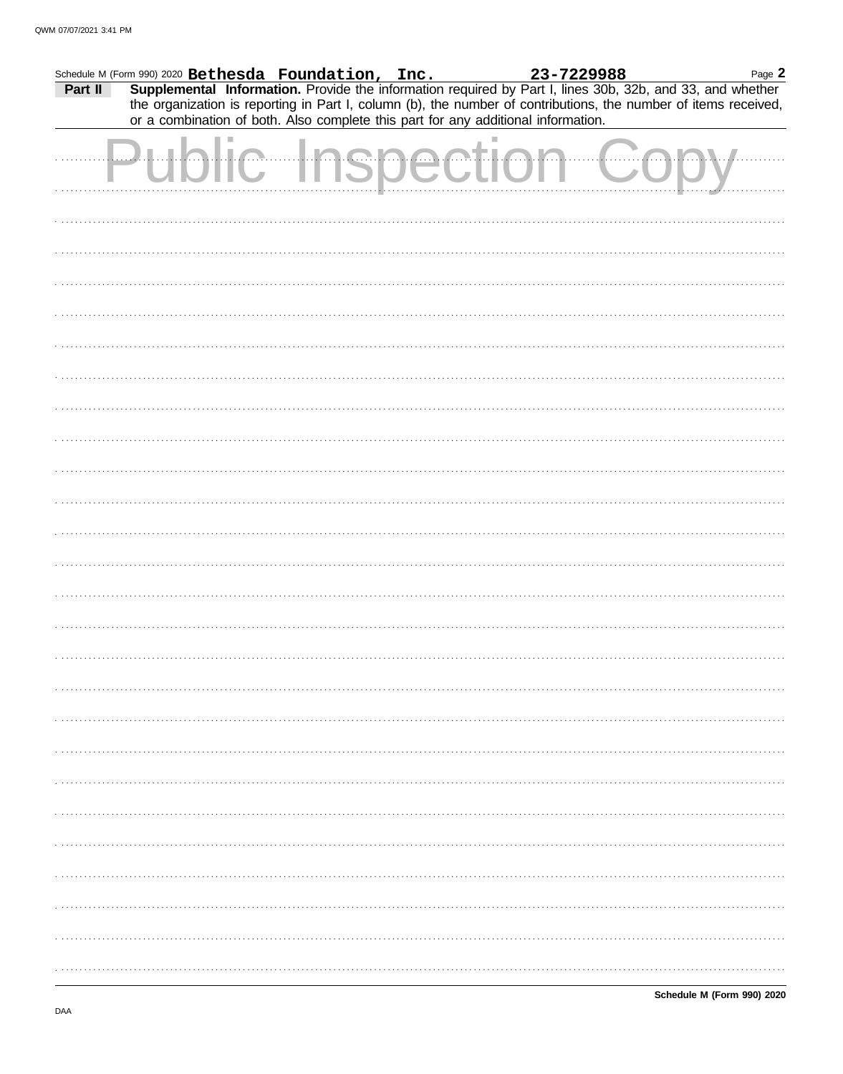|         | Schedule M (Form 990) 2020 Bethesda Foundation, Inc.                              |  |  | 23-7229988 | Page 2                                                                                                                                                                                                                       |
|---------|-----------------------------------------------------------------------------------|--|--|------------|------------------------------------------------------------------------------------------------------------------------------------------------------------------------------------------------------------------------------|
| Part II | or a combination of both. Also complete this part for any additional information. |  |  |            | Supplemental Information. Provide the information required by Part I, lines 30b, 32b, and 33, and whether<br>the organization is reporting in Part I, column (b), the number of contributions, the number of items received, |
|         |                                                                                   |  |  |            |                                                                                                                                                                                                                              |
|         |                                                                                   |  |  |            |                                                                                                                                                                                                                              |
|         |                                                                                   |  |  |            |                                                                                                                                                                                                                              |
|         |                                                                                   |  |  |            |                                                                                                                                                                                                                              |
|         |                                                                                   |  |  |            |                                                                                                                                                                                                                              |
|         |                                                                                   |  |  |            |                                                                                                                                                                                                                              |
|         |                                                                                   |  |  |            |                                                                                                                                                                                                                              |
|         |                                                                                   |  |  |            |                                                                                                                                                                                                                              |
|         |                                                                                   |  |  |            |                                                                                                                                                                                                                              |
|         |                                                                                   |  |  |            |                                                                                                                                                                                                                              |
|         |                                                                                   |  |  |            |                                                                                                                                                                                                                              |
|         |                                                                                   |  |  |            |                                                                                                                                                                                                                              |
|         |                                                                                   |  |  |            |                                                                                                                                                                                                                              |
|         |                                                                                   |  |  |            |                                                                                                                                                                                                                              |
|         |                                                                                   |  |  |            |                                                                                                                                                                                                                              |
|         |                                                                                   |  |  |            |                                                                                                                                                                                                                              |
|         |                                                                                   |  |  |            |                                                                                                                                                                                                                              |
|         |                                                                                   |  |  |            |                                                                                                                                                                                                                              |
|         |                                                                                   |  |  |            |                                                                                                                                                                                                                              |
|         |                                                                                   |  |  |            |                                                                                                                                                                                                                              |
|         |                                                                                   |  |  |            |                                                                                                                                                                                                                              |
|         |                                                                                   |  |  |            |                                                                                                                                                                                                                              |
|         |                                                                                   |  |  |            |                                                                                                                                                                                                                              |
|         |                                                                                   |  |  |            |                                                                                                                                                                                                                              |
|         |                                                                                   |  |  |            |                                                                                                                                                                                                                              |
|         |                                                                                   |  |  |            |                                                                                                                                                                                                                              |
|         |                                                                                   |  |  |            |                                                                                                                                                                                                                              |
|         |                                                                                   |  |  |            |                                                                                                                                                                                                                              |
|         |                                                                                   |  |  |            |                                                                                                                                                                                                                              |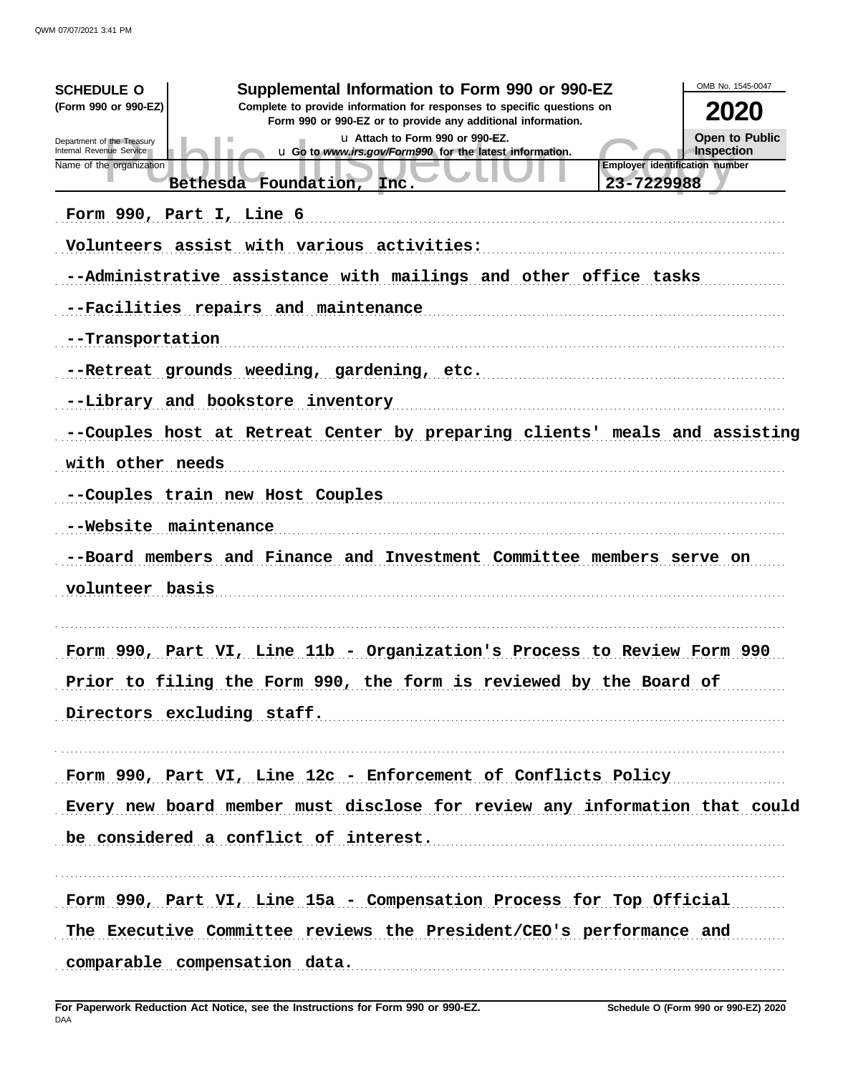| <b>SCHEDULE O</b><br>(Form 990 or 990-EZ)<br>Department of the Treasury<br>Internal Revenue Service<br>Name of the organization<br>Form 990, Part I, Line 6 | Supplemental Information to Form 990 or 990-EZ<br>Complete to provide information for responses to specific questions on<br>Form 990 or 990-EZ or to provide any additional information.<br>u Attach to Form 990 or 990-EZ.<br>u Go to www.irs.gov/Form990 for the latest information.<br>Bethesda Foundation,<br>Inc.<br>Volunteers assist with various activities:                   | OMB No. 1545-0047<br>2020<br>Open to Public<br><b>Inspection</b><br><b>Employer identification number</b><br>23-7229988 |
|-------------------------------------------------------------------------------------------------------------------------------------------------------------|----------------------------------------------------------------------------------------------------------------------------------------------------------------------------------------------------------------------------------------------------------------------------------------------------------------------------------------------------------------------------------------|-------------------------------------------------------------------------------------------------------------------------|
| --Transportation<br>with other needs<br>--Website maintenance<br>volunteer basis                                                                            | --Administrative assistance with mailings and other office tasks<br>--Facilities repairs and maintenance<br>--Retreat grounds weeding, gardening, etc.<br>--Library and bookstore inventory<br>--Couples host at Retreat Center by preparing clients' meals and assisting<br>--Couples train new Host Couples<br>--Board members and Finance and Investment Committee members serve on |                                                                                                                         |
|                                                                                                                                                             | Form 990, Part VI, Line 11b - Organization's Process to Review Form 990<br>Prior to filing the Form 990, the form is reviewed by the Board of<br>Directors excluding staff.<br>Form 990, Part VI, Line 12c - Enforcement of Conflicts Policy<br>Every new board member must disclose for review any information that could<br>be considered a conflict of interest.                    |                                                                                                                         |
|                                                                                                                                                             | Form 990, Part VI, Line 15a - Compensation Process for Top Official<br>The Executive Committee reviews the President/CEO's performance and<br>comparable compensation data.                                                                                                                                                                                                            |                                                                                                                         |